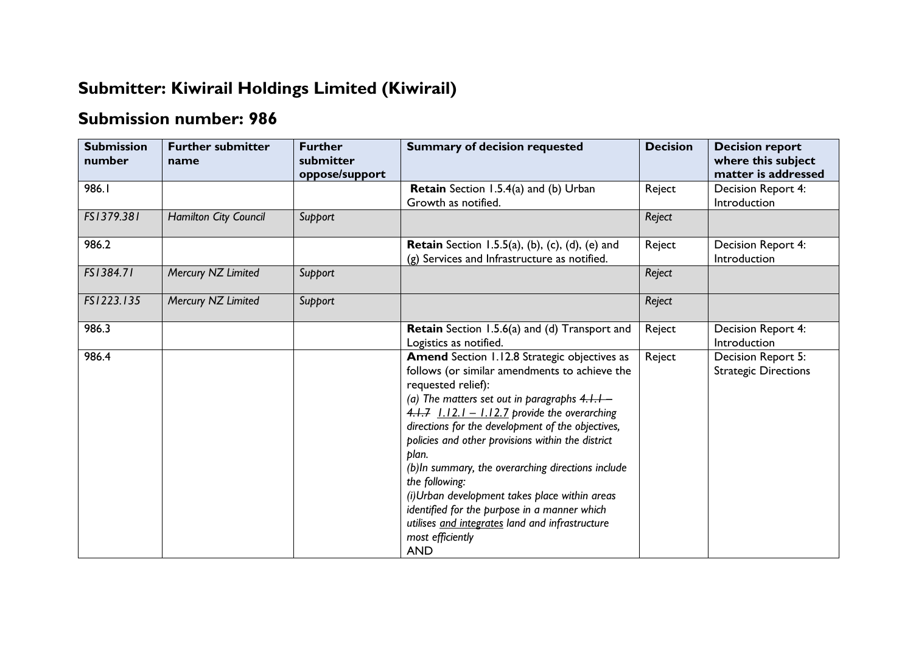## **Submitter: Kiwirail Holdings Limited (Kiwirail)**

## **Submission number: 986**

| <b>Submission</b><br>number | <b>Further submitter</b><br>name | <b>Further</b><br>submitter<br>oppose/support | <b>Summary of decision requested</b>                                                                                                                                                                                                                                                                                                                                                                                                                                                                                                                                                                      | <b>Decision</b> | <b>Decision report</b><br>where this subject<br>matter is addressed |
|-----------------------------|----------------------------------|-----------------------------------------------|-----------------------------------------------------------------------------------------------------------------------------------------------------------------------------------------------------------------------------------------------------------------------------------------------------------------------------------------------------------------------------------------------------------------------------------------------------------------------------------------------------------------------------------------------------------------------------------------------------------|-----------------|---------------------------------------------------------------------|
| 986.1                       |                                  |                                               | Retain Section 1.5.4(a) and (b) Urban<br>Growth as notified.                                                                                                                                                                                                                                                                                                                                                                                                                                                                                                                                              | Reject          | Decision Report 4:<br>Introduction                                  |
| FS1379.381                  | Hamilton City Council            | Support                                       |                                                                                                                                                                                                                                                                                                                                                                                                                                                                                                                                                                                                           | Reject          |                                                                     |
| 986.2                       |                                  |                                               | <b>Retain</b> Section 1.5.5(a), (b), (c), (d), (e) and<br>(g) Services and Infrastructure as notified.                                                                                                                                                                                                                                                                                                                                                                                                                                                                                                    | Reject          | Decision Report 4:<br>Introduction                                  |
| FS1384.71                   | Mercury NZ Limited               | Support                                       |                                                                                                                                                                                                                                                                                                                                                                                                                                                                                                                                                                                                           | Reject          |                                                                     |
| FS1223.135                  | Mercury NZ Limited               | Support                                       |                                                                                                                                                                                                                                                                                                                                                                                                                                                                                                                                                                                                           | Reject          |                                                                     |
| 986.3                       |                                  |                                               | <b>Retain</b> Section 1.5.6(a) and (d) Transport and<br>Logistics as notified.                                                                                                                                                                                                                                                                                                                                                                                                                                                                                                                            | Reject          | Decision Report 4:<br>Introduction                                  |
| 986.4                       |                                  |                                               | Amend Section 1.12.8 Strategic objectives as<br>follows (or similar amendments to achieve the<br>requested relief):<br>(a) The matters set out in paragraphs $4.1.1-$<br>4.1.7 $1.12.1 - 1.12.7$ provide the overarching<br>directions for the development of the objectives,<br>policies and other provisions within the district<br>plan.<br>(b) In summary, the overarching directions include<br>the following:<br>(i)Urban development takes place within areas<br>identified for the purpose in a manner which<br>utilises and integrates land and infrastructure<br>most efficiently<br><b>AND</b> | Reject          | Decision Report 5:<br><b>Strategic Directions</b>                   |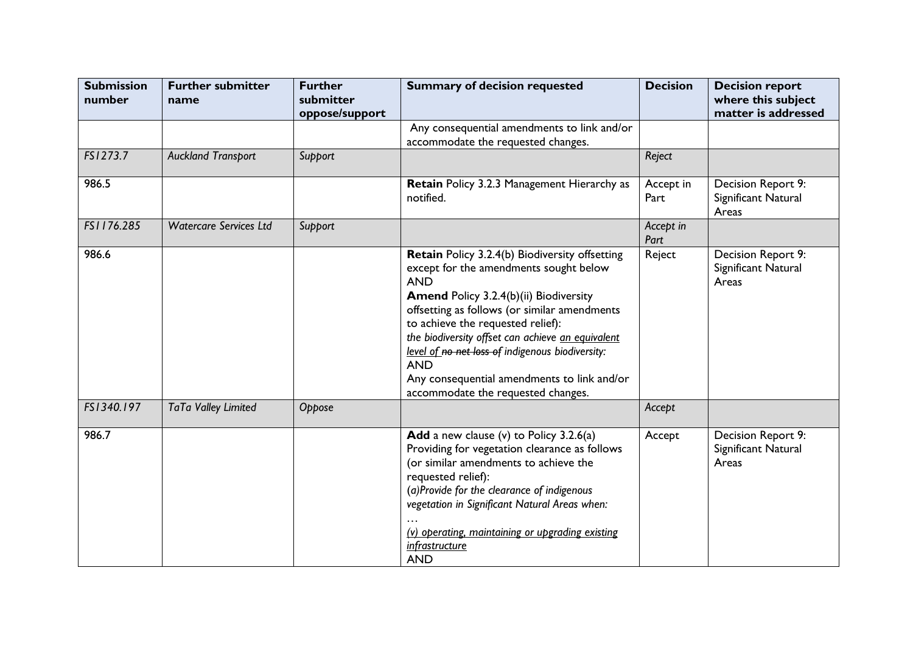| <b>Submission</b><br>number | <b>Further submitter</b><br>name | <b>Further</b><br>submitter<br>oppose/support | <b>Summary of decision requested</b>                                                                                                                                                                                                                                                                                                                                                                                                              | <b>Decision</b>   | <b>Decision report</b><br>where this subject<br>matter is addressed |
|-----------------------------|----------------------------------|-----------------------------------------------|---------------------------------------------------------------------------------------------------------------------------------------------------------------------------------------------------------------------------------------------------------------------------------------------------------------------------------------------------------------------------------------------------------------------------------------------------|-------------------|---------------------------------------------------------------------|
|                             |                                  |                                               | Any consequential amendments to link and/or<br>accommodate the requested changes.                                                                                                                                                                                                                                                                                                                                                                 |                   |                                                                     |
| FS1273.7                    | <b>Auckland Transport</b>        | Support                                       |                                                                                                                                                                                                                                                                                                                                                                                                                                                   | Reject            |                                                                     |
| 986.5                       |                                  |                                               | Retain Policy 3.2.3 Management Hierarchy as<br>notified.                                                                                                                                                                                                                                                                                                                                                                                          | Accept in<br>Part | Decision Report 9:<br>Significant Natural<br>Areas                  |
| FS1176.285                  | <b>Watercare Services Ltd</b>    | Support                                       |                                                                                                                                                                                                                                                                                                                                                                                                                                                   | Accept in<br>Part |                                                                     |
| 986.6                       |                                  |                                               | Retain Policy 3.2.4(b) Biodiversity offsetting<br>except for the amendments sought below<br><b>AND</b><br>Amend Policy 3.2.4(b)(ii) Biodiversity<br>offsetting as follows (or similar amendments<br>to achieve the requested relief):<br>the biodiversity offset can achieve an equivalent<br>level of no net loss of indigenous biodiversity:<br><b>AND</b><br>Any consequential amendments to link and/or<br>accommodate the requested changes. | Reject            | Decision Report 9:<br>Significant Natural<br>Areas                  |
| FS1340.197                  | TaTa Valley Limited              | Oppose                                        |                                                                                                                                                                                                                                                                                                                                                                                                                                                   | Accept            |                                                                     |
| 986.7                       |                                  |                                               | Add a new clause (v) to Policy $3.2.6(a)$<br>Providing for vegetation clearance as follows<br>(or similar amendments to achieve the<br>requested relief):<br>(a)Provide for the clearance of indigenous<br>vegetation in Significant Natural Areas when:<br>(v) operating, maintaining or upgrading existing<br><i>infrastructure</i><br><b>AND</b>                                                                                               | Accept            | Decision Report 9:<br>Significant Natural<br>Areas                  |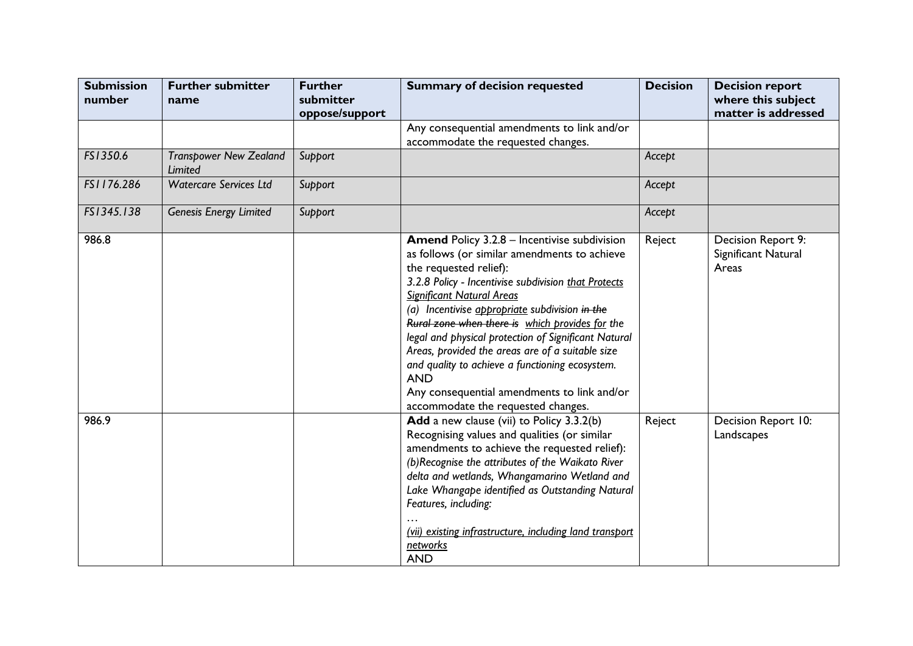| <b>Submission</b><br>number | <b>Further submitter</b><br>name         | <b>Further</b><br>submitter<br>oppose/support | <b>Summary of decision requested</b>                                                                                                                                                                                                                                                                                                                                                                                                                                                                                                                                                             | <b>Decision</b> | <b>Decision report</b><br>where this subject<br>matter is addressed |
|-----------------------------|------------------------------------------|-----------------------------------------------|--------------------------------------------------------------------------------------------------------------------------------------------------------------------------------------------------------------------------------------------------------------------------------------------------------------------------------------------------------------------------------------------------------------------------------------------------------------------------------------------------------------------------------------------------------------------------------------------------|-----------------|---------------------------------------------------------------------|
|                             |                                          |                                               | Any consequential amendments to link and/or<br>accommodate the requested changes.                                                                                                                                                                                                                                                                                                                                                                                                                                                                                                                |                 |                                                                     |
| FS1350.6                    | <b>Transpower New Zealand</b><br>Limited | Support                                       |                                                                                                                                                                                                                                                                                                                                                                                                                                                                                                                                                                                                  | Accept          |                                                                     |
| FS1176.286                  | <b>Watercare Services Ltd</b>            | Support                                       |                                                                                                                                                                                                                                                                                                                                                                                                                                                                                                                                                                                                  | Accept          |                                                                     |
| FS1345.138                  | <b>Genesis Energy Limited</b>            | Support                                       |                                                                                                                                                                                                                                                                                                                                                                                                                                                                                                                                                                                                  | Accept          |                                                                     |
| 986.8                       |                                          |                                               | <b>Amend Policy 3.2.8 - Incentivise subdivision</b><br>as follows (or similar amendments to achieve<br>the requested relief):<br>3.2.8 Policy - Incentivise subdivision that Protects<br><b>Significant Natural Areas</b><br>(a) Incentivise appropriate subdivision in the<br>Rural zone when there is which provides for the<br>legal and physical protection of Significant Natural<br>Areas, provided the areas are of a suitable size<br>and quality to achieve a functioning ecosystem.<br><b>AND</b><br>Any consequential amendments to link and/or<br>accommodate the requested changes. | Reject          | Decision Report 9:<br>Significant Natural<br>Areas                  |
| 986.9                       |                                          |                                               | Add a new clause (vii) to Policy 3.3.2(b)<br>Recognising values and qualities (or similar<br>amendments to achieve the requested relief):<br>(b)Recognise the attributes of the Waikato River<br>delta and wetlands, Whangamarino Wetland and<br>Lake Whangape identified as Outstanding Natural<br>Features, including:<br>(vii) existing infrastructure, including land transport<br>networks<br><b>AND</b>                                                                                                                                                                                    | Reject          | Decision Report 10:<br>Landscapes                                   |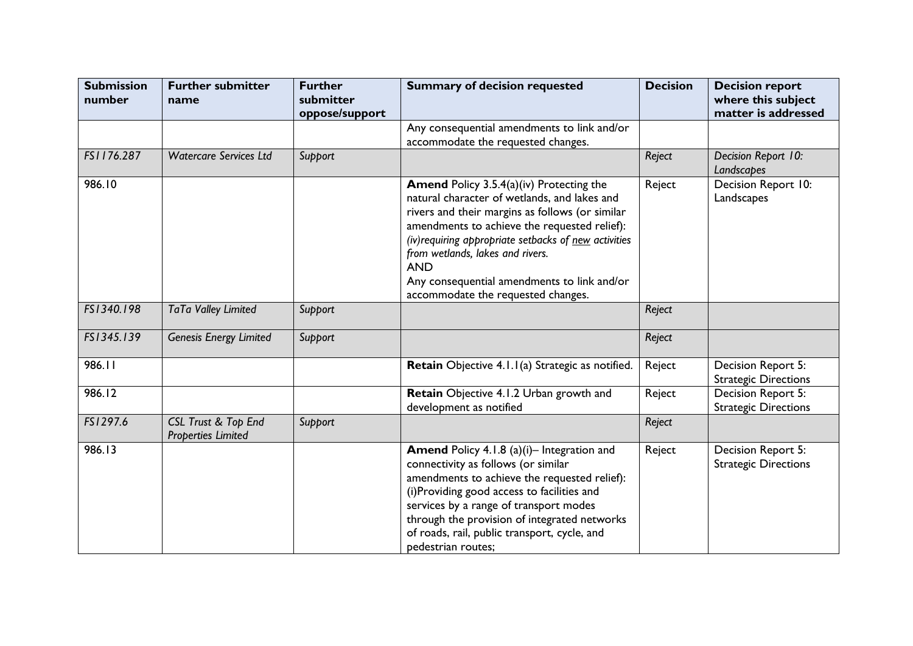| <b>Submission</b><br>number | <b>Further submitter</b><br>name                            | <b>Further</b><br>submitter | <b>Summary of decision requested</b>                                                                                                                                                                                                                                                                                                                                                               | <b>Decision</b> | <b>Decision report</b><br>where this subject<br>matter is addressed |
|-----------------------------|-------------------------------------------------------------|-----------------------------|----------------------------------------------------------------------------------------------------------------------------------------------------------------------------------------------------------------------------------------------------------------------------------------------------------------------------------------------------------------------------------------------------|-----------------|---------------------------------------------------------------------|
|                             |                                                             | oppose/support              | Any consequential amendments to link and/or<br>accommodate the requested changes.                                                                                                                                                                                                                                                                                                                  |                 |                                                                     |
| FS1176.287                  | <b>Watercare Services Ltd</b>                               | Support                     |                                                                                                                                                                                                                                                                                                                                                                                                    | Reject          | Decision Report 10:<br>Landscapes                                   |
| 986.10                      |                                                             |                             | <b>Amend Policy 3.5.4(a)(iv) Protecting the</b><br>natural character of wetlands, and lakes and<br>rivers and their margins as follows (or similar<br>amendments to achieve the requested relief):<br>(iv) requiring appropriate setbacks of new activities<br>from wetlands, lakes and rivers.<br><b>AND</b><br>Any consequential amendments to link and/or<br>accommodate the requested changes. | Reject          | Decision Report 10:<br>Landscapes                                   |
| FS1340.198                  | TaTa Valley Limited                                         | Support                     |                                                                                                                                                                                                                                                                                                                                                                                                    | Reject          |                                                                     |
| FS1345.139                  | <b>Genesis Energy Limited</b>                               | Support                     |                                                                                                                                                                                                                                                                                                                                                                                                    | Reject          |                                                                     |
| 986.11                      |                                                             |                             | Retain Objective 4.1.1(a) Strategic as notified.                                                                                                                                                                                                                                                                                                                                                   | Reject          | Decision Report 5:<br><b>Strategic Directions</b>                   |
| 986.12                      |                                                             |                             | Retain Objective 4.1.2 Urban growth and<br>development as notified                                                                                                                                                                                                                                                                                                                                 | Reject          | Decision Report 5:<br><b>Strategic Directions</b>                   |
| FS1297.6                    | <b>CSL Trust &amp; Top End</b><br><b>Properties Limited</b> | Support                     |                                                                                                                                                                                                                                                                                                                                                                                                    | Reject          |                                                                     |
| 986.13                      |                                                             |                             | Amend Policy 4.1.8 (a)(i)- Integration and<br>connectivity as follows (or similar<br>amendments to achieve the requested relief):<br>(i)Providing good access to facilities and<br>services by a range of transport modes<br>through the provision of integrated networks<br>of roads, rail, public transport, cycle, and<br>pedestrian routes;                                                    | Reject          | Decision Report 5:<br><b>Strategic Directions</b>                   |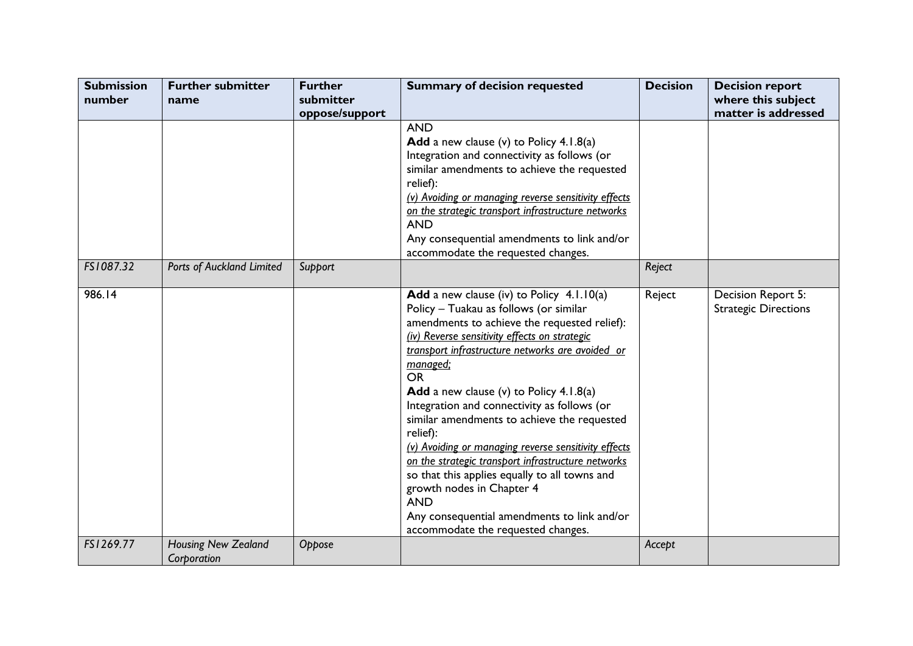| <b>Submission</b><br>number | <b>Further submitter</b><br>name          | <b>Further</b><br>submitter | <b>Summary of decision requested</b>                                                                                                                                                                                                                                                                                                                                                                                                                                                                                                                                                                                                                                                                                           | <b>Decision</b> | <b>Decision report</b><br>where this subject      |
|-----------------------------|-------------------------------------------|-----------------------------|--------------------------------------------------------------------------------------------------------------------------------------------------------------------------------------------------------------------------------------------------------------------------------------------------------------------------------------------------------------------------------------------------------------------------------------------------------------------------------------------------------------------------------------------------------------------------------------------------------------------------------------------------------------------------------------------------------------------------------|-----------------|---------------------------------------------------|
|                             |                                           | oppose/support              |                                                                                                                                                                                                                                                                                                                                                                                                                                                                                                                                                                                                                                                                                                                                |                 | matter is addressed                               |
|                             |                                           |                             | <b>AND</b><br>Add a new clause (v) to Policy 4.1.8(a)<br>Integration and connectivity as follows (or<br>similar amendments to achieve the requested<br>relief):<br>(v) Avoiding or managing reverse sensitivity effects<br>on the strategic transport infrastructure networks<br><b>AND</b><br>Any consequential amendments to link and/or<br>accommodate the requested changes.                                                                                                                                                                                                                                                                                                                                               |                 |                                                   |
| FS1087.32                   | Ports of Auckland Limited                 | Support                     |                                                                                                                                                                                                                                                                                                                                                                                                                                                                                                                                                                                                                                                                                                                                | Reject          |                                                   |
| 986.14                      |                                           |                             | Add a new clause (iv) to Policy 4.1.10(a)<br>Policy - Tuakau as follows (or similar<br>amendments to achieve the requested relief):<br>(iv) Reverse sensitivity effects on strategic<br>transport infrastructure networks are avoided or<br><u>managed;</u><br><b>OR</b><br>Add a new clause (v) to Policy $4.1.8(a)$<br>Integration and connectivity as follows (or<br>similar amendments to achieve the requested<br>relief):<br>(v) Avoiding or managing reverse sensitivity effects<br>on the strategic transport infrastructure networks<br>so that this applies equally to all towns and<br>growth nodes in Chapter 4<br><b>AND</b><br>Any consequential amendments to link and/or<br>accommodate the requested changes. | Reject          | Decision Report 5:<br><b>Strategic Directions</b> |
| FS1269.77                   | <b>Housing New Zealand</b><br>Corporation | Oppose                      |                                                                                                                                                                                                                                                                                                                                                                                                                                                                                                                                                                                                                                                                                                                                | Accept          |                                                   |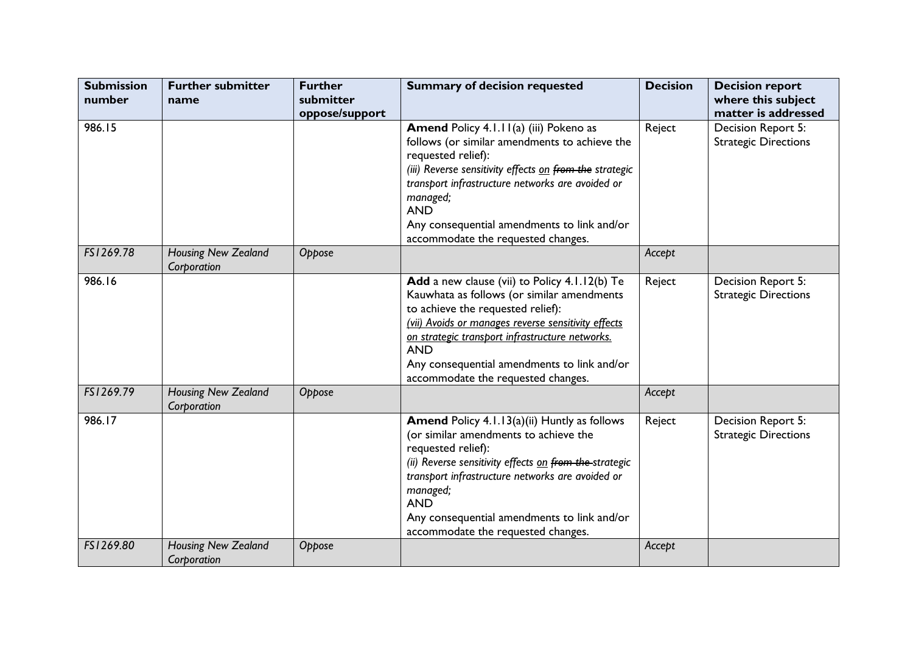| <b>Submission</b><br>number | <b>Further submitter</b><br>name          | <b>Further</b><br>submitter | <b>Summary of decision requested</b>                                                                                                                                                                                                                                                                                                            | <b>Decision</b> | <b>Decision report</b><br>where this subject                             |
|-----------------------------|-------------------------------------------|-----------------------------|-------------------------------------------------------------------------------------------------------------------------------------------------------------------------------------------------------------------------------------------------------------------------------------------------------------------------------------------------|-----------------|--------------------------------------------------------------------------|
| 986.15                      |                                           | oppose/support              | Amend Policy 4.1.11(a) (iii) Pokeno as<br>follows (or similar amendments to achieve the<br>requested relief):<br>(iii) Reverse sensitivity effects on from the strategic<br>transport infrastructure networks are avoided or<br>managed;<br><b>AND</b><br>Any consequential amendments to link and/or<br>accommodate the requested changes.     | Reject          | matter is addressed<br>Decision Report 5:<br><b>Strategic Directions</b> |
| FS1269.78                   | Housing New Zealand<br>Corporation        | Oppose                      |                                                                                                                                                                                                                                                                                                                                                 | Accept          |                                                                          |
| 986.16                      |                                           |                             | Add a new clause (vii) to Policy 4.1.12(b) Te<br>Kauwhata as follows (or similar amendments<br>to achieve the requested relief):<br>(vii) Avoids or manages reverse sensitivity effects<br>on strategic transport infrastructure networks.<br><b>AND</b><br>Any consequential amendments to link and/or<br>accommodate the requested changes.   | Reject          | Decision Report 5:<br><b>Strategic Directions</b>                        |
| FS1269.79                   | <b>Housing New Zealand</b><br>Corporation | Oppose                      |                                                                                                                                                                                                                                                                                                                                                 | Accept          |                                                                          |
| 986.17                      |                                           |                             | <b>Amend Policy 4.1.13(a)(ii) Huntly as follows</b><br>(or similar amendments to achieve the<br>requested relief):<br>(ii) Reverse sensitivity effects on from the strategic<br>transport infrastructure networks are avoided or<br>managed;<br><b>AND</b><br>Any consequential amendments to link and/or<br>accommodate the requested changes. | Reject          | Decision Report 5:<br><b>Strategic Directions</b>                        |
| FS1269.80                   | <b>Housing New Zealand</b><br>Corporation | Oppose                      |                                                                                                                                                                                                                                                                                                                                                 | Accept          |                                                                          |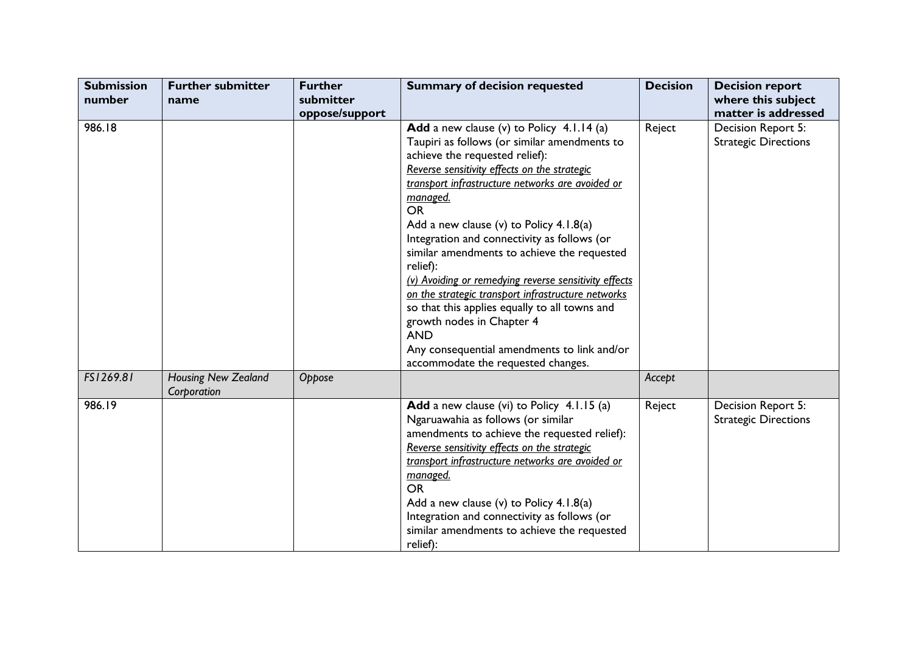| <b>Submission</b><br>number | <b>Further submitter</b><br>name          | <b>Further</b><br>submitter | <b>Summary of decision requested</b>                                                                                                                                                                                                                                                                                                                                                                                                   | <b>Decision</b> | <b>Decision report</b><br>where this subject                             |
|-----------------------------|-------------------------------------------|-----------------------------|----------------------------------------------------------------------------------------------------------------------------------------------------------------------------------------------------------------------------------------------------------------------------------------------------------------------------------------------------------------------------------------------------------------------------------------|-----------------|--------------------------------------------------------------------------|
| 986.18                      |                                           | oppose/support              | Add a new clause (v) to Policy 4.1.14 (a)<br>Taupiri as follows (or similar amendments to<br>achieve the requested relief):<br>Reverse sensitivity effects on the strategic<br>transport infrastructure networks are avoided or                                                                                                                                                                                                        | Reject          | matter is addressed<br>Decision Report 5:<br><b>Strategic Directions</b> |
|                             |                                           |                             | managed.<br><b>OR</b><br>Add a new clause (v) to Policy $4.1.8(a)$<br>Integration and connectivity as follows (or<br>similar amendments to achieve the requested<br>relief):<br>(v) Avoiding or remedying reverse sensitivity effects<br>on the strategic transport infrastructure networks<br>so that this applies equally to all towns and<br>growth nodes in Chapter 4<br><b>AND</b><br>Any consequential amendments to link and/or |                 |                                                                          |
| FS1269.81                   | <b>Housing New Zealand</b><br>Corporation | Oppose                      | accommodate the requested changes.                                                                                                                                                                                                                                                                                                                                                                                                     | Accept          |                                                                          |
| 986.19                      |                                           |                             | Add a new clause (vi) to Policy 4.1.15 (a)<br>Ngaruawahia as follows (or similar<br>amendments to achieve the requested relief):<br>Reverse sensitivity effects on the strategic<br>transport infrastructure networks are avoided or<br>managed.<br><b>OR</b><br>Add a new clause (v) to Policy 4.1.8(a)<br>Integration and connectivity as follows (or<br>similar amendments to achieve the requested<br>relief):                     | Reject          | Decision Report 5:<br><b>Strategic Directions</b>                        |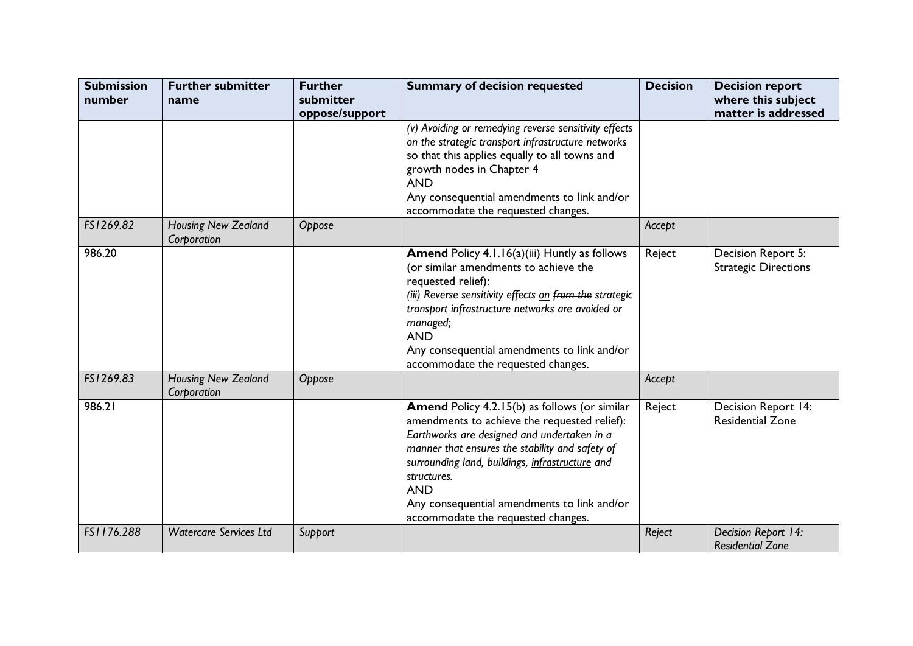| <b>Submission</b><br>number | <b>Further submitter</b><br>name          | <b>Further</b><br>submitter<br>oppose/support | <b>Summary of decision requested</b>                                                                                                                                                                                                                                                                                                                                 | <b>Decision</b> | <b>Decision report</b><br>where this subject<br>matter is addressed |
|-----------------------------|-------------------------------------------|-----------------------------------------------|----------------------------------------------------------------------------------------------------------------------------------------------------------------------------------------------------------------------------------------------------------------------------------------------------------------------------------------------------------------------|-----------------|---------------------------------------------------------------------|
|                             |                                           |                                               | (v) Avoiding or remedying reverse sensitivity effects<br>on the strategic transport infrastructure networks<br>so that this applies equally to all towns and<br>growth nodes in Chapter 4<br><b>AND</b><br>Any consequential amendments to link and/or<br>accommodate the requested changes.                                                                         |                 |                                                                     |
| FS1269.82                   | <b>Housing New Zealand</b><br>Corporation | Oppose                                        |                                                                                                                                                                                                                                                                                                                                                                      | Accept          |                                                                     |
| 986.20                      |                                           |                                               | Amend Policy 4.1.16(a)(iii) Huntly as follows<br>(or similar amendments to achieve the<br>requested relief):<br>(iii) Reverse sensitivity effects on from the strategic<br>transport infrastructure networks are avoided or<br>managed;<br><b>AND</b><br>Any consequential amendments to link and/or<br>accommodate the requested changes.                           | Reject          | Decision Report 5:<br><b>Strategic Directions</b>                   |
| FS1269.83                   | <b>Housing New Zealand</b><br>Corporation | Oppose                                        |                                                                                                                                                                                                                                                                                                                                                                      | Accept          |                                                                     |
| 986.21                      |                                           |                                               | Amend Policy 4.2.15(b) as follows (or similar<br>amendments to achieve the requested relief):<br>Earthworks are designed and undertaken in a<br>manner that ensures the stability and safety of<br>surrounding land, buildings, infrastructure and<br>structures.<br><b>AND</b><br>Any consequential amendments to link and/or<br>accommodate the requested changes. | Reject          | Decision Report 14:<br><b>Residential Zone</b>                      |
| FS1176.288                  | <b>Watercare Services Ltd</b>             | Support                                       |                                                                                                                                                                                                                                                                                                                                                                      | Reject          | Decision Report 14:<br><b>Residential Zone</b>                      |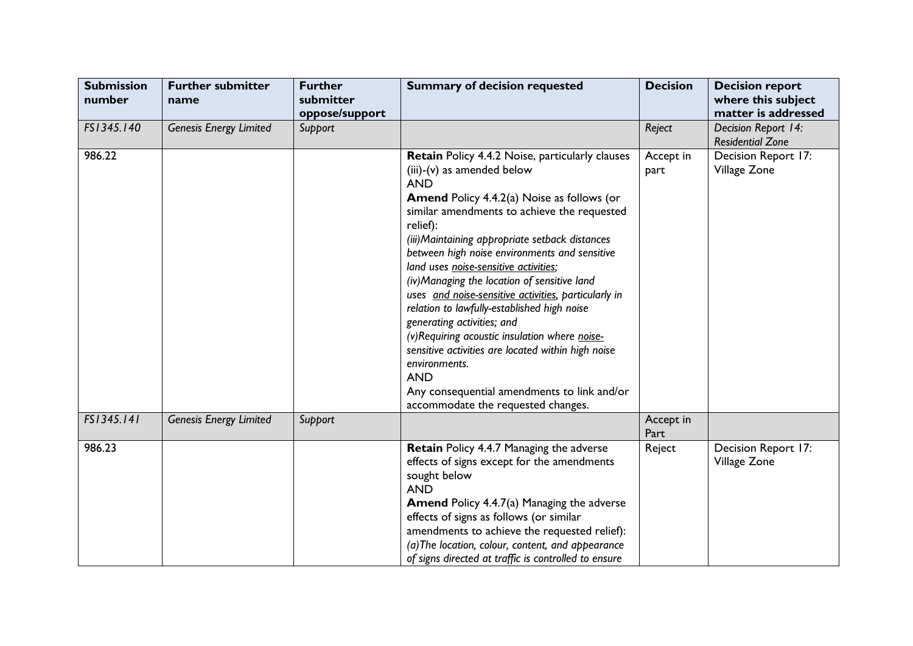| <b>Submission</b><br>number | <b>Further submitter</b><br>name | <b>Further</b><br>submitter<br>oppose/support | <b>Summary of decision requested</b>                                                                                                                                                                                                                                                                                                                                                                                                                                                                                                                                                                                                                                                                                                                                      | <b>Decision</b>   | <b>Decision report</b><br>where this subject<br>matter is addressed |
|-----------------------------|----------------------------------|-----------------------------------------------|---------------------------------------------------------------------------------------------------------------------------------------------------------------------------------------------------------------------------------------------------------------------------------------------------------------------------------------------------------------------------------------------------------------------------------------------------------------------------------------------------------------------------------------------------------------------------------------------------------------------------------------------------------------------------------------------------------------------------------------------------------------------------|-------------------|---------------------------------------------------------------------|
| FS1345.140                  | <b>Genesis Energy Limited</b>    | Support                                       |                                                                                                                                                                                                                                                                                                                                                                                                                                                                                                                                                                                                                                                                                                                                                                           | Reject            | Decision Report 14:<br><b>Residential Zone</b>                      |
| 986.22                      |                                  |                                               | Retain Policy 4.4.2 Noise, particularly clauses<br>(iii)-(v) as amended below<br><b>AND</b><br><b>Amend Policy 4.4.2(a) Noise as follows (or</b><br>similar amendments to achieve the requested<br>relief):<br>(iii) Maintaining appropriate setback distances<br>between high noise environments and sensitive<br>land uses noise-sensitive activities;<br>(iv) Managing the location of sensitive land<br>uses and noise-sensitive activities, particularly in<br>relation to lawfully-established high noise<br>generating activities; and<br>(v) Requiring acoustic insulation where noise-<br>sensitive activities are located within high noise<br>environments.<br><b>AND</b><br>Any consequential amendments to link and/or<br>accommodate the requested changes. | Accept in<br>part | Decision Report 17:<br>Village Zone                                 |
| FS1345.141                  | <b>Genesis Energy Limited</b>    | Support                                       |                                                                                                                                                                                                                                                                                                                                                                                                                                                                                                                                                                                                                                                                                                                                                                           | Accept in<br>Part |                                                                     |
| 986.23                      |                                  |                                               | Retain Policy 4.4.7 Managing the adverse<br>effects of signs except for the amendments<br>sought below<br><b>AND</b><br><b>Amend Policy 4.4.7(a) Managing the adverse</b><br>effects of signs as follows (or similar<br>amendments to achieve the requested relief):<br>(a) The location, colour, content, and appearance<br>of signs directed at traffic is controlled to ensure                                                                                                                                                                                                                                                                                                                                                                                         | Reject            | Decision Report 17:<br>Village Zone                                 |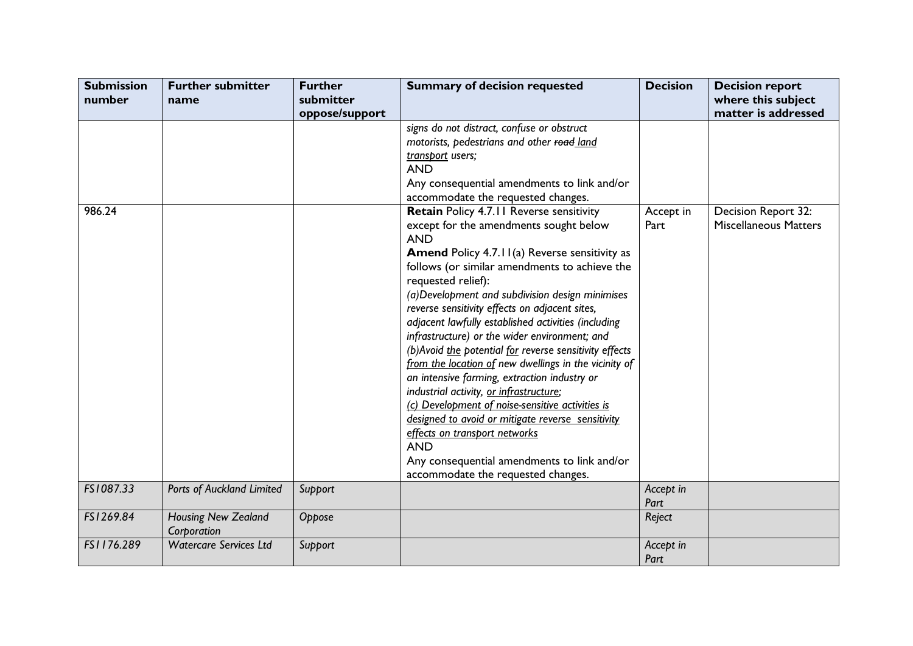| <b>Submission</b><br>number | <b>Further submitter</b><br>name          | <b>Further</b><br>submitter | <b>Summary of decision requested</b>                                                                                                                                                                                                                                                                                                                                                                                                                                                                                                                                                                                                                                                                                                                                                                                                                                                                      | <b>Decision</b>   | <b>Decision report</b><br>where this subject        |
|-----------------------------|-------------------------------------------|-----------------------------|-----------------------------------------------------------------------------------------------------------------------------------------------------------------------------------------------------------------------------------------------------------------------------------------------------------------------------------------------------------------------------------------------------------------------------------------------------------------------------------------------------------------------------------------------------------------------------------------------------------------------------------------------------------------------------------------------------------------------------------------------------------------------------------------------------------------------------------------------------------------------------------------------------------|-------------------|-----------------------------------------------------|
|                             |                                           | oppose/support              |                                                                                                                                                                                                                                                                                                                                                                                                                                                                                                                                                                                                                                                                                                                                                                                                                                                                                                           |                   | matter is addressed                                 |
|                             |                                           |                             | signs do not distract, confuse or obstruct<br>motorists, pedestrians and other road land<br>transport users;<br><b>AND</b><br>Any consequential amendments to link and/or<br>accommodate the requested changes.                                                                                                                                                                                                                                                                                                                                                                                                                                                                                                                                                                                                                                                                                           |                   |                                                     |
| 986.24                      |                                           |                             | Retain Policy 4.7.11 Reverse sensitivity<br>except for the amendments sought below<br><b>AND</b><br><b>Amend Policy 4.7.11(a) Reverse sensitivity as</b><br>follows (or similar amendments to achieve the<br>requested relief):<br>(a) Development and subdivision design minimises<br>reverse sensitivity effects on adjacent sites,<br>adjacent lawfully established activities (including<br>infrastructure) or the wider environment; and<br>(b) Avoid the potential for reverse sensitivity effects<br>from the location of new dwellings in the vicinity of<br>an intensive farming, extraction industry or<br>industrial activity, or infrastructure;<br>(c) Development of noise-sensitive activities is<br>designed to avoid or mitigate reverse sensitivity<br>effects on transport networks<br><b>AND</b><br>Any consequential amendments to link and/or<br>accommodate the requested changes. | Accept in<br>Part | Decision Report 32:<br><b>Miscellaneous Matters</b> |
| FS1087.33                   | Ports of Auckland Limited                 | Support                     |                                                                                                                                                                                                                                                                                                                                                                                                                                                                                                                                                                                                                                                                                                                                                                                                                                                                                                           | Accept in         |                                                     |
| FS1269.84                   |                                           |                             |                                                                                                                                                                                                                                                                                                                                                                                                                                                                                                                                                                                                                                                                                                                                                                                                                                                                                                           | Part              |                                                     |
|                             | <b>Housing New Zealand</b><br>Corporation | Oppose                      |                                                                                                                                                                                                                                                                                                                                                                                                                                                                                                                                                                                                                                                                                                                                                                                                                                                                                                           | Reject            |                                                     |
| FS1176.289                  | <b>Watercare Services Ltd</b>             | Support                     |                                                                                                                                                                                                                                                                                                                                                                                                                                                                                                                                                                                                                                                                                                                                                                                                                                                                                                           | Accept in<br>Part |                                                     |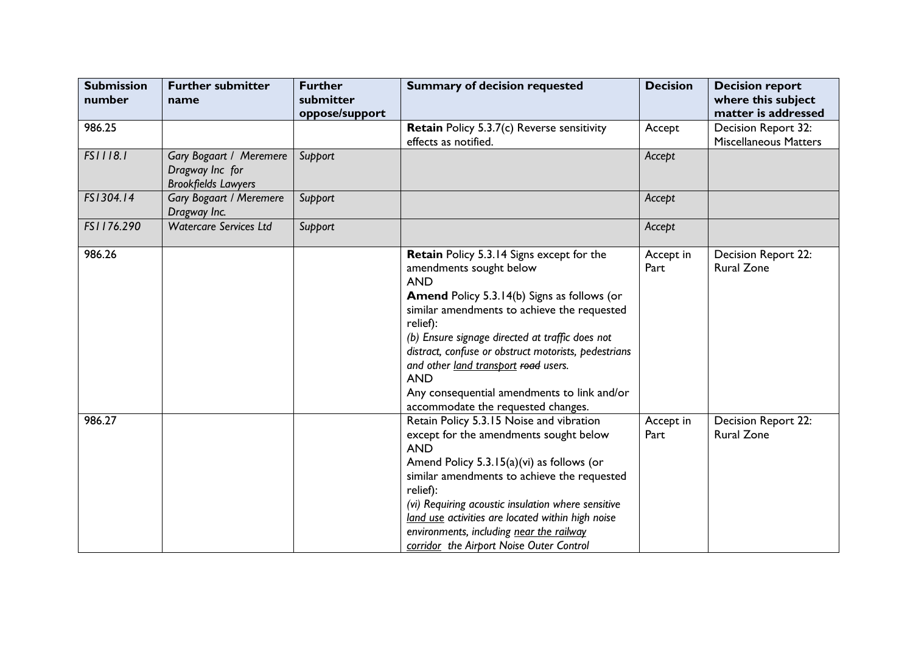| <b>Submission</b><br>number | <b>Further submitter</b>                                                 | <b>Further</b><br>submitter | <b>Summary of decision requested</b>                                                                                                                                                                                                                                                                                                                                                                                                                      | <b>Decision</b>   | <b>Decision report</b>                              |
|-----------------------------|--------------------------------------------------------------------------|-----------------------------|-----------------------------------------------------------------------------------------------------------------------------------------------------------------------------------------------------------------------------------------------------------------------------------------------------------------------------------------------------------------------------------------------------------------------------------------------------------|-------------------|-----------------------------------------------------|
|                             | name                                                                     | oppose/support              |                                                                                                                                                                                                                                                                                                                                                                                                                                                           |                   | where this subject<br>matter is addressed           |
| 986.25                      |                                                                          |                             | Retain Policy 5.3.7(c) Reverse sensitivity<br>effects as notified.                                                                                                                                                                                                                                                                                                                                                                                        | Accept            | Decision Report 32:<br><b>Miscellaneous Matters</b> |
| FS1118.1                    | Gary Bogaart / Meremere<br>Dragway Inc for<br><b>Brookfields Lawyers</b> | Support                     |                                                                                                                                                                                                                                                                                                                                                                                                                                                           | Accept            |                                                     |
| FS1304.14                   | <b>Gary Bogaart / Meremere</b><br>Dragway Inc.                           | Support                     |                                                                                                                                                                                                                                                                                                                                                                                                                                                           | Accept            |                                                     |
| FS1176.290                  | <b>Watercare Services Ltd</b>                                            | Support                     |                                                                                                                                                                                                                                                                                                                                                                                                                                                           | Accept            |                                                     |
| 986.26                      |                                                                          |                             | Retain Policy 5.3.14 Signs except for the<br>amendments sought below<br><b>AND</b><br><b>Amend Policy 5.3.14(b) Signs as follows (or</b><br>similar amendments to achieve the requested<br>relief):<br>(b) Ensure signage directed at traffic does not<br>distract, confuse or obstruct motorists, pedestrians<br>and other land transport road users.<br><b>AND</b><br>Any consequential amendments to link and/or<br>accommodate the requested changes. | Accept in<br>Part | Decision Report 22:<br><b>Rural Zone</b>            |
| 986.27                      |                                                                          |                             | Retain Policy 5.3.15 Noise and vibration<br>except for the amendments sought below<br><b>AND</b><br>Amend Policy 5.3.15(a)(vi) as follows (or<br>similar amendments to achieve the requested<br>relief):<br>(vi) Requiring acoustic insulation where sensitive<br>land use activities are located within high noise<br>environments, including near the railway<br>corridor the Airport Noise Outer Control                                               | Accept in<br>Part | Decision Report 22:<br><b>Rural Zone</b>            |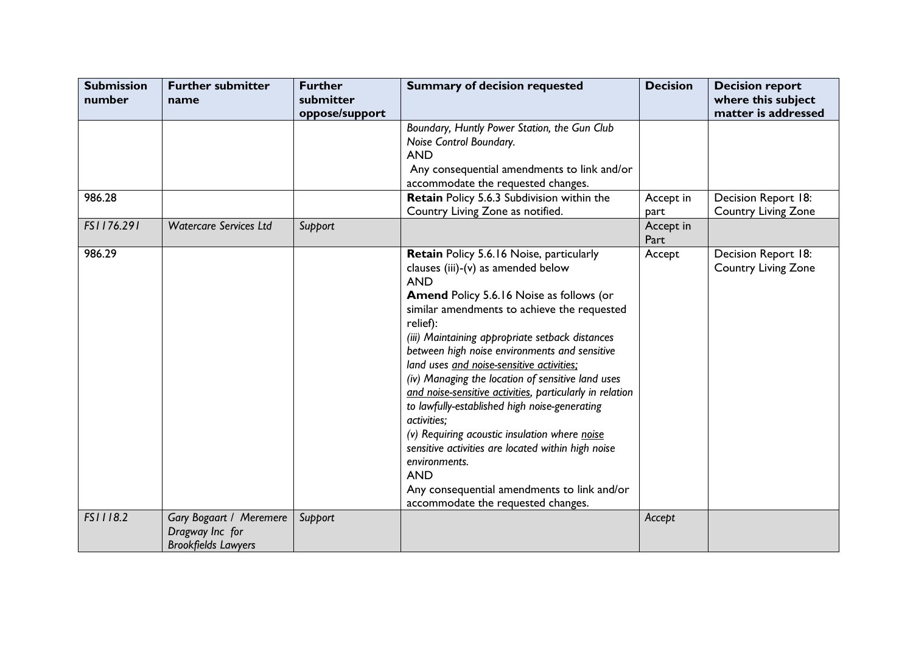| <b>Submission</b><br>number | <b>Further submitter</b><br>name                                                | <b>Further</b><br>submitter | <b>Summary of decision requested</b>                                                                                                                                                                                                                                                                                                                                                                                                                                                                                                                                                                                                                                                                                                                             | <b>Decision</b>   | <b>Decision report</b><br>where this subject      |
|-----------------------------|---------------------------------------------------------------------------------|-----------------------------|------------------------------------------------------------------------------------------------------------------------------------------------------------------------------------------------------------------------------------------------------------------------------------------------------------------------------------------------------------------------------------------------------------------------------------------------------------------------------------------------------------------------------------------------------------------------------------------------------------------------------------------------------------------------------------------------------------------------------------------------------------------|-------------------|---------------------------------------------------|
|                             |                                                                                 | oppose/support              | Boundary, Huntly Power Station, the Gun Club<br>Noise Control Boundary.<br><b>AND</b><br>Any consequential amendments to link and/or<br>accommodate the requested changes.                                                                                                                                                                                                                                                                                                                                                                                                                                                                                                                                                                                       |                   | matter is addressed                               |
| 986.28                      |                                                                                 |                             | Retain Policy 5.6.3 Subdivision within the<br>Country Living Zone as notified.                                                                                                                                                                                                                                                                                                                                                                                                                                                                                                                                                                                                                                                                                   | Accept in<br>part | Decision Report 18:<br><b>Country Living Zone</b> |
| FS1176.291                  | <b>Watercare Services Ltd</b>                                                   | Support                     |                                                                                                                                                                                                                                                                                                                                                                                                                                                                                                                                                                                                                                                                                                                                                                  | Accept in<br>Part |                                                   |
| 986.29                      |                                                                                 |                             | Retain Policy 5.6.16 Noise, particularly<br>clauses (iii)-(v) as amended below<br><b>AND</b><br>Amend Policy 5.6.16 Noise as follows (or<br>similar amendments to achieve the requested<br>relief):<br>(iii) Maintaining appropriate setback distances<br>between high noise environments and sensitive<br>land uses and noise-sensitive activities;<br>(iv) Managing the location of sensitive land uses<br>and noise-sensitive activities, particularly in relation<br>to lawfully-established high noise-generating<br>activities;<br>(v) Requiring acoustic insulation where noise<br>sensitive activities are located within high noise<br>environments.<br><b>AND</b><br>Any consequential amendments to link and/or<br>accommodate the requested changes. | Accept            | Decision Report 18:<br><b>Country Living Zone</b> |
| FS1118.2                    | <b>Gary Bogaart / Meremere</b><br>Dragway Inc for<br><b>Brookfields Lawyers</b> | Support                     |                                                                                                                                                                                                                                                                                                                                                                                                                                                                                                                                                                                                                                                                                                                                                                  | Accept            |                                                   |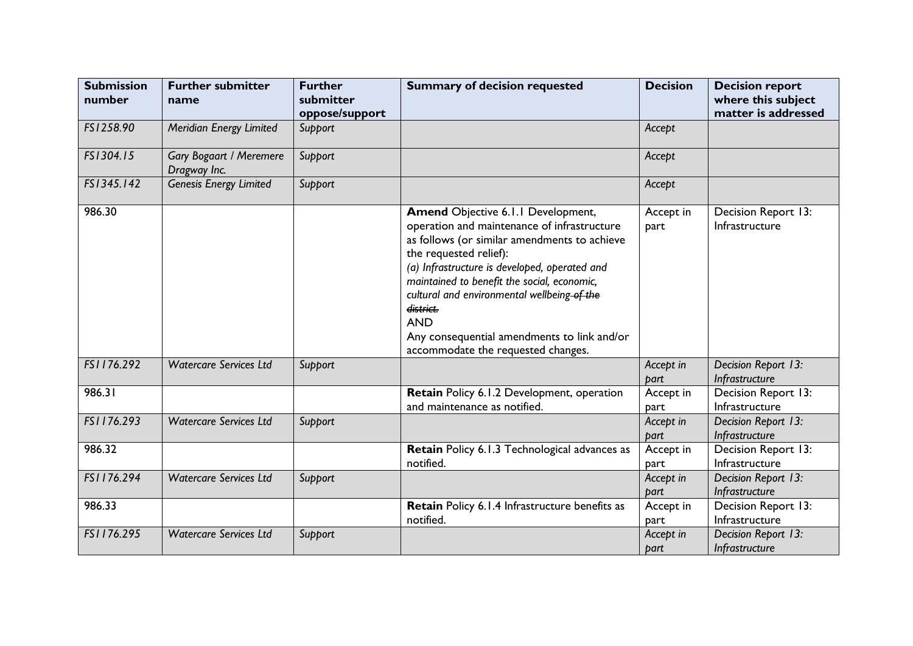| <b>Submission</b><br>number | <b>Further submitter</b><br>name               | <b>Further</b><br>submitter<br>oppose/support | <b>Summary of decision requested</b>                                                                                                                                                                                                                                                                                                                                                                                              | <b>Decision</b>   | <b>Decision report</b><br>where this subject<br>matter is addressed |
|-----------------------------|------------------------------------------------|-----------------------------------------------|-----------------------------------------------------------------------------------------------------------------------------------------------------------------------------------------------------------------------------------------------------------------------------------------------------------------------------------------------------------------------------------------------------------------------------------|-------------------|---------------------------------------------------------------------|
| FS1258.90                   | Meridian Energy Limited                        | Support                                       |                                                                                                                                                                                                                                                                                                                                                                                                                                   | Accept            |                                                                     |
| FS1304.15                   | <b>Gary Bogaart / Meremere</b><br>Dragway Inc. | Support                                       |                                                                                                                                                                                                                                                                                                                                                                                                                                   | Accept            |                                                                     |
| FS1345.142                  | Genesis Energy Limited                         | Support                                       |                                                                                                                                                                                                                                                                                                                                                                                                                                   | Accept            |                                                                     |
| 986.30                      |                                                |                                               | <b>Amend Objective 6.1.1 Development,</b><br>operation and maintenance of infrastructure<br>as follows (or similar amendments to achieve<br>the requested relief):<br>(a) Infrastructure is developed, operated and<br>maintained to benefit the social, economic,<br>cultural and environmental wellbeing of the<br>district.<br><b>AND</b><br>Any consequential amendments to link and/or<br>accommodate the requested changes. | Accept in<br>part | Decision Report 13:<br>Infrastructure                               |
| FS1176.292                  | <b>Watercare Services Ltd</b>                  | Support                                       |                                                                                                                                                                                                                                                                                                                                                                                                                                   | Accept in<br>part | Decision Report 13:<br>Infrastructure                               |
| 986.31                      |                                                |                                               | Retain Policy 6.1.2 Development, operation<br>and maintenance as notified.                                                                                                                                                                                                                                                                                                                                                        | Accept in<br>part | Decision Report 13:<br>Infrastructure                               |
| FS1176.293                  | <b>Watercare Services Ltd</b>                  | Support                                       |                                                                                                                                                                                                                                                                                                                                                                                                                                   | Accept in<br>part | Decision Report 13:<br>Infrastructure                               |
| 986.32                      |                                                |                                               | Retain Policy 6.1.3 Technological advances as<br>notified.                                                                                                                                                                                                                                                                                                                                                                        | Accept in<br>part | Decision Report 13:<br>Infrastructure                               |
| FS1176.294                  | <b>Watercare Services Ltd</b>                  | Support                                       |                                                                                                                                                                                                                                                                                                                                                                                                                                   | Accept in<br>part | Decision Report 13:<br>Infrastructure                               |
| 986.33                      |                                                |                                               | Retain Policy 6.1.4 Infrastructure benefits as<br>notified.                                                                                                                                                                                                                                                                                                                                                                       | Accept in<br>part | Decision Report 13:<br>Infrastructure                               |
| FS1176.295                  | <b>Watercare Services Ltd</b>                  | Support                                       |                                                                                                                                                                                                                                                                                                                                                                                                                                   | Accept in<br>part | Decision Report 13:<br>Infrastructure                               |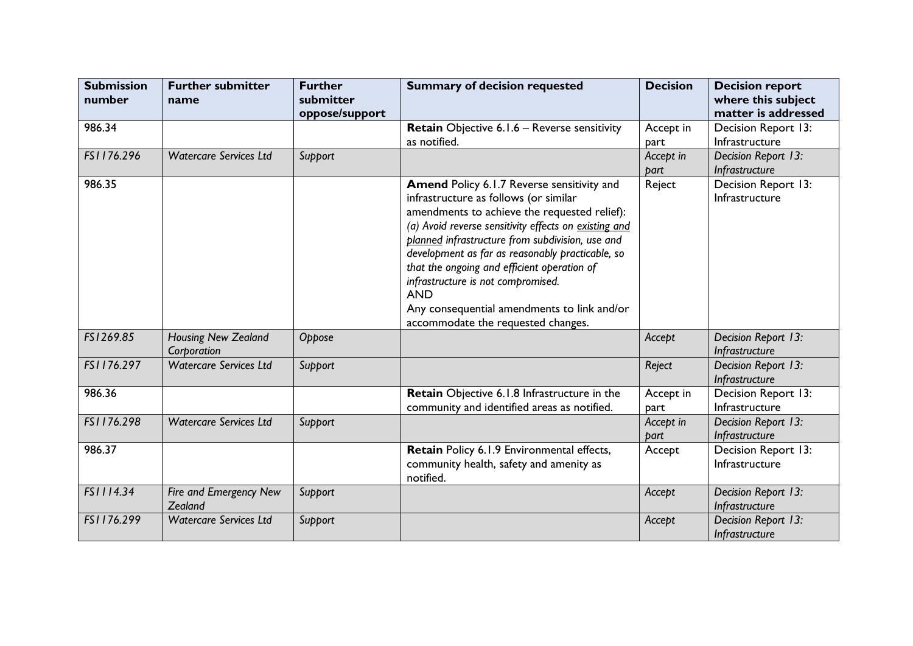| <b>Submission</b><br>number | <b>Further submitter</b><br>name   | <b>Further</b><br>submitter | <b>Summary of decision requested</b>                  | <b>Decision</b> | <b>Decision report</b><br>where this subject |
|-----------------------------|------------------------------------|-----------------------------|-------------------------------------------------------|-----------------|----------------------------------------------|
|                             |                                    | oppose/support              |                                                       |                 | matter is addressed                          |
| 986.34                      |                                    |                             | Retain Objective 6.1.6 - Reverse sensitivity          | Accept in       | Decision Report 13:                          |
|                             |                                    |                             | as notified.                                          | part            | Infrastructure                               |
| FS1176.296                  | <b>Watercare Services Ltd</b>      | Support                     |                                                       | Accept in       | Decision Report 13:                          |
|                             |                                    |                             |                                                       | part            | Infrastructure                               |
| 986.35                      |                                    |                             | <b>Amend Policy 6.1.7 Reverse sensitivity and</b>     | Reject          | Decision Report 13:                          |
|                             |                                    |                             | infrastructure as follows (or similar                 |                 | Infrastructure                               |
|                             |                                    |                             | amendments to achieve the requested relief):          |                 |                                              |
|                             |                                    |                             | (a) Avoid reverse sensitivity effects on existing and |                 |                                              |
|                             |                                    |                             | planned infrastructure from subdivision, use and      |                 |                                              |
|                             |                                    |                             | development as far as reasonably practicable, so      |                 |                                              |
|                             |                                    |                             | that the ongoing and efficient operation of           |                 |                                              |
|                             |                                    |                             | infrastructure is not compromised.<br><b>AND</b>      |                 |                                              |
|                             |                                    |                             | Any consequential amendments to link and/or           |                 |                                              |
|                             |                                    |                             | accommodate the requested changes.                    |                 |                                              |
| FS1269.85                   |                                    |                             |                                                       |                 |                                              |
|                             | Housing New Zealand<br>Corporation | Oppose                      |                                                       | Accept          | Decision Report 13:<br>Infrastructure        |
| FS1176.297                  | <b>Watercare Services Ltd</b>      | Support                     |                                                       | Reject          | Decision Report 13:                          |
|                             |                                    |                             |                                                       |                 | Infrastructure                               |
| 986.36                      |                                    |                             | Retain Objective 6.1.8 Infrastructure in the          | Accept in       | Decision Report 13:                          |
|                             |                                    |                             | community and identified areas as notified.           | part            | Infrastructure                               |
| FS1176.298                  | <b>Watercare Services Ltd</b>      | Support                     |                                                       | Accept in       | Decision Report 13:                          |
|                             |                                    |                             |                                                       | part            | Infrastructure                               |
| 986.37                      |                                    |                             | Retain Policy 6.1.9 Environmental effects,            | Accept          | Decision Report 13:                          |
|                             |                                    |                             | community health, safety and amenity as               |                 | Infrastructure                               |
|                             |                                    |                             | notified.                                             |                 |                                              |
| FS1114.34                   | Fire and Emergency New             | Support                     |                                                       | Accept          | Decision Report 13:                          |
|                             | Zealand                            |                             |                                                       |                 | Infrastructure                               |
| FS1176.299                  | <b>Watercare Services Ltd</b>      | Support                     |                                                       | Accept          | Decision Report 13:                          |
|                             |                                    |                             |                                                       |                 | Infrastructure                               |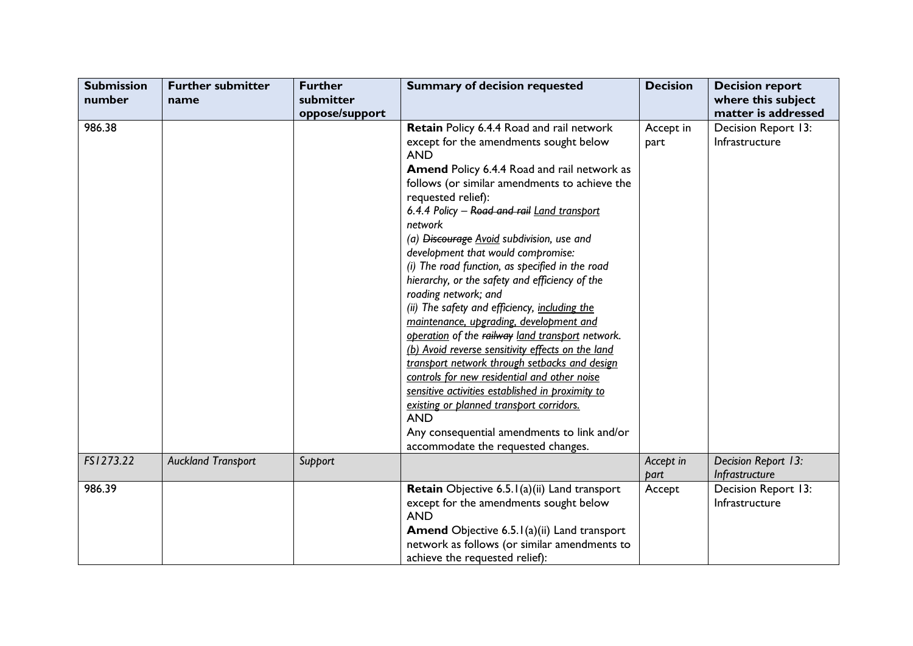| <b>Submission</b> | <b>Further submitter</b>  | <b>Further</b> | <b>Summary of decision requested</b>                                                                                                                                                                                                                                                                                                                                                                                                                                                                                                                                                                                                                                                                                                                                                                                                                                                                                         | <b>Decision</b>   | <b>Decision report</b>                                       |
|-------------------|---------------------------|----------------|------------------------------------------------------------------------------------------------------------------------------------------------------------------------------------------------------------------------------------------------------------------------------------------------------------------------------------------------------------------------------------------------------------------------------------------------------------------------------------------------------------------------------------------------------------------------------------------------------------------------------------------------------------------------------------------------------------------------------------------------------------------------------------------------------------------------------------------------------------------------------------------------------------------------------|-------------------|--------------------------------------------------------------|
| number            | name                      | submitter      |                                                                                                                                                                                                                                                                                                                                                                                                                                                                                                                                                                                                                                                                                                                                                                                                                                                                                                                              |                   | where this subject                                           |
| 986.38            |                           | oppose/support | Retain Policy 6.4.4 Road and rail network<br>except for the amendments sought below<br><b>AND</b><br><b>Amend Policy 6.4.4 Road and rail network as</b><br>follows (or similar amendments to achieve the<br>requested relief):<br>6.4.4 Policy - Road and rail Land transport<br>network<br>(a) Discourage Avoid subdivision, use and<br>development that would compromise:<br>(i) The road function, as specified in the road<br>hierarchy, or the safety and efficiency of the<br>roading network; and<br>(ii) The safety and efficiency, including the<br>maintenance, upgrading, development and<br>operation of the railway land transport network.<br>(b) Avoid reverse sensitivity effects on the land<br>transport network through setbacks and design<br>controls for new residential and other noise<br>sensitive activities established in proximity to<br>existing or planned transport corridors.<br><b>AND</b> | Accept in<br>part | matter is addressed<br>Decision Report 13:<br>Infrastructure |
|                   |                           |                | Any consequential amendments to link and/or<br>accommodate the requested changes.                                                                                                                                                                                                                                                                                                                                                                                                                                                                                                                                                                                                                                                                                                                                                                                                                                            |                   |                                                              |
| FS1273.22         | <b>Auckland Transport</b> | Support        |                                                                                                                                                                                                                                                                                                                                                                                                                                                                                                                                                                                                                                                                                                                                                                                                                                                                                                                              | Accept in<br>part | Decision Report 13:<br>Infrastructure                        |
| 986.39            |                           |                | Retain Objective 6.5.1(a)(ii) Land transport<br>except for the amendments sought below<br><b>AND</b><br>Amend Objective 6.5.1(a)(ii) Land transport<br>network as follows (or similar amendments to<br>achieve the requested relief):                                                                                                                                                                                                                                                                                                                                                                                                                                                                                                                                                                                                                                                                                        | Accept            | Decision Report 13:<br>Infrastructure                        |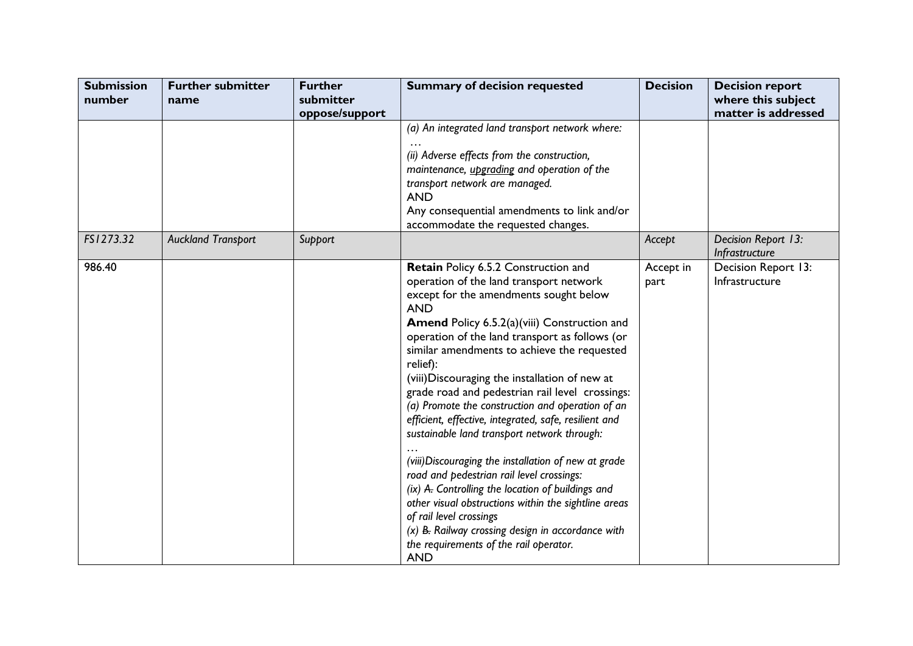| <b>Submission</b><br>number | <b>Further submitter</b><br>name | <b>Further</b><br>submitter<br>oppose/support | <b>Summary of decision requested</b>                                                                                                                                                                                                                                                                                                                                                                                                                                                                                                                                                                                                                                                                                                                                                                                                                                                                                              | <b>Decision</b>   | <b>Decision report</b><br>where this subject<br>matter is addressed |
|-----------------------------|----------------------------------|-----------------------------------------------|-----------------------------------------------------------------------------------------------------------------------------------------------------------------------------------------------------------------------------------------------------------------------------------------------------------------------------------------------------------------------------------------------------------------------------------------------------------------------------------------------------------------------------------------------------------------------------------------------------------------------------------------------------------------------------------------------------------------------------------------------------------------------------------------------------------------------------------------------------------------------------------------------------------------------------------|-------------------|---------------------------------------------------------------------|
|                             |                                  |                                               | (a) An integrated land transport network where:<br>(ii) Adverse effects from the construction,<br>maintenance, <i>upgrading</i> and operation of the<br>transport network are managed.<br><b>AND</b><br>Any consequential amendments to link and/or<br>accommodate the requested changes.                                                                                                                                                                                                                                                                                                                                                                                                                                                                                                                                                                                                                                         |                   |                                                                     |
| FS1273.32                   | <b>Auckland Transport</b>        | Support                                       |                                                                                                                                                                                                                                                                                                                                                                                                                                                                                                                                                                                                                                                                                                                                                                                                                                                                                                                                   | Accept            | Decision Report 13:<br>Infrastructure                               |
| 986.40                      |                                  |                                               | Retain Policy 6.5.2 Construction and<br>operation of the land transport network<br>except for the amendments sought below<br><b>AND</b><br>Amend Policy 6.5.2(a)(viii) Construction and<br>operation of the land transport as follows (or<br>similar amendments to achieve the requested<br>relief):<br>(viii) Discouraging the installation of new at<br>grade road and pedestrian rail level crossings:<br>(a) Promote the construction and operation of an<br>efficient, effective, integrated, safe, resilient and<br>sustainable land transport network through:<br>(viii) Discouraging the installation of new at grade<br>road and pedestrian rail level crossings:<br>(ix) A. Controlling the location of buildings and<br>other visual obstructions within the sightline areas<br>of rail level crossings<br>$(x)$ B. Railway crossing design in accordance with<br>the requirements of the rail operator.<br><b>AND</b> | Accept in<br>part | Decision Report 13:<br>Infrastructure                               |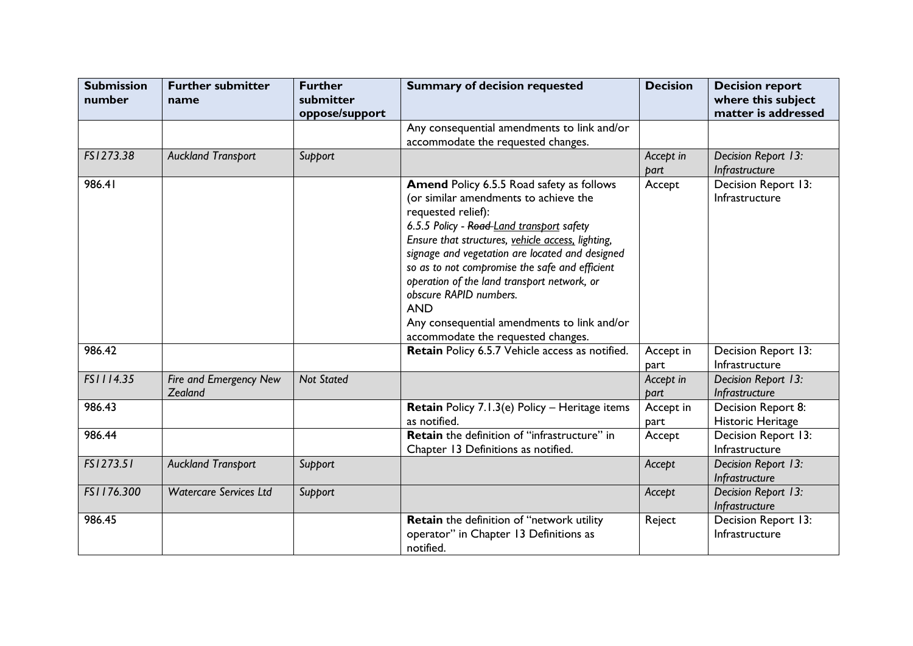| <b>Submission</b><br>number | <b>Further submitter</b><br>name  | <b>Further</b><br>submitter<br>oppose/support | <b>Summary of decision requested</b>                                                                                                                                                                                                                                                                                                                                                                                                                                                        | <b>Decision</b>   | <b>Decision report</b><br>where this subject<br>matter is addressed |
|-----------------------------|-----------------------------------|-----------------------------------------------|---------------------------------------------------------------------------------------------------------------------------------------------------------------------------------------------------------------------------------------------------------------------------------------------------------------------------------------------------------------------------------------------------------------------------------------------------------------------------------------------|-------------------|---------------------------------------------------------------------|
|                             |                                   |                                               | Any consequential amendments to link and/or<br>accommodate the requested changes.                                                                                                                                                                                                                                                                                                                                                                                                           |                   |                                                                     |
| FS1273.38                   | <b>Auckland Transport</b>         | Support                                       |                                                                                                                                                                                                                                                                                                                                                                                                                                                                                             | Accept in<br>part | Decision Report 13:<br>Infrastructure                               |
| 986.41                      |                                   |                                               | Amend Policy 6.5.5 Road safety as follows<br>(or similar amendments to achieve the<br>requested relief):<br>6.5.5 Policy - Road-Land transport safety<br>Ensure that structures, vehicle access, lighting,<br>signage and vegetation are located and designed<br>so as to not compromise the safe and efficient<br>operation of the land transport network, or<br>obscure RAPID numbers.<br><b>AND</b><br>Any consequential amendments to link and/or<br>accommodate the requested changes. | Accept            | Decision Report 13:<br>Infrastructure                               |
| 986.42                      |                                   |                                               | Retain Policy 6.5.7 Vehicle access as notified.                                                                                                                                                                                                                                                                                                                                                                                                                                             | Accept in<br>part | Decision Report 13:<br>Infrastructure                               |
| FS1114.35                   | Fire and Emergency New<br>Zealand | <b>Not Stated</b>                             |                                                                                                                                                                                                                                                                                                                                                                                                                                                                                             | Accept in<br>part | Decision Report 13:<br>Infrastructure                               |
| 986.43                      |                                   |                                               | Retain Policy 7.1.3(e) Policy - Heritage items<br>as notified.                                                                                                                                                                                                                                                                                                                                                                                                                              | Accept in<br>part | Decision Report 8:<br>Historic Heritage                             |
| 986.44                      |                                   |                                               | Retain the definition of "infrastructure" in<br>Chapter 13 Definitions as notified.                                                                                                                                                                                                                                                                                                                                                                                                         | Accept            | Decision Report 13:<br>Infrastructure                               |
| FS1273.51                   | <b>Auckland Transport</b>         | Support                                       |                                                                                                                                                                                                                                                                                                                                                                                                                                                                                             | Accept            | Decision Report 13:<br>Infrastructure                               |
| FS1176.300                  | <b>Watercare Services Ltd</b>     | Support                                       |                                                                                                                                                                                                                                                                                                                                                                                                                                                                                             | Accept            | Decision Report 13:<br>Infrastructure                               |
| 986.45                      |                                   |                                               | Retain the definition of "network utility<br>operator" in Chapter 13 Definitions as<br>notified.                                                                                                                                                                                                                                                                                                                                                                                            | Reject            | Decision Report 13:<br>Infrastructure                               |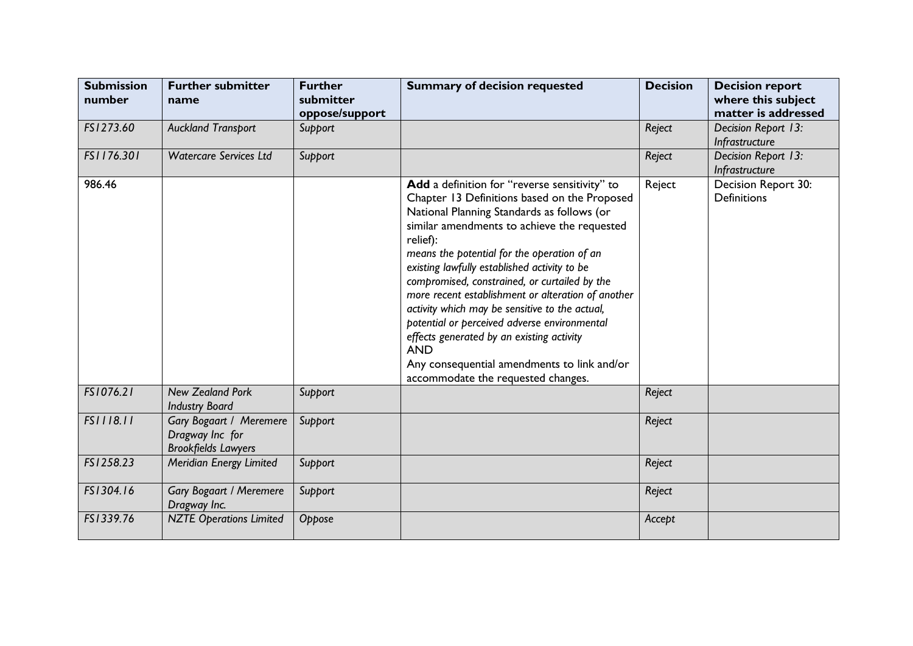| <b>Submission</b><br>number | <b>Further submitter</b><br>name                                         | <b>Further</b><br>submitter<br>oppose/support | <b>Summary of decision requested</b>                                                                                                                                                                                                                                                                                                                                                                                                                                                                                                                                                                                                                           | <b>Decision</b> | <b>Decision report</b><br>where this subject<br>matter is addressed |
|-----------------------------|--------------------------------------------------------------------------|-----------------------------------------------|----------------------------------------------------------------------------------------------------------------------------------------------------------------------------------------------------------------------------------------------------------------------------------------------------------------------------------------------------------------------------------------------------------------------------------------------------------------------------------------------------------------------------------------------------------------------------------------------------------------------------------------------------------------|-----------------|---------------------------------------------------------------------|
| FS1273.60                   | <b>Auckland Transport</b>                                                | Support                                       |                                                                                                                                                                                                                                                                                                                                                                                                                                                                                                                                                                                                                                                                | Reject          | Decision Report 13:<br>Infrastructure                               |
| FS1176.301                  | <b>Watercare Services Ltd</b>                                            | Support                                       |                                                                                                                                                                                                                                                                                                                                                                                                                                                                                                                                                                                                                                                                | Reject          | Decision Report 13:<br>Infrastructure                               |
| 986.46                      |                                                                          |                                               | Add a definition for "reverse sensitivity" to<br>Chapter 13 Definitions based on the Proposed<br>National Planning Standards as follows (or<br>similar amendments to achieve the requested<br>relief):<br>means the potential for the operation of an<br>existing lawfully established activity to be<br>compromised, constrained, or curtailed by the<br>more recent establishment or alteration of another<br>activity which may be sensitive to the actual,<br>potential or perceived adverse environmental<br>effects generated by an existing activity<br><b>AND</b><br>Any consequential amendments to link and/or<br>accommodate the requested changes. | Reject          | Decision Report 30:<br><b>Definitions</b>                           |
| FS1076.21                   | <b>New Zealand Pork</b><br><b>Industry Board</b>                         | Support                                       |                                                                                                                                                                                                                                                                                                                                                                                                                                                                                                                                                                                                                                                                | Reject          |                                                                     |
| FS1118.11                   | Gary Bogaart / Meremere<br>Dragway Inc for<br><b>Brookfields Lawyers</b> | Support                                       |                                                                                                                                                                                                                                                                                                                                                                                                                                                                                                                                                                                                                                                                | Reject          |                                                                     |
| FS1258.23                   | Meridian Energy Limited                                                  | Support                                       |                                                                                                                                                                                                                                                                                                                                                                                                                                                                                                                                                                                                                                                                | Reject          |                                                                     |
| FS1304.16                   | <b>Gary Bogaart / Meremere</b><br>Dragway Inc.                           | Support                                       |                                                                                                                                                                                                                                                                                                                                                                                                                                                                                                                                                                                                                                                                | Reject          |                                                                     |
| FS1339.76                   | <b>NZTE Operations Limited</b>                                           | Oppose                                        |                                                                                                                                                                                                                                                                                                                                                                                                                                                                                                                                                                                                                                                                | Accept          |                                                                     |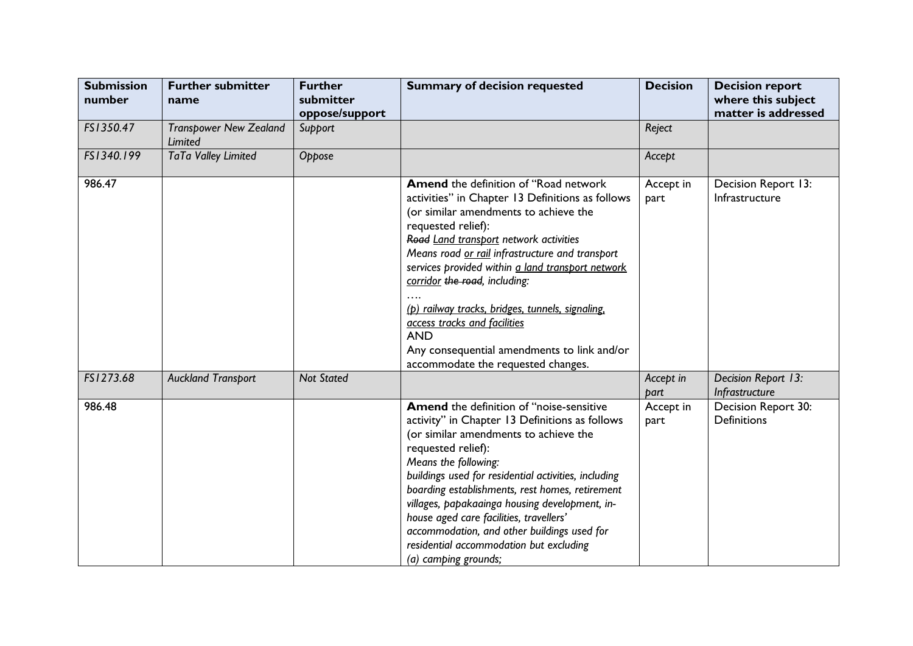| <b>Submission</b><br>number | <b>Further submitter</b><br>name         | <b>Further</b><br>submitter<br>oppose/support | <b>Summary of decision requested</b>                                                                                                                                                                                                                                                                                                                                                                                                                                                                                                      | <b>Decision</b>   | <b>Decision report</b><br>where this subject<br>matter is addressed |
|-----------------------------|------------------------------------------|-----------------------------------------------|-------------------------------------------------------------------------------------------------------------------------------------------------------------------------------------------------------------------------------------------------------------------------------------------------------------------------------------------------------------------------------------------------------------------------------------------------------------------------------------------------------------------------------------------|-------------------|---------------------------------------------------------------------|
| FS1350.47                   | <b>Transpower New Zealand</b><br>Limited | Support                                       |                                                                                                                                                                                                                                                                                                                                                                                                                                                                                                                                           | Reject            |                                                                     |
| FS1340.199                  | TaTa Valley Limited                      | Oppose                                        |                                                                                                                                                                                                                                                                                                                                                                                                                                                                                                                                           | Accept            |                                                                     |
| 986.47                      |                                          |                                               | <b>Amend</b> the definition of "Road network<br>activities" in Chapter 13 Definitions as follows<br>(or similar amendments to achieve the<br>requested relief):<br>Road Land transport network activities<br>Means road or rail infrastructure and transport<br>services provided within a land transport network<br>corridor the road, including:<br>(p) railway tracks, bridges, tunnels, signaling,<br>access tracks and facilities<br><b>AND</b><br>Any consequential amendments to link and/or<br>accommodate the requested changes. | Accept in<br>part | Decision Report 13:<br>Infrastructure                               |
| FS1273.68                   | <b>Auckland Transport</b>                | <b>Not Stated</b>                             |                                                                                                                                                                                                                                                                                                                                                                                                                                                                                                                                           | Accept in<br>part | Decision Report 13:<br>Infrastructure                               |
| 986.48                      |                                          |                                               | Amend the definition of "noise-sensitive<br>activity" in Chapter 13 Definitions as follows<br>(or similar amendments to achieve the<br>requested relief):<br>Means the following:<br>buildings used for residential activities, including<br>boarding establishments, rest homes, retirement<br>villages, papakaainga housing development, in-<br>house aged care facilities, travellers'<br>accommodation, and other buildings used for<br>residential accommodation but excluding<br>(a) camping grounds;                               | Accept in<br>part | Decision Report 30:<br><b>Definitions</b>                           |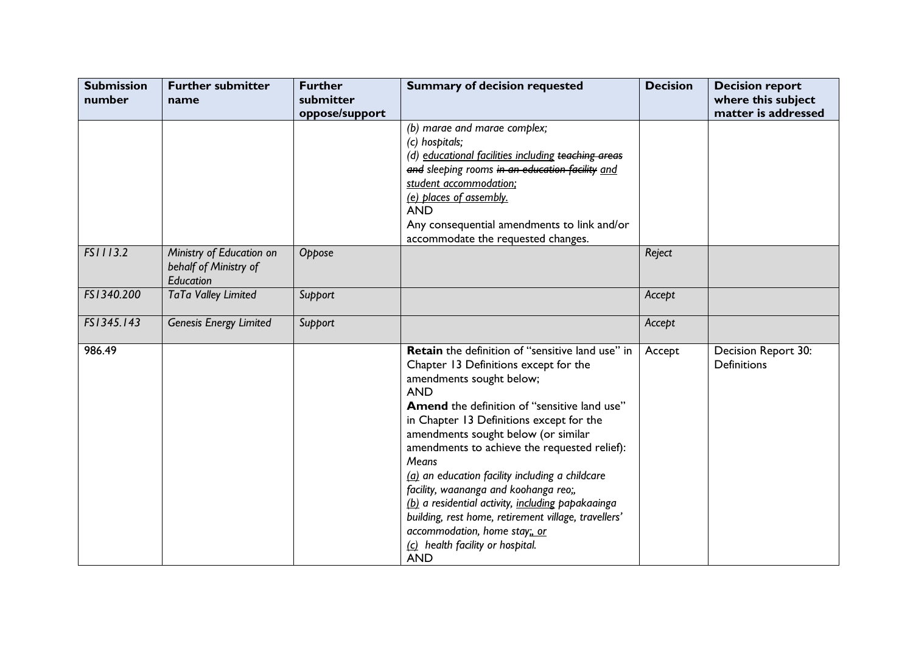| <b>Submission</b><br>number | <b>Further submitter</b><br>name                               | <b>Further</b><br>submitter | <b>Summary of decision requested</b>                                                                                                                                                                                                                                                                                                                                                                                                                                                                                                                                                                                                     | <b>Decision</b> | <b>Decision report</b><br>where this subject |
|-----------------------------|----------------------------------------------------------------|-----------------------------|------------------------------------------------------------------------------------------------------------------------------------------------------------------------------------------------------------------------------------------------------------------------------------------------------------------------------------------------------------------------------------------------------------------------------------------------------------------------------------------------------------------------------------------------------------------------------------------------------------------------------------------|-----------------|----------------------------------------------|
|                             |                                                                | oppose/support              | (b) marae and marae complex;<br>(c) hospitals;<br>(d) educational facilities including teaching areas<br>and sleeping rooms in an education facility and<br>student accommodation;<br>(e) places of assembly.<br><b>AND</b><br>Any consequential amendments to link and/or<br>accommodate the requested changes.                                                                                                                                                                                                                                                                                                                         |                 | matter is addressed                          |
| FS1113.2                    | Ministry of Education on<br>behalf of Ministry of<br>Education | Oppose                      |                                                                                                                                                                                                                                                                                                                                                                                                                                                                                                                                                                                                                                          | Reject          |                                              |
| FS1340.200                  | TaTa Valley Limited                                            | Support                     |                                                                                                                                                                                                                                                                                                                                                                                                                                                                                                                                                                                                                                          | Accept          |                                              |
| FS1345.143                  | <b>Genesis Energy Limited</b>                                  | Support                     |                                                                                                                                                                                                                                                                                                                                                                                                                                                                                                                                                                                                                                          | Accept          |                                              |
| 986.49                      |                                                                |                             | <b>Retain</b> the definition of "sensitive land use" in<br>Chapter 13 Definitions except for the<br>amendments sought below;<br><b>AND</b><br><b>Amend</b> the definition of "sensitive land use"<br>in Chapter 13 Definitions except for the<br>amendments sought below (or similar<br>amendments to achieve the requested relief):<br>Means<br>(a) an education facility including a childcare<br>facility, waananga and koohanga reo;,<br>(b) a residential activity, including papakaainga<br>building, rest home, retirement village, travellers'<br>accommodation, home stay; or<br>(c) health facility or hospital.<br><b>AND</b> | Accept          | Decision Report 30:<br><b>Definitions</b>    |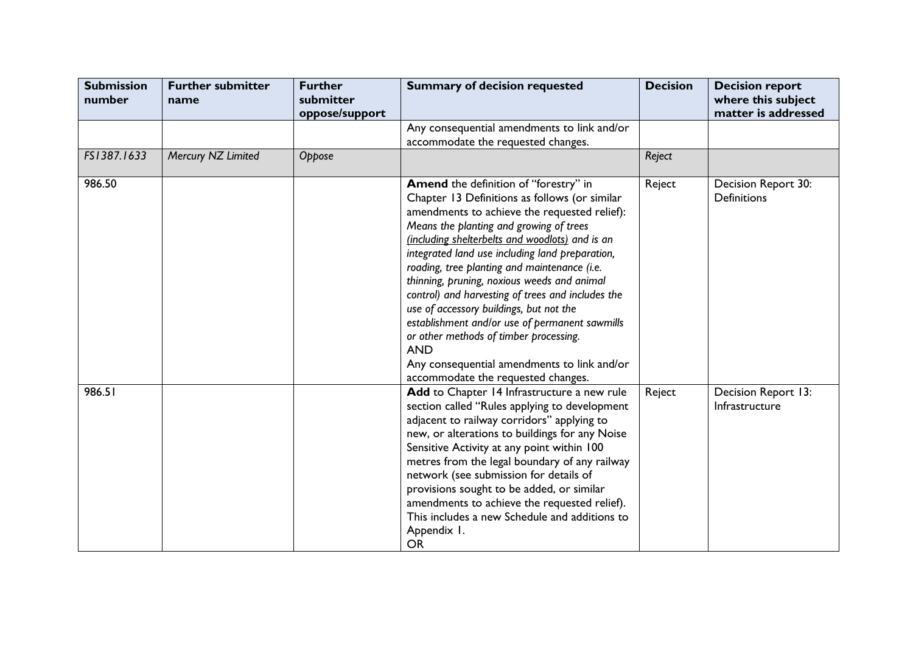| <b>Submission</b><br>number | <b>Further submitter</b><br>name | <b>Further</b><br>submitter<br>oppose/support | <b>Summary of decision requested</b>                                                                                                                                                                                                                                                                                                                                                                                                                                                                                                                                                                                                                                                         | <b>Decision</b> | <b>Decision report</b><br>where this subject<br>matter is addressed |
|-----------------------------|----------------------------------|-----------------------------------------------|----------------------------------------------------------------------------------------------------------------------------------------------------------------------------------------------------------------------------------------------------------------------------------------------------------------------------------------------------------------------------------------------------------------------------------------------------------------------------------------------------------------------------------------------------------------------------------------------------------------------------------------------------------------------------------------------|-----------------|---------------------------------------------------------------------|
|                             |                                  |                                               | Any consequential amendments to link and/or<br>accommodate the requested changes.                                                                                                                                                                                                                                                                                                                                                                                                                                                                                                                                                                                                            |                 |                                                                     |
| FS1387.1633                 | Mercury NZ Limited               | Oppose                                        |                                                                                                                                                                                                                                                                                                                                                                                                                                                                                                                                                                                                                                                                                              | Reject          |                                                                     |
| 986.50                      |                                  |                                               | <b>Amend</b> the definition of "forestry" in<br>Chapter 13 Definitions as follows (or similar<br>amendments to achieve the requested relief):<br>Means the planting and growing of trees<br>(including shelterbelts and woodlots) and is an<br>integrated land use including land preparation,<br>roading, tree planting and maintenance (i.e.<br>thinning, pruning, noxious weeds and animal<br>control) and harvesting of trees and includes the<br>use of accessory buildings, but not the<br>establishment and/or use of permanent sawmills<br>or other methods of timber processing.<br><b>AND</b><br>Any consequential amendments to link and/or<br>accommodate the requested changes. | Reject          | Decision Report 30:<br><b>Definitions</b>                           |
| 986.51                      |                                  |                                               | Add to Chapter 14 Infrastructure a new rule<br>section called "Rules applying to development<br>adjacent to railway corridors" applying to<br>new, or alterations to buildings for any Noise<br>Sensitive Activity at any point within 100<br>metres from the legal boundary of any railway<br>network (see submission for details of<br>provisions sought to be added, or similar<br>amendments to achieve the requested relief).<br>This includes a new Schedule and additions to<br>Appendix I.<br><b>OR</b>                                                                                                                                                                              | Reject          | Decision Report 13:<br>Infrastructure                               |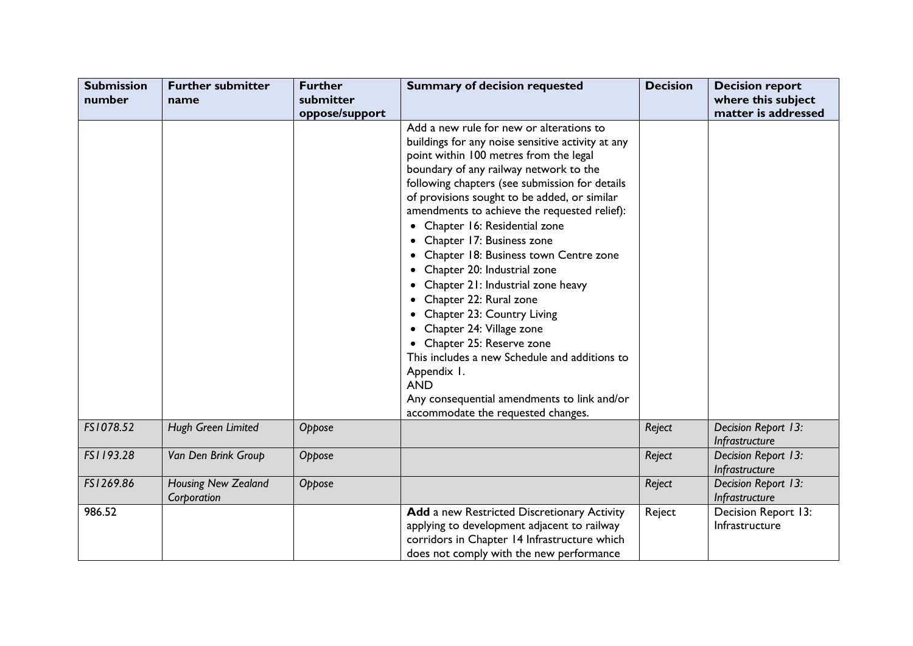| <b>Submission</b> | <b>Further submitter</b>                  | <b>Further</b>              | <b>Summary of decision requested</b>                                                                                                                                                                                                                                                                                                                                                                                                                                                                                                                                                                                                                                                                                                                                                                       | <b>Decision</b> | <b>Decision report</b>                    |
|-------------------|-------------------------------------------|-----------------------------|------------------------------------------------------------------------------------------------------------------------------------------------------------------------------------------------------------------------------------------------------------------------------------------------------------------------------------------------------------------------------------------------------------------------------------------------------------------------------------------------------------------------------------------------------------------------------------------------------------------------------------------------------------------------------------------------------------------------------------------------------------------------------------------------------------|-----------------|-------------------------------------------|
| number            | name                                      | submitter<br>oppose/support |                                                                                                                                                                                                                                                                                                                                                                                                                                                                                                                                                                                                                                                                                                                                                                                                            |                 | where this subject<br>matter is addressed |
|                   |                                           |                             | Add a new rule for new or alterations to<br>buildings for any noise sensitive activity at any<br>point within 100 metres from the legal<br>boundary of any railway network to the<br>following chapters (see submission for details<br>of provisions sought to be added, or similar<br>amendments to achieve the requested relief):<br>• Chapter 16: Residential zone<br>• Chapter 17: Business zone<br>• Chapter 18: Business town Centre zone<br>• Chapter 20: Industrial zone<br>Chapter 21: Industrial zone heavy<br>Chapter 22: Rural zone<br>Chapter 23: Country Living<br>Chapter 24: Village zone<br>• Chapter 25: Reserve zone<br>This includes a new Schedule and additions to<br>Appendix 1.<br><b>AND</b><br>Any consequential amendments to link and/or<br>accommodate the requested changes. |                 |                                           |
| FS1078.52         | Hugh Green Limited                        | Oppose                      |                                                                                                                                                                                                                                                                                                                                                                                                                                                                                                                                                                                                                                                                                                                                                                                                            | Reject          | Decision Report 13:<br>Infrastructure     |
| FS1193.28         | Van Den Brink Group                       | Oppose                      |                                                                                                                                                                                                                                                                                                                                                                                                                                                                                                                                                                                                                                                                                                                                                                                                            | Reject          | Decision Report 13:<br>Infrastructure     |
| FS1269.86         | <b>Housing New Zealand</b><br>Corporation | Oppose                      |                                                                                                                                                                                                                                                                                                                                                                                                                                                                                                                                                                                                                                                                                                                                                                                                            | Reject          | Decision Report 13:<br>Infrastructure     |
| 986.52            |                                           |                             | Add a new Restricted Discretionary Activity<br>applying to development adjacent to railway<br>corridors in Chapter 14 Infrastructure which<br>does not comply with the new performance                                                                                                                                                                                                                                                                                                                                                                                                                                                                                                                                                                                                                     | Reject          | Decision Report 13:<br>Infrastructure     |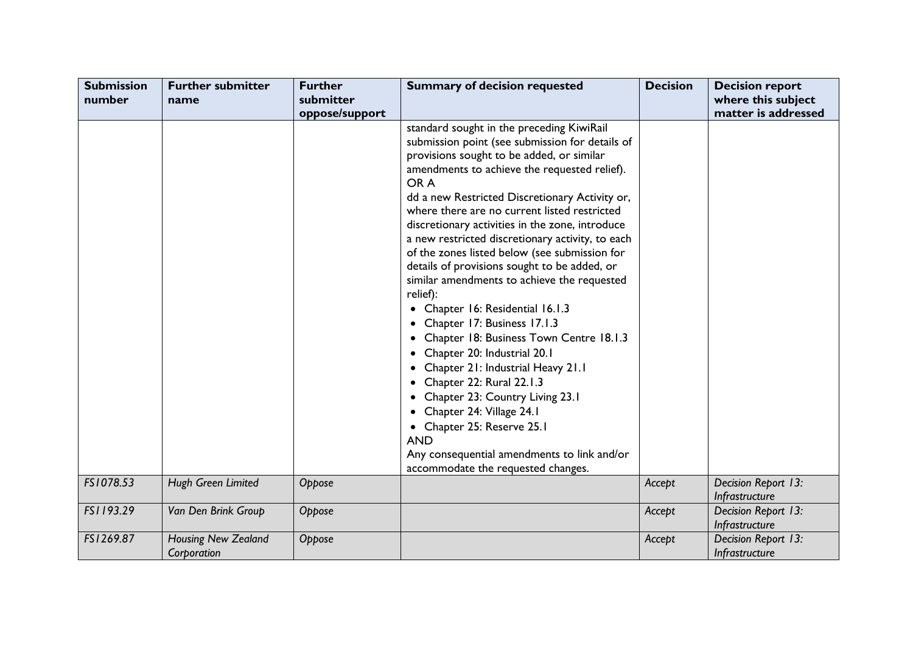| <b>Submission</b> | <b>Further submitter</b>                  | <b>Further</b> | <b>Summary of decision requested</b>                                                                                                                                                                                                                                                                                                                                                                                                                                                                                                                                                                                                                                                                                                                                                                                                                     | <b>Decision</b> | <b>Decision report</b>                |
|-------------------|-------------------------------------------|----------------|----------------------------------------------------------------------------------------------------------------------------------------------------------------------------------------------------------------------------------------------------------------------------------------------------------------------------------------------------------------------------------------------------------------------------------------------------------------------------------------------------------------------------------------------------------------------------------------------------------------------------------------------------------------------------------------------------------------------------------------------------------------------------------------------------------------------------------------------------------|-----------------|---------------------------------------|
| number            | name                                      | submitter      |                                                                                                                                                                                                                                                                                                                                                                                                                                                                                                                                                                                                                                                                                                                                                                                                                                                          |                 | where this subject                    |
|                   |                                           | oppose/support |                                                                                                                                                                                                                                                                                                                                                                                                                                                                                                                                                                                                                                                                                                                                                                                                                                                          |                 | matter is addressed                   |
|                   |                                           |                | standard sought in the preceding KiwiRail<br>submission point (see submission for details of<br>provisions sought to be added, or similar<br>amendments to achieve the requested relief).<br>OR A<br>dd a new Restricted Discretionary Activity or,<br>where there are no current listed restricted<br>discretionary activities in the zone, introduce<br>a new restricted discretionary activity, to each<br>of the zones listed below (see submission for<br>details of provisions sought to be added, or<br>similar amendments to achieve the requested<br>relief):<br>• Chapter 16: Residential 16.1.3<br>Chapter 17: Business 17.1.3<br>Chapter 18: Business Town Centre 18.1.3<br>٠<br>Chapter 20: Industrial 20.1<br>Chapter 21: Industrial Heavy 21.1<br>Chapter 22: Rural 22.1.3<br>Chapter 23: Country Living 23.1<br>Chapter 24: Village 24.1 |                 |                                       |
|                   |                                           |                | Chapter 25: Reserve 25.1<br><b>AND</b><br>Any consequential amendments to link and/or                                                                                                                                                                                                                                                                                                                                                                                                                                                                                                                                                                                                                                                                                                                                                                    |                 |                                       |
|                   |                                           |                | accommodate the requested changes.                                                                                                                                                                                                                                                                                                                                                                                                                                                                                                                                                                                                                                                                                                                                                                                                                       |                 |                                       |
| FS1078.53         | Hugh Green Limited                        | Oppose         |                                                                                                                                                                                                                                                                                                                                                                                                                                                                                                                                                                                                                                                                                                                                                                                                                                                          | Accept          | Decision Report 13:<br>Infrastructure |
| FS1193.29         | Van Den Brink Group                       | Oppose         |                                                                                                                                                                                                                                                                                                                                                                                                                                                                                                                                                                                                                                                                                                                                                                                                                                                          | Accept          | Decision Report 13:<br>Infrastructure |
| FS1269.87         | <b>Housing New Zealand</b><br>Corporation | Oppose         |                                                                                                                                                                                                                                                                                                                                                                                                                                                                                                                                                                                                                                                                                                                                                                                                                                                          | Accept          | Decision Report 13:<br>Infrastructure |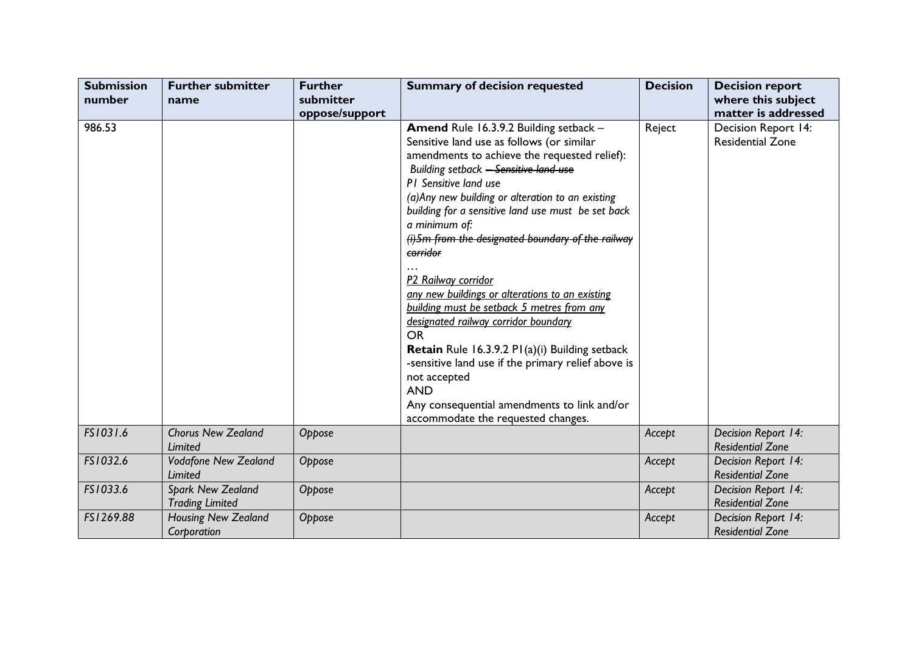| <b>Submission</b><br>number | <b>Further submitter</b><br>name            | <b>Further</b><br>submitter<br>oppose/support | <b>Summary of decision requested</b>                                                                                                                                                                                                                                                                                                                                                                                                                                                                                                                                                                                                                                                                                                                                                                               | <b>Decision</b> | <b>Decision report</b><br>where this subject<br>matter is addressed |
|-----------------------------|---------------------------------------------|-----------------------------------------------|--------------------------------------------------------------------------------------------------------------------------------------------------------------------------------------------------------------------------------------------------------------------------------------------------------------------------------------------------------------------------------------------------------------------------------------------------------------------------------------------------------------------------------------------------------------------------------------------------------------------------------------------------------------------------------------------------------------------------------------------------------------------------------------------------------------------|-----------------|---------------------------------------------------------------------|
| 986.53                      |                                             |                                               | Amend Rule 16.3.9.2 Building setback -<br>Sensitive land use as follows (or similar<br>amendments to achieve the requested relief):<br>Building setback - Sensitive land use<br>PI Sensitive land use<br>(a) Any new building or alteration to an existing<br>building for a sensitive land use must be set back<br>a minimum of:<br>(i) 5m from the designated boundary of the railway<br>corridor<br>P2 Railway corridor<br>any new buildings or alterations to an existing<br>building must be setback 5 metres from any<br>designated railway corridor boundary<br><b>OR</b><br><b>Retain</b> Rule 16.3.9.2 P1(a)(i) Building setback<br>-sensitive land use if the primary relief above is<br>not accepted<br><b>AND</b><br>Any consequential amendments to link and/or<br>accommodate the requested changes. | Reject          | Decision Report 14:<br><b>Residential Zone</b>                      |
| FS1031.6                    | <b>Chorus New Zealand</b><br>Limited        | Oppose                                        |                                                                                                                                                                                                                                                                                                                                                                                                                                                                                                                                                                                                                                                                                                                                                                                                                    | Accept          | Decision Report 14:<br><b>Residential Zone</b>                      |
| FS1032.6                    | Vodafone New Zealand<br>Limited             | Oppose                                        |                                                                                                                                                                                                                                                                                                                                                                                                                                                                                                                                                                                                                                                                                                                                                                                                                    | Accept          | Decision Report 14:<br><b>Residential Zone</b>                      |
| FS1033.6                    | Spark New Zealand<br><b>Trading Limited</b> | Oppose                                        |                                                                                                                                                                                                                                                                                                                                                                                                                                                                                                                                                                                                                                                                                                                                                                                                                    | Accept          | Decision Report 14:<br><b>Residential Zone</b>                      |
| FS1269.88                   | Housing New Zealand<br>Corporation          | Oppose                                        |                                                                                                                                                                                                                                                                                                                                                                                                                                                                                                                                                                                                                                                                                                                                                                                                                    | Accept          | Decision Report 14:<br><b>Residential Zone</b>                      |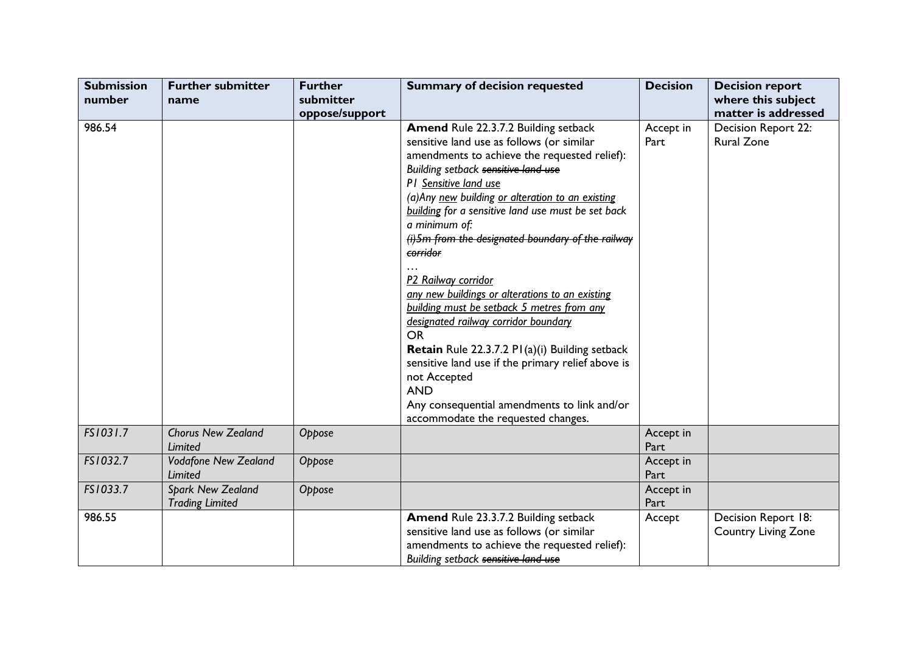| <b>Submission</b> | <b>Further submitter</b>    | <b>Further</b> | <b>Summary of decision requested</b>               | <b>Decision</b> | <b>Decision report</b> |
|-------------------|-----------------------------|----------------|----------------------------------------------------|-----------------|------------------------|
| number            | name                        | submitter      |                                                    |                 | where this subject     |
|                   |                             | oppose/support |                                                    |                 | matter is addressed    |
| 986.54            |                             |                | Amend Rule 22.3.7.2 Building setback               | Accept in       | Decision Report 22:    |
|                   |                             |                | sensitive land use as follows (or similar          | Part            | <b>Rural Zone</b>      |
|                   |                             |                | amendments to achieve the requested relief):       |                 |                        |
|                   |                             |                | Building setback sensitive land use                |                 |                        |
|                   |                             |                | P1 Sensitive land use                              |                 |                        |
|                   |                             |                | (a) Any new building or alteration to an existing  |                 |                        |
|                   |                             |                | building for a sensitive land use must be set back |                 |                        |
|                   |                             |                | a minimum of:                                      |                 |                        |
|                   |                             |                | (i) 5m from the designated boundary of the railway |                 |                        |
|                   |                             |                | corridor                                           |                 |                        |
|                   |                             |                |                                                    |                 |                        |
|                   |                             |                | P2 Railway corridor                                |                 |                        |
|                   |                             |                | any new buildings or alterations to an existing    |                 |                        |
|                   |                             |                | building must be setback 5 metres from any         |                 |                        |
|                   |                             |                | designated railway corridor boundary               |                 |                        |
|                   |                             |                | <b>OR</b>                                          |                 |                        |
|                   |                             |                | Retain Rule 22.3.7.2 PI(a)(i) Building setback     |                 |                        |
|                   |                             |                | sensitive land use if the primary relief above is  |                 |                        |
|                   |                             |                | not Accepted                                       |                 |                        |
|                   |                             |                | <b>AND</b>                                         |                 |                        |
|                   |                             |                | Any consequential amendments to link and/or        |                 |                        |
|                   |                             |                | accommodate the requested changes.                 |                 |                        |
| FS1031.7          | <b>Chorus New Zealand</b>   | Oppose         |                                                    | Accept in       |                        |
|                   | Limited                     |                |                                                    | Part            |                        |
| FS1032.7          | <b>Vodafone New Zealand</b> | Oppose         |                                                    | Accept in       |                        |
|                   | <b>Limited</b>              |                |                                                    | Part            |                        |
| FS1033.7          | Spark New Zealand           | Oppose         |                                                    | Accept in       |                        |
|                   | <b>Trading Limited</b>      |                |                                                    | Part            |                        |
| 986.55            |                             |                | Amend Rule 23.3.7.2 Building setback               | Accept          | Decision Report 18:    |
|                   |                             |                | sensitive land use as follows (or similar          |                 | Country Living Zone    |
|                   |                             |                | amendments to achieve the requested relief):       |                 |                        |
|                   |                             |                | Building setback sensitive land use                |                 |                        |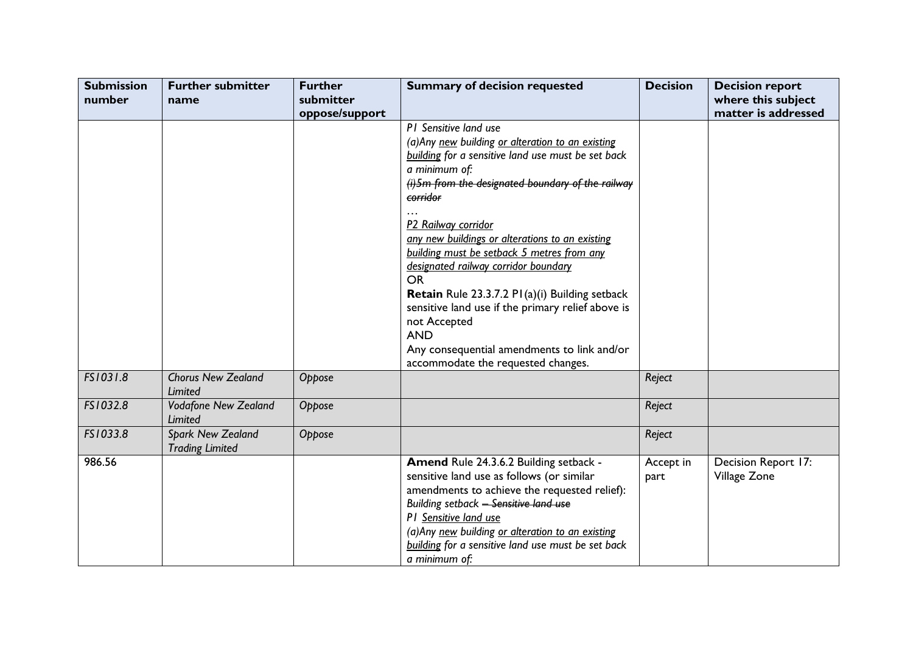| <b>Submission</b> | <b>Further submitter</b>    | <b>Further</b> | <b>Summary of decision requested</b>                              | <b>Decision</b> | <b>Decision report</b> |
|-------------------|-----------------------------|----------------|-------------------------------------------------------------------|-----------------|------------------------|
| number            | name                        | submitter      |                                                                   |                 | where this subject     |
|                   |                             | oppose/support |                                                                   |                 | matter is addressed    |
|                   |                             |                | P1 Sensitive land use                                             |                 |                        |
|                   |                             |                | (a) Any new building or alteration to an existing                 |                 |                        |
|                   |                             |                | building for a sensitive land use must be set back                |                 |                        |
|                   |                             |                | a minimum of:                                                     |                 |                        |
|                   |                             |                | $(i)$ 5m from the designated boundary of the railway              |                 |                        |
|                   |                             |                | corridor                                                          |                 |                        |
|                   |                             |                |                                                                   |                 |                        |
|                   |                             |                | P2 Railway corridor                                               |                 |                        |
|                   |                             |                | any new buildings or alterations to an existing                   |                 |                        |
|                   |                             |                | building must be setback 5 metres from any                        |                 |                        |
|                   |                             |                | designated railway corridor boundary                              |                 |                        |
|                   |                             |                | <b>OR</b>                                                         |                 |                        |
|                   |                             |                | <b>Retain</b> Rule 23.3.7.2 P1(a)(i) Building setback             |                 |                        |
|                   |                             |                | sensitive land use if the primary relief above is<br>not Accepted |                 |                        |
|                   |                             |                | <b>AND</b>                                                        |                 |                        |
|                   |                             |                | Any consequential amendments to link and/or                       |                 |                        |
|                   |                             |                | accommodate the requested changes.                                |                 |                        |
| FS1031.8          | <b>Chorus New Zealand</b>   | Oppose         |                                                                   | Reject          |                        |
|                   | Limited                     |                |                                                                   |                 |                        |
| FS1032.8          | <b>Vodafone New Zealand</b> | Oppose         |                                                                   | Reject          |                        |
|                   | Limited                     |                |                                                                   |                 |                        |
| FS1033.8          | Spark New Zealand           | Oppose         |                                                                   | Reject          |                        |
|                   | <b>Trading Limited</b>      |                |                                                                   |                 |                        |
| 986.56            |                             |                | Amend Rule 24.3.6.2 Building setback -                            | Accept in       | Decision Report 17:    |
|                   |                             |                | sensitive land use as follows (or similar                         | part            | Village Zone           |
|                   |                             |                | amendments to achieve the requested relief):                      |                 |                        |
|                   |                             |                | Building setback - Sensitive land use                             |                 |                        |
|                   |                             |                | P1 Sensitive land use                                             |                 |                        |
|                   |                             |                | (a) Any new building or alteration to an existing                 |                 |                        |
|                   |                             |                | building for a sensitive land use must be set back                |                 |                        |
|                   |                             |                | a minimum of:                                                     |                 |                        |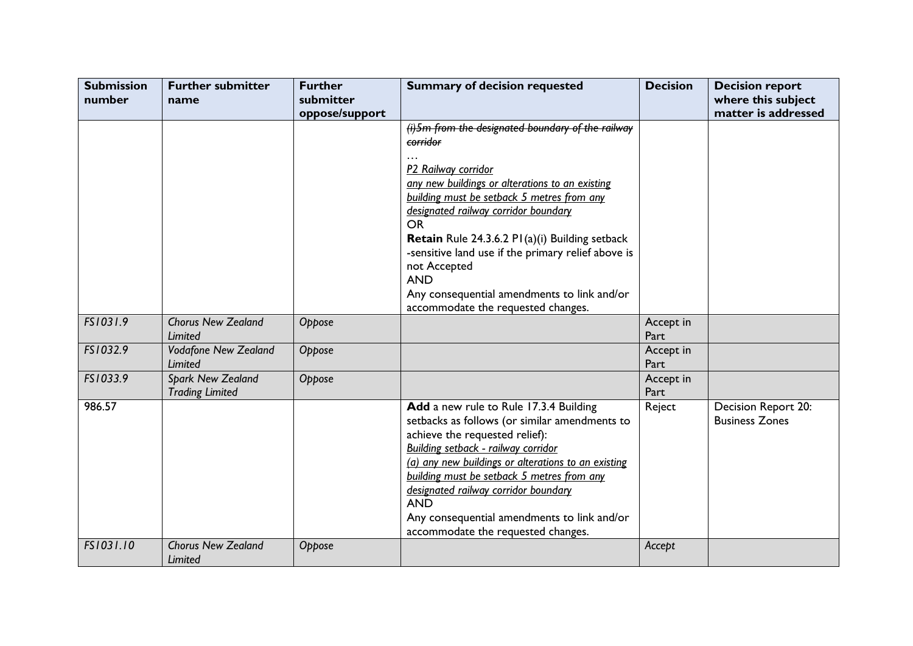| <b>Submission</b><br>number | <b>Further submitter</b><br>name                   | <b>Further</b><br>submitter | <b>Summary of decision requested</b>                                                                                                                                                                                                                                                                                                                                                                                                                                   | <b>Decision</b>   | <b>Decision report</b><br>where this subject |
|-----------------------------|----------------------------------------------------|-----------------------------|------------------------------------------------------------------------------------------------------------------------------------------------------------------------------------------------------------------------------------------------------------------------------------------------------------------------------------------------------------------------------------------------------------------------------------------------------------------------|-------------------|----------------------------------------------|
|                             |                                                    | oppose/support              |                                                                                                                                                                                                                                                                                                                                                                                                                                                                        |                   | matter is addressed                          |
|                             |                                                    |                             | (i) 5m from the designated boundary of the railway<br>corridor<br>P2 Railway corridor<br>any new buildings or alterations to an existing<br>building must be setback 5 metres from any<br>designated railway corridor boundary<br><b>OR</b><br>Retain Rule 24.3.6.2 PI(a)(i) Building setback<br>-sensitive land use if the primary relief above is<br>not Accepted<br><b>AND</b><br>Any consequential amendments to link and/or<br>accommodate the requested changes. |                   |                                              |
| FS1031.9                    | <b>Chorus New Zealand</b><br>Limited               | Oppose                      |                                                                                                                                                                                                                                                                                                                                                                                                                                                                        | Accept in<br>Part |                                              |
| FS1032.9                    | <b>Vodafone New Zealand</b><br>Limited             | Oppose                      |                                                                                                                                                                                                                                                                                                                                                                                                                                                                        | Accept in<br>Part |                                              |
| FS1033.9                    | <b>Spark New Zealand</b><br><b>Trading Limited</b> | Oppose                      |                                                                                                                                                                                                                                                                                                                                                                                                                                                                        | Accept in<br>Part |                                              |
| 986.57                      |                                                    |                             | Add a new rule to Rule 17.3.4 Building<br>setbacks as follows (or similar amendments to<br>achieve the requested relief):<br>Building setback - railway corridor<br>(a) any new buildings or alterations to an existing<br>building must be setback 5 metres from any<br>designated railway corridor boundary<br><b>AND</b><br>Any consequential amendments to link and/or<br>accommodate the requested changes.                                                       | Reject            | Decision Report 20:<br><b>Business Zones</b> |
| FS1031.10                   | <b>Chorus New Zealand</b><br>Limited               | Oppose                      |                                                                                                                                                                                                                                                                                                                                                                                                                                                                        | Accept            |                                              |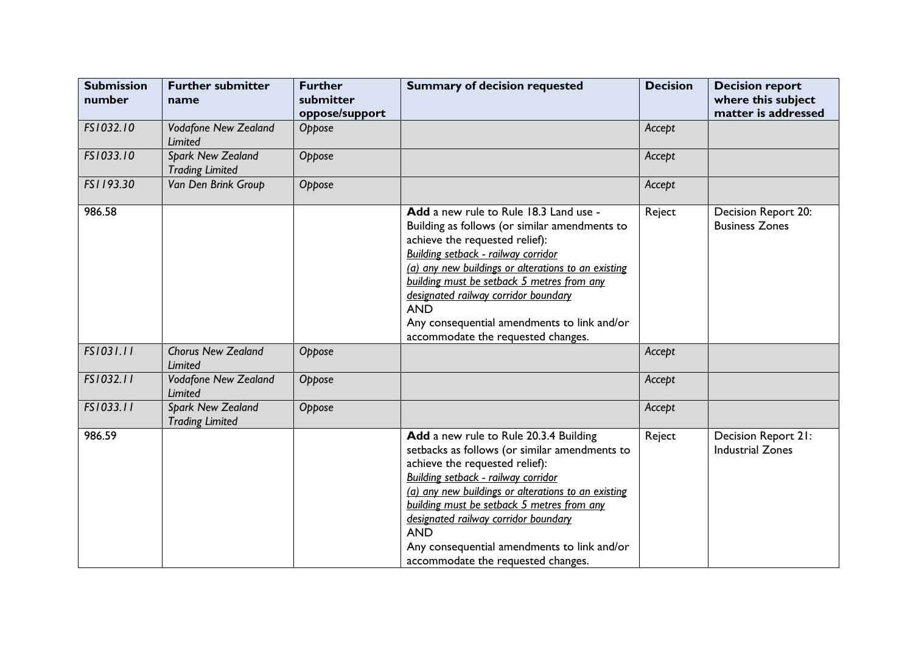| <b>Submission</b><br>number | <b>Further submitter</b><br>name                   | <b>Further</b><br>submitter<br>oppose/support | <b>Summary of decision requested</b>                                                                                                                                                                                                                                                                                                                                                                             | <b>Decision</b> | <b>Decision report</b><br>where this subject<br>matter is addressed |
|-----------------------------|----------------------------------------------------|-----------------------------------------------|------------------------------------------------------------------------------------------------------------------------------------------------------------------------------------------------------------------------------------------------------------------------------------------------------------------------------------------------------------------------------------------------------------------|-----------------|---------------------------------------------------------------------|
| FS1032.10                   | <b>Vodafone New Zealand</b><br><b>Limited</b>      | Oppose                                        |                                                                                                                                                                                                                                                                                                                                                                                                                  | Accept          |                                                                     |
| FS1033.10                   | Spark New Zealand<br><b>Trading Limited</b>        | Oppose                                        |                                                                                                                                                                                                                                                                                                                                                                                                                  | Accept          |                                                                     |
| FS1193.30                   | Van Den Brink Group                                | Oppose                                        |                                                                                                                                                                                                                                                                                                                                                                                                                  | Accept          |                                                                     |
| 986.58                      |                                                    |                                               | Add a new rule to Rule 18.3 Land use -<br>Building as follows (or similar amendments to<br>achieve the requested relief):<br>Building setback - railway corridor<br>(a) any new buildings or alterations to an existing<br>building must be setback 5 metres from any<br>designated railway corridor boundary<br><b>AND</b><br>Any consequential amendments to link and/or<br>accommodate the requested changes. | Reject          | Decision Report 20:<br><b>Business Zones</b>                        |
| FS1031.11                   | <b>Chorus New Zealand</b><br>Limited               | Oppose                                        |                                                                                                                                                                                                                                                                                                                                                                                                                  | Accept          |                                                                     |
| FS1032.11                   | <b>Vodafone New Zealand</b><br><b>Limited</b>      | Oppose                                        |                                                                                                                                                                                                                                                                                                                                                                                                                  | Accept          |                                                                     |
| FS1033.11                   | <b>Spark New Zealand</b><br><b>Trading Limited</b> | Oppose                                        |                                                                                                                                                                                                                                                                                                                                                                                                                  | Accept          |                                                                     |
| 986.59                      |                                                    |                                               | Add a new rule to Rule 20.3.4 Building<br>setbacks as follows (or similar amendments to<br>achieve the requested relief):<br>Building setback - railway corridor<br>(a) any new buildings or alterations to an existing<br>building must be setback 5 metres from any<br>designated railway corridor boundary<br><b>AND</b><br>Any consequential amendments to link and/or<br>accommodate the requested changes. | Reject          | Decision Report 21:<br><b>Industrial Zones</b>                      |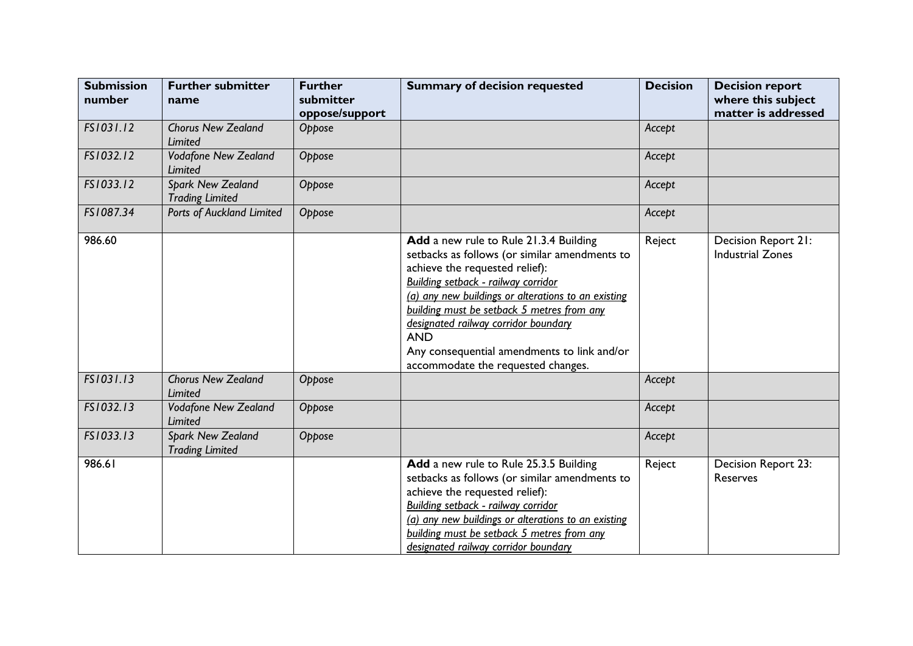| <b>Submission</b><br>number | <b>Further submitter</b><br>name                   | <b>Further</b><br>submitter<br>oppose/support | <b>Summary of decision requested</b>                                                                                                                                                                                                                                                                                                                                                                             | <b>Decision</b> | <b>Decision report</b><br>where this subject<br>matter is addressed |
|-----------------------------|----------------------------------------------------|-----------------------------------------------|------------------------------------------------------------------------------------------------------------------------------------------------------------------------------------------------------------------------------------------------------------------------------------------------------------------------------------------------------------------------------------------------------------------|-----------------|---------------------------------------------------------------------|
| FS1031.12                   | <b>Chorus New Zealand</b><br>Limited               | Oppose                                        |                                                                                                                                                                                                                                                                                                                                                                                                                  | Accept          |                                                                     |
| FS1032.12                   | <b>Vodafone New Zealand</b><br>Limited             | Oppose                                        |                                                                                                                                                                                                                                                                                                                                                                                                                  | Accept          |                                                                     |
| FS1033.12                   | <b>Spark New Zealand</b><br><b>Trading Limited</b> | Oppose                                        |                                                                                                                                                                                                                                                                                                                                                                                                                  | Accept          |                                                                     |
| FS1087.34                   | Ports of Auckland Limited                          | Oppose                                        |                                                                                                                                                                                                                                                                                                                                                                                                                  | Accept          |                                                                     |
| 986.60                      |                                                    |                                               | Add a new rule to Rule 21.3.4 Building<br>setbacks as follows (or similar amendments to<br>achieve the requested relief):<br>Building setback - railway corridor<br>(a) any new buildings or alterations to an existing<br>building must be setback 5 metres from any<br>designated railway corridor boundary<br><b>AND</b><br>Any consequential amendments to link and/or<br>accommodate the requested changes. | Reject          | Decision Report 21:<br><b>Industrial Zones</b>                      |
| FS1031.13                   | <b>Chorus New Zealand</b><br><b>Limited</b>        | Oppose                                        |                                                                                                                                                                                                                                                                                                                                                                                                                  | Accept          |                                                                     |
| FS1032.13                   | <b>Vodafone New Zealand</b><br><b>Limited</b>      | Oppose                                        |                                                                                                                                                                                                                                                                                                                                                                                                                  | Accept          |                                                                     |
| FS1033.13                   | <b>Spark New Zealand</b><br><b>Trading Limited</b> | Oppose                                        |                                                                                                                                                                                                                                                                                                                                                                                                                  | Accept          |                                                                     |
| 986.61                      |                                                    |                                               | Add a new rule to Rule 25.3.5 Building<br>setbacks as follows (or similar amendments to<br>achieve the requested relief):<br>Building setback - railway corridor<br>(a) any new buildings or alterations to an existing<br>building must be setback 5 metres from any<br>designated railway corridor boundary                                                                                                    | Reject          | Decision Report 23:<br>Reserves                                     |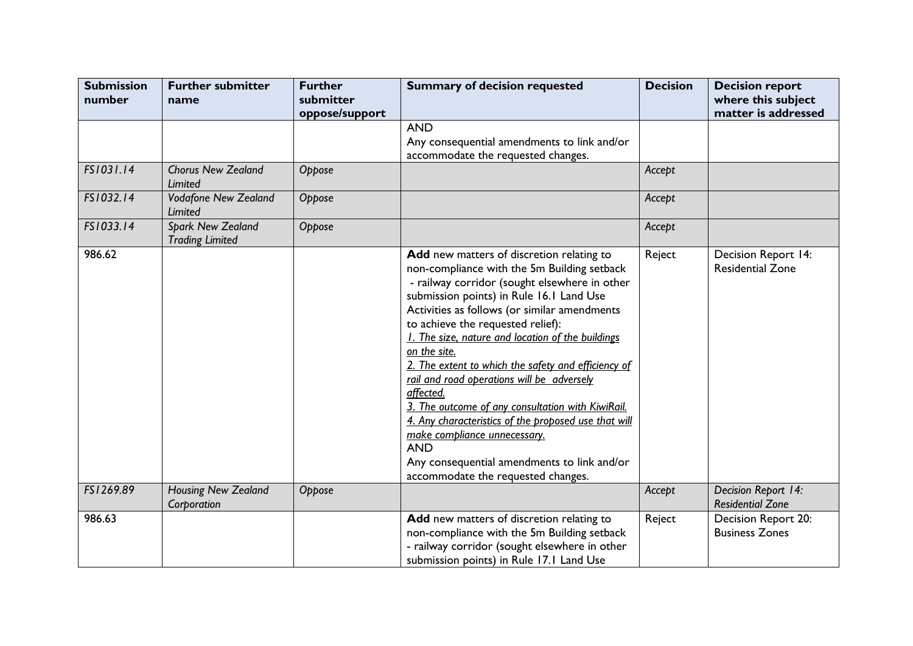| <b>Submission</b><br>number | <b>Further submitter</b><br>name            | <b>Further</b><br>submitter<br>oppose/support | <b>Summary of decision requested</b>                                                                                                                                                                                                                                                                                                                                                                                                                                                                                                                                                                                                                                                                              | <b>Decision</b> | <b>Decision report</b><br>where this subject<br>matter is addressed |
|-----------------------------|---------------------------------------------|-----------------------------------------------|-------------------------------------------------------------------------------------------------------------------------------------------------------------------------------------------------------------------------------------------------------------------------------------------------------------------------------------------------------------------------------------------------------------------------------------------------------------------------------------------------------------------------------------------------------------------------------------------------------------------------------------------------------------------------------------------------------------------|-----------------|---------------------------------------------------------------------|
|                             |                                             |                                               | <b>AND</b><br>Any consequential amendments to link and/or<br>accommodate the requested changes.                                                                                                                                                                                                                                                                                                                                                                                                                                                                                                                                                                                                                   |                 |                                                                     |
| FS1031.14                   | <b>Chorus New Zealand</b><br>Limited        | Oppose                                        |                                                                                                                                                                                                                                                                                                                                                                                                                                                                                                                                                                                                                                                                                                                   | Accept          |                                                                     |
| FS1032.14                   | <b>Vodafone New Zealand</b><br>Limited      | Oppose                                        |                                                                                                                                                                                                                                                                                                                                                                                                                                                                                                                                                                                                                                                                                                                   | Accept          |                                                                     |
| FS1033.14                   | Spark New Zealand<br><b>Trading Limited</b> | Oppose                                        |                                                                                                                                                                                                                                                                                                                                                                                                                                                                                                                                                                                                                                                                                                                   | Accept          |                                                                     |
| 986.62                      |                                             |                                               | Add new matters of discretion relating to<br>non-compliance with the 5m Building setback<br>- railway corridor (sought elsewhere in other<br>submission points) in Rule 16.1 Land Use<br>Activities as follows (or similar amendments<br>to achieve the requested relief):<br>1. The size, nature and location of the buildings<br>on the site.<br>2. The extent to which the safety and efficiency of<br>rail and road operations will be adversely<br>affected.<br>3. The outcome of any consultation with KiwiRail.<br>4. Any characteristics of the proposed use that will<br>make compliance unnecessary.<br><b>AND</b><br>Any consequential amendments to link and/or<br>accommodate the requested changes. | Reject          | Decision Report 14:<br><b>Residential Zone</b>                      |
| FS1269.89                   | <b>Housing New Zealand</b><br>Corporation   | Oppose                                        |                                                                                                                                                                                                                                                                                                                                                                                                                                                                                                                                                                                                                                                                                                                   | Accept          | Decision Report 14:<br><b>Residential Zone</b>                      |
| 986.63                      |                                             |                                               | Add new matters of discretion relating to<br>non-compliance with the 5m Building setback<br>- railway corridor (sought elsewhere in other<br>submission points) in Rule 17.1 Land Use                                                                                                                                                                                                                                                                                                                                                                                                                                                                                                                             | Reject          | Decision Report 20:<br><b>Business Zones</b>                        |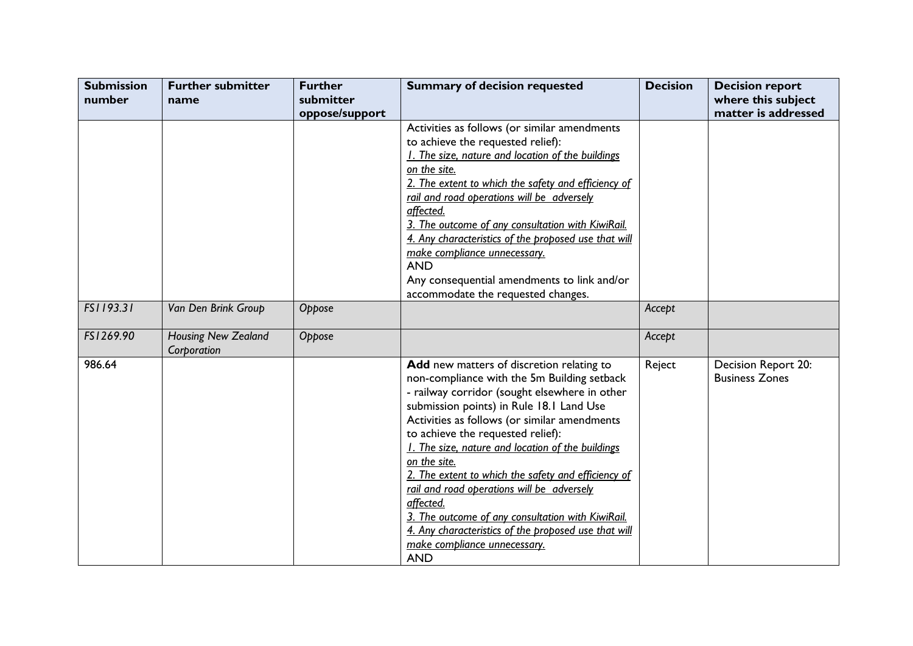| <b>Submission</b> | <b>Further submitter</b>                  | <b>Further</b> | <b>Summary of decision requested</b>                 | <b>Decision</b> | <b>Decision report</b> |
|-------------------|-------------------------------------------|----------------|------------------------------------------------------|-----------------|------------------------|
| number            | name                                      | submitter      |                                                      |                 | where this subject     |
|                   |                                           | oppose/support |                                                      |                 | matter is addressed    |
|                   |                                           |                | Activities as follows (or similar amendments         |                 |                        |
|                   |                                           |                | to achieve the requested relief):                    |                 |                        |
|                   |                                           |                | 1. The size, nature and location of the buildings    |                 |                        |
|                   |                                           |                | on the site.                                         |                 |                        |
|                   |                                           |                | 2. The extent to which the safety and efficiency of  |                 |                        |
|                   |                                           |                | rail and road operations will be adversely           |                 |                        |
|                   |                                           |                | affected.                                            |                 |                        |
|                   |                                           |                | 3. The outcome of any consultation with KiwiRail.    |                 |                        |
|                   |                                           |                | 4. Any characteristics of the proposed use that will |                 |                        |
|                   |                                           |                | make compliance unnecessary.                         |                 |                        |
|                   |                                           |                | <b>AND</b>                                           |                 |                        |
|                   |                                           |                | Any consequential amendments to link and/or          |                 |                        |
|                   |                                           |                | accommodate the requested changes.                   |                 |                        |
| FS1193.31         | Van Den Brink Group                       | Oppose         |                                                      | Accept          |                        |
| FS1269.90         | <b>Housing New Zealand</b><br>Corporation | Oppose         |                                                      | Accept          |                        |
| 986.64            |                                           |                | Add new matters of discretion relating to            | Reject          | Decision Report 20:    |
|                   |                                           |                | non-compliance with the 5m Building setback          |                 | <b>Business Zones</b>  |
|                   |                                           |                | - railway corridor (sought elsewhere in other        |                 |                        |
|                   |                                           |                | submission points) in Rule 18.1 Land Use             |                 |                        |
|                   |                                           |                | Activities as follows (or similar amendments         |                 |                        |
|                   |                                           |                | to achieve the requested relief):                    |                 |                        |
|                   |                                           |                | 1. The size, nature and location of the buildings    |                 |                        |
|                   |                                           |                | on the site.                                         |                 |                        |
|                   |                                           |                | 2. The extent to which the safety and efficiency of  |                 |                        |
|                   |                                           |                | rail and road operations will be adversely           |                 |                        |
|                   |                                           |                | affected.                                            |                 |                        |
|                   |                                           |                | 3. The outcome of any consultation with KiwiRail.    |                 |                        |
|                   |                                           |                | 4. Any characteristics of the proposed use that will |                 |                        |
|                   |                                           |                | make compliance unnecessary.<br><b>AND</b>           |                 |                        |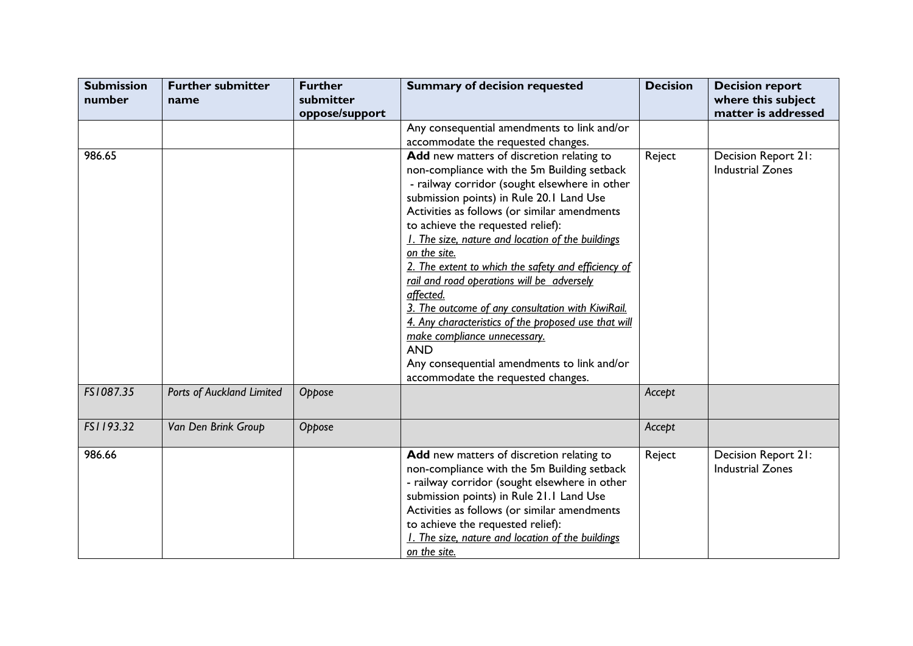| <b>Submission</b><br>number | <b>Further submitter</b><br>name | <b>Further</b><br>submitter<br>oppose/support | <b>Summary of decision requested</b>                                                                                                                                                                                                                                                                                                                                                                                                                                                                                                                                                                                                                                                                              | <b>Decision</b> | <b>Decision report</b><br>where this subject<br>matter is addressed |
|-----------------------------|----------------------------------|-----------------------------------------------|-------------------------------------------------------------------------------------------------------------------------------------------------------------------------------------------------------------------------------------------------------------------------------------------------------------------------------------------------------------------------------------------------------------------------------------------------------------------------------------------------------------------------------------------------------------------------------------------------------------------------------------------------------------------------------------------------------------------|-----------------|---------------------------------------------------------------------|
|                             |                                  |                                               | Any consequential amendments to link and/or<br>accommodate the requested changes.                                                                                                                                                                                                                                                                                                                                                                                                                                                                                                                                                                                                                                 |                 |                                                                     |
| 986.65                      |                                  |                                               | Add new matters of discretion relating to<br>non-compliance with the 5m Building setback<br>- railway corridor (sought elsewhere in other<br>submission points) in Rule 20.1 Land Use<br>Activities as follows (or similar amendments<br>to achieve the requested relief):<br>1. The size, nature and location of the buildings<br>on the site.<br>2. The extent to which the safety and efficiency of<br>rail and road operations will be adversely<br>affected.<br>3. The outcome of any consultation with KiwiRail.<br>4. Any characteristics of the proposed use that will<br>make compliance unnecessary.<br><b>AND</b><br>Any consequential amendments to link and/or<br>accommodate the requested changes. | Reject          | Decision Report 21:<br><b>Industrial Zones</b>                      |
| FS1087.35                   | Ports of Auckland Limited        | Oppose                                        |                                                                                                                                                                                                                                                                                                                                                                                                                                                                                                                                                                                                                                                                                                                   | Accept          |                                                                     |
| FS1193.32                   | Van Den Brink Group              | Oppose                                        |                                                                                                                                                                                                                                                                                                                                                                                                                                                                                                                                                                                                                                                                                                                   | Accept          |                                                                     |
| 986.66                      |                                  |                                               | Add new matters of discretion relating to<br>non-compliance with the 5m Building setback<br>- railway corridor (sought elsewhere in other<br>submission points) in Rule 21.1 Land Use<br>Activities as follows (or similar amendments<br>to achieve the requested relief):<br>1. The size, nature and location of the buildings<br>on the site.                                                                                                                                                                                                                                                                                                                                                                   | Reject          | Decision Report 21:<br><b>Industrial Zones</b>                      |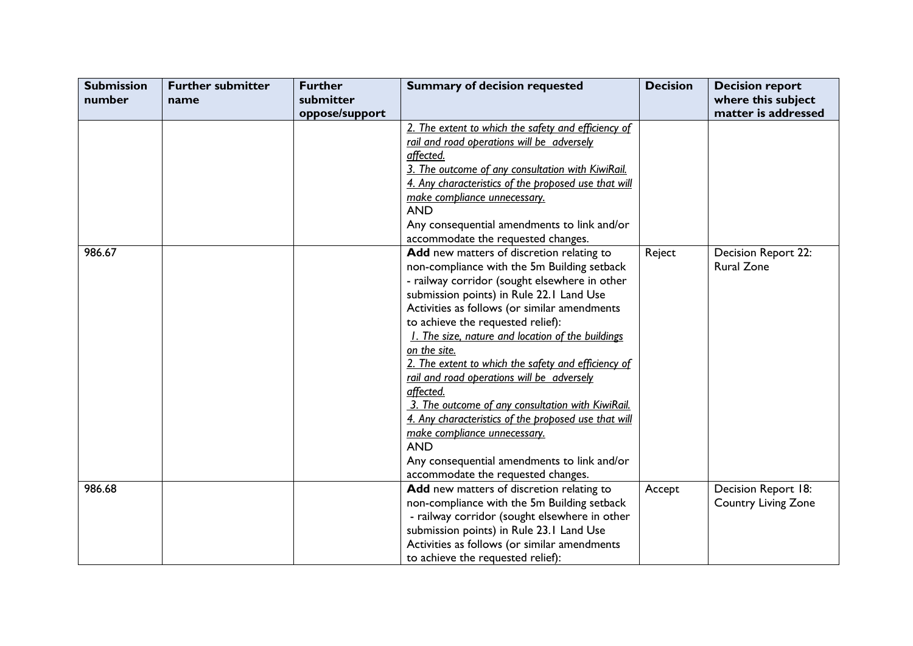| <b>Submission</b> | <b>Further submitter</b> | <b>Further</b> | <b>Summary of decision requested</b>                 | <b>Decision</b> | <b>Decision report</b>     |
|-------------------|--------------------------|----------------|------------------------------------------------------|-----------------|----------------------------|
| number            | name                     | submitter      |                                                      |                 | where this subject         |
|                   |                          | oppose/support |                                                      |                 | matter is addressed        |
|                   |                          |                | 2. The extent to which the safety and efficiency of  |                 |                            |
|                   |                          |                | rail and road operations will be adversely           |                 |                            |
|                   |                          |                | affected.                                            |                 |                            |
|                   |                          |                | 3. The outcome of any consultation with KiwiRail.    |                 |                            |
|                   |                          |                | 4. Any characteristics of the proposed use that will |                 |                            |
|                   |                          |                | make compliance unnecessary.                         |                 |                            |
|                   |                          |                | <b>AND</b>                                           |                 |                            |
|                   |                          |                | Any consequential amendments to link and/or          |                 |                            |
|                   |                          |                | accommodate the requested changes.                   |                 |                            |
| 986.67            |                          |                | Add new matters of discretion relating to            | Reject          | Decision Report 22:        |
|                   |                          |                | non-compliance with the 5m Building setback          |                 | Rural Zone                 |
|                   |                          |                | - railway corridor (sought elsewhere in other        |                 |                            |
|                   |                          |                | submission points) in Rule 22.1 Land Use             |                 |                            |
|                   |                          |                | Activities as follows (or similar amendments         |                 |                            |
|                   |                          |                | to achieve the requested relief):                    |                 |                            |
|                   |                          |                | 1. The size, nature and location of the buildings    |                 |                            |
|                   |                          |                | <u>on the site.</u>                                  |                 |                            |
|                   |                          |                | 2. The extent to which the safety and efficiency of  |                 |                            |
|                   |                          |                | rail and road operations will be adversely           |                 |                            |
|                   |                          |                | affected.                                            |                 |                            |
|                   |                          |                | 3. The outcome of any consultation with KiwiRail.    |                 |                            |
|                   |                          |                | 4. Any characteristics of the proposed use that will |                 |                            |
|                   |                          |                | make compliance unnecessary.                         |                 |                            |
|                   |                          |                | <b>AND</b>                                           |                 |                            |
|                   |                          |                | Any consequential amendments to link and/or          |                 |                            |
|                   |                          |                | accommodate the requested changes.                   |                 |                            |
| 986.68            |                          |                | Add new matters of discretion relating to            | Accept          | Decision Report 18:        |
|                   |                          |                | non-compliance with the 5m Building setback          |                 | <b>Country Living Zone</b> |
|                   |                          |                | - railway corridor (sought elsewhere in other        |                 |                            |
|                   |                          |                | submission points) in Rule 23.1 Land Use             |                 |                            |
|                   |                          |                | Activities as follows (or similar amendments         |                 |                            |
|                   |                          |                | to achieve the requested relief):                    |                 |                            |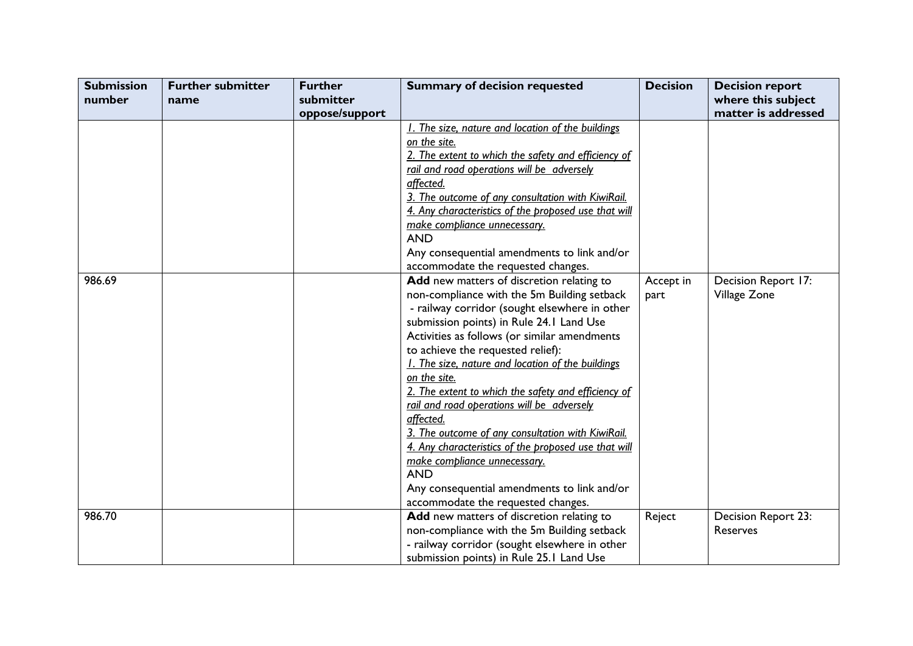| <b>Submission</b> | <b>Further submitter</b> | <b>Further</b> | <b>Summary of decision requested</b>                 | <b>Decision</b> | <b>Decision report</b> |
|-------------------|--------------------------|----------------|------------------------------------------------------|-----------------|------------------------|
| number            | name                     | submitter      |                                                      |                 | where this subject     |
|                   |                          | oppose/support |                                                      |                 | matter is addressed    |
|                   |                          |                | 1. The size, nature and location of the buildings    |                 |                        |
|                   |                          |                | on the site.                                         |                 |                        |
|                   |                          |                | 2. The extent to which the safety and efficiency of  |                 |                        |
|                   |                          |                | rail and road operations will be adversely           |                 |                        |
|                   |                          |                | affected.                                            |                 |                        |
|                   |                          |                | 3. The outcome of any consultation with KiwiRail.    |                 |                        |
|                   |                          |                | 4. Any characteristics of the proposed use that will |                 |                        |
|                   |                          |                | make compliance unnecessary.                         |                 |                        |
|                   |                          |                | <b>AND</b>                                           |                 |                        |
|                   |                          |                | Any consequential amendments to link and/or          |                 |                        |
|                   |                          |                | accommodate the requested changes.                   |                 |                        |
| 986.69            |                          |                | Add new matters of discretion relating to            | Accept in       | Decision Report 17:    |
|                   |                          |                | non-compliance with the 5m Building setback          | part            | Village Zone           |
|                   |                          |                | - railway corridor (sought elsewhere in other        |                 |                        |
|                   |                          |                | submission points) in Rule 24.1 Land Use             |                 |                        |
|                   |                          |                | Activities as follows (or similar amendments         |                 |                        |
|                   |                          |                | to achieve the requested relief):                    |                 |                        |
|                   |                          |                | 1. The size, nature and location of the buildings    |                 |                        |
|                   |                          |                | on the site.                                         |                 |                        |
|                   |                          |                | 2. The extent to which the safety and efficiency of  |                 |                        |
|                   |                          |                | rail and road operations will be adversely           |                 |                        |
|                   |                          |                | affected.                                            |                 |                        |
|                   |                          |                | 3. The outcome of any consultation with KiwiRail.    |                 |                        |
|                   |                          |                | 4. Any characteristics of the proposed use that will |                 |                        |
|                   |                          |                | make compliance unnecessary.                         |                 |                        |
|                   |                          |                | <b>AND</b>                                           |                 |                        |
|                   |                          |                | Any consequential amendments to link and/or          |                 |                        |
|                   |                          |                | accommodate the requested changes.                   |                 |                        |
| 986.70            |                          |                | Add new matters of discretion relating to            | Reject          | Decision Report 23:    |
|                   |                          |                | non-compliance with the 5m Building setback          |                 | Reserves               |
|                   |                          |                | - railway corridor (sought elsewhere in other        |                 |                        |
|                   |                          |                | submission points) in Rule 25.1 Land Use             |                 |                        |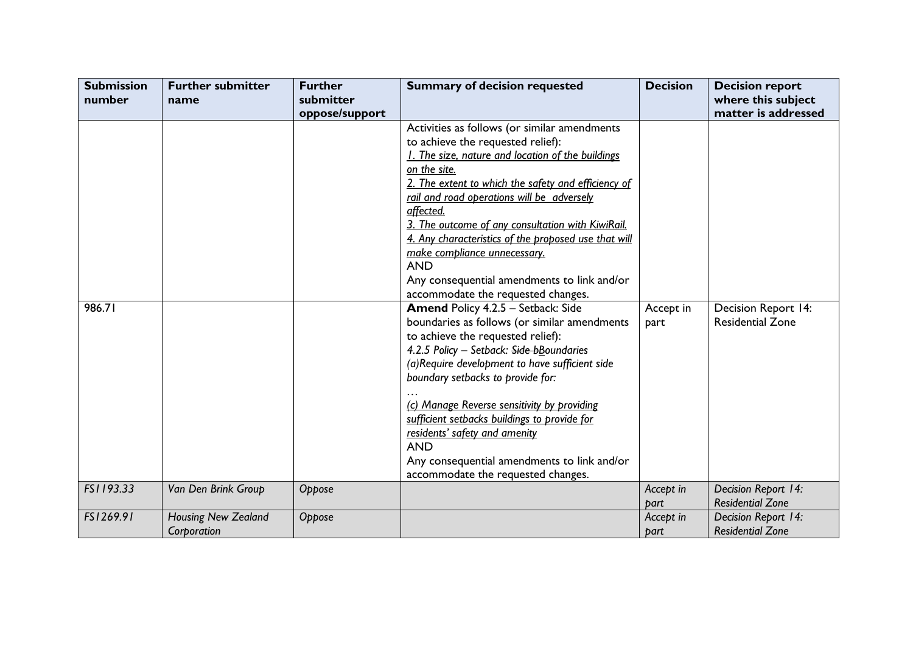| <b>Submission</b><br>number | <b>Further submitter</b><br>name          | <b>Further</b><br>submitter | <b>Summary of decision requested</b>                                                                                                                                                                                                                                                                                                                                                                                                                                                                                                 | <b>Decision</b>   | <b>Decision report</b><br>where this subject   |
|-----------------------------|-------------------------------------------|-----------------------------|--------------------------------------------------------------------------------------------------------------------------------------------------------------------------------------------------------------------------------------------------------------------------------------------------------------------------------------------------------------------------------------------------------------------------------------------------------------------------------------------------------------------------------------|-------------------|------------------------------------------------|
|                             |                                           | oppose/support              |                                                                                                                                                                                                                                                                                                                                                                                                                                                                                                                                      |                   | matter is addressed                            |
|                             |                                           |                             | Activities as follows (or similar amendments<br>to achieve the requested relief):<br>1. The size, nature and location of the buildings<br>on the site.<br>2. The extent to which the safety and efficiency of<br>rail and road operations will be adversely<br>affected.<br>3. The outcome of any consultation with KiwiRail.<br>4. Any characteristics of the proposed use that will<br>make compliance unnecessary.<br><b>AND</b><br>Any consequential amendments to link and/or                                                   |                   |                                                |
| 986.71                      |                                           |                             | accommodate the requested changes.<br>Amend Policy 4.2.5 - Setback: Side<br>boundaries as follows (or similar amendments<br>to achieve the requested relief):<br>4.2.5 Policy - Setback: Side bBoundaries<br>(a) Require development to have sufficient side<br>boundary setbacks to provide for:<br>(c) Manage Reverse sensitivity by providing<br>sufficient setbacks buildings to provide for<br>residents' safety and amenity<br><b>AND</b><br>Any consequential amendments to link and/or<br>accommodate the requested changes. | Accept in<br>part | Decision Report 14:<br><b>Residential Zone</b> |
| FS1193.33                   | Van Den Brink Group                       | Oppose                      |                                                                                                                                                                                                                                                                                                                                                                                                                                                                                                                                      | Accept in<br>bart | Decision Report 14:<br><b>Residential Zone</b> |
| FS1269.91                   | <b>Housing New Zealand</b><br>Corporation | Oppose                      |                                                                                                                                                                                                                                                                                                                                                                                                                                                                                                                                      | Accept in<br>part | Decision Report 14:<br><b>Residential Zone</b> |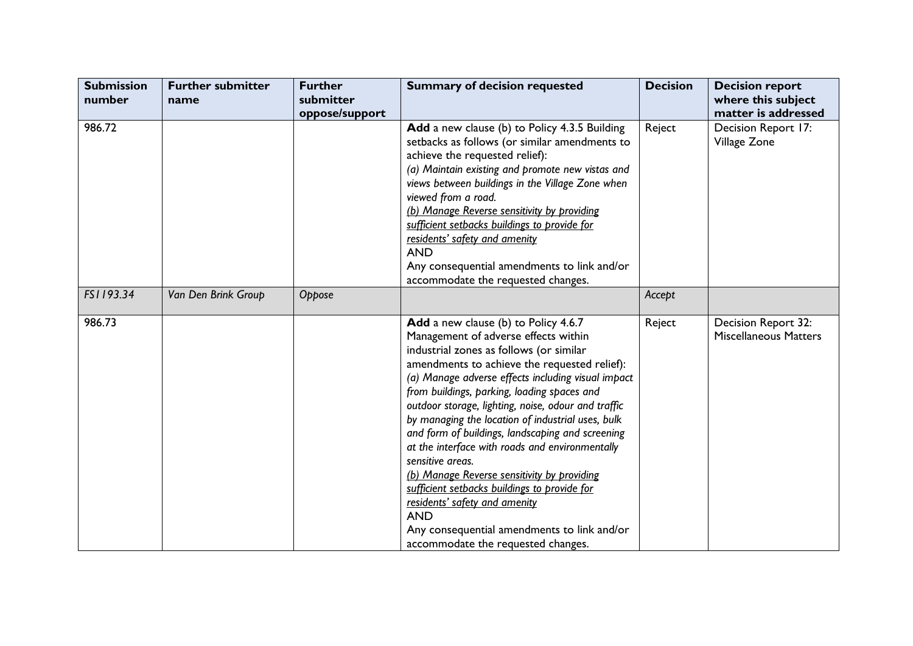| <b>Submission</b><br>number | <b>Further submitter</b><br>name | <b>Further</b><br>submitter<br>oppose/support | <b>Summary of decision requested</b>                                                                                                                                                                                                                                                                                                                                                                                                                                                                                                                                                                                                                                                                                                                   | <b>Decision</b> | <b>Decision report</b><br>where this subject<br>matter is addressed |
|-----------------------------|----------------------------------|-----------------------------------------------|--------------------------------------------------------------------------------------------------------------------------------------------------------------------------------------------------------------------------------------------------------------------------------------------------------------------------------------------------------------------------------------------------------------------------------------------------------------------------------------------------------------------------------------------------------------------------------------------------------------------------------------------------------------------------------------------------------------------------------------------------------|-----------------|---------------------------------------------------------------------|
| 986.72                      |                                  |                                               | Add a new clause (b) to Policy 4.3.5 Building<br>setbacks as follows (or similar amendments to<br>achieve the requested relief):<br>(a) Maintain existing and promote new vistas and<br>views between buildings in the Village Zone when<br>viewed from a road.<br>(b) Manage Reverse sensitivity by providing<br>sufficient setbacks buildings to provide for<br>residents' safety and amenity<br><b>AND</b><br>Any consequential amendments to link and/or<br>accommodate the requested changes.                                                                                                                                                                                                                                                     | Reject          | Decision Report 17:<br>Village Zone                                 |
| FS1193.34                   | Van Den Brink Group              | Oppose                                        |                                                                                                                                                                                                                                                                                                                                                                                                                                                                                                                                                                                                                                                                                                                                                        | Accept          |                                                                     |
| 986.73                      |                                  |                                               | Add a new clause (b) to Policy 4.6.7<br>Management of adverse effects within<br>industrial zones as follows (or similar<br>amendments to achieve the requested relief):<br>(a) Manage adverse effects including visual impact<br>from buildings, parking, loading spaces and<br>outdoor storage, lighting, noise, odour and traffic<br>by managing the location of industrial uses, bulk<br>and form of buildings, landscaping and screening<br>at the interface with roads and environmentally<br>sensitive areas.<br>(b) Manage Reverse sensitivity by providing<br>sufficient setbacks buildings to provide for<br>residents' safety and amenity<br><b>AND</b><br>Any consequential amendments to link and/or<br>accommodate the requested changes. | Reject          | Decision Report 32:<br><b>Miscellaneous Matters</b>                 |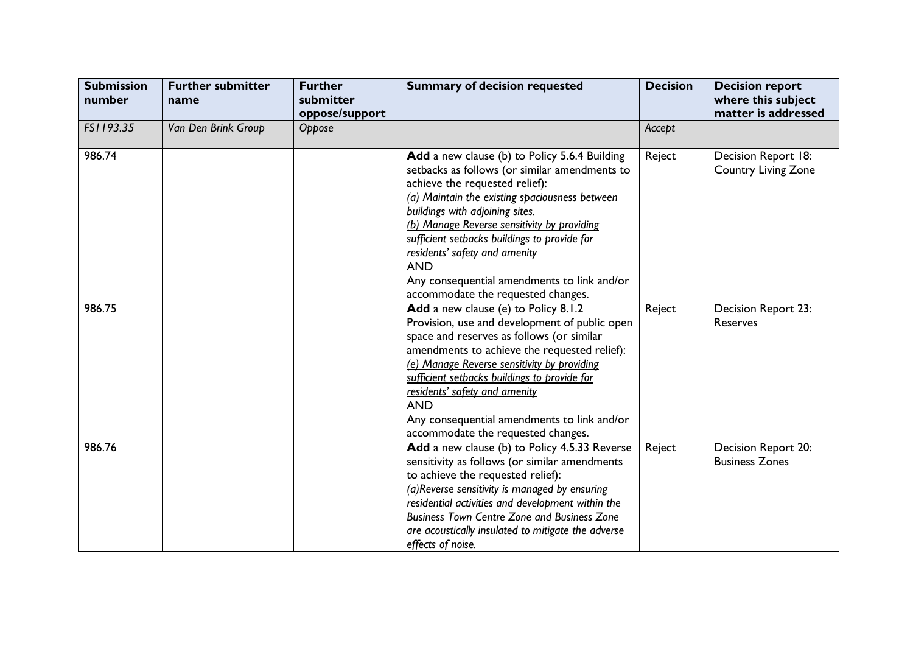| <b>Submission</b><br>number | <b>Further submitter</b><br>name | <b>Further</b><br>submitter<br>oppose/support | <b>Summary of decision requested</b>                                                                                                                                                                                                                                                                                                                                                                                                                     | <b>Decision</b> | <b>Decision report</b><br>where this subject<br>matter is addressed |
|-----------------------------|----------------------------------|-----------------------------------------------|----------------------------------------------------------------------------------------------------------------------------------------------------------------------------------------------------------------------------------------------------------------------------------------------------------------------------------------------------------------------------------------------------------------------------------------------------------|-----------------|---------------------------------------------------------------------|
| FS1193.35                   | Van Den Brink Group              | Oppose                                        |                                                                                                                                                                                                                                                                                                                                                                                                                                                          | Accept          |                                                                     |
| 986.74                      |                                  |                                               | Add a new clause (b) to Policy 5.6.4 Building<br>setbacks as follows (or similar amendments to<br>achieve the requested relief):<br>(a) Maintain the existing spaciousness between<br>buildings with adjoining sites.<br>(b) Manage Reverse sensitivity by providing<br>sufficient setbacks buildings to provide for<br>residents' safety and amenity<br><b>AND</b><br>Any consequential amendments to link and/or<br>accommodate the requested changes. | Reject          | Decision Report 18:<br><b>Country Living Zone</b>                   |
| 986.75                      |                                  |                                               | Add a new clause (e) to Policy 8.1.2<br>Provision, use and development of public open<br>space and reserves as follows (or similar<br>amendments to achieve the requested relief):<br>(e) Manage Reverse sensitivity by providing<br>sufficient setbacks buildings to provide for<br>residents' safety and amenity<br><b>AND</b><br>Any consequential amendments to link and/or<br>accommodate the requested changes.                                    | Reject          | Decision Report 23:<br>Reserves                                     |
| 986.76                      |                                  |                                               | Add a new clause (b) to Policy 4.5.33 Reverse<br>sensitivity as follows (or similar amendments<br>to achieve the requested relief):<br>(a)Reverse sensitivity is managed by ensuring<br>residential activities and development within the<br><b>Business Town Centre Zone and Business Zone</b><br>are acoustically insulated to mitigate the adverse<br>effects of noise.                                                                               | Reject          | Decision Report 20:<br><b>Business Zones</b>                        |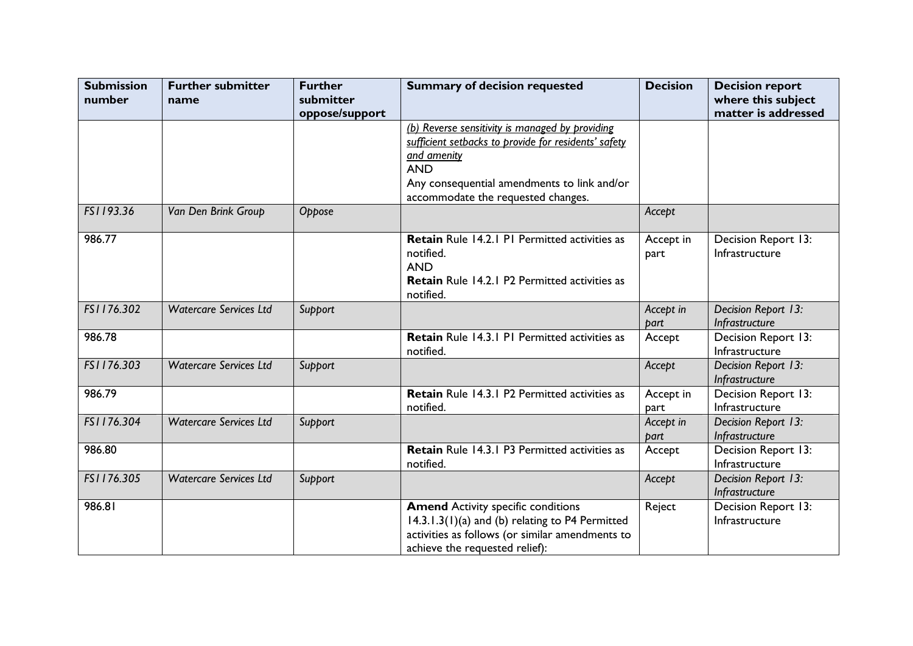| <b>Submission</b> | <b>Further submitter</b>      | <b>Further</b>              | <b>Summary of decision requested</b>                                                                                                                                                                                      | <b>Decision</b>   | <b>Decision report</b>                    |
|-------------------|-------------------------------|-----------------------------|---------------------------------------------------------------------------------------------------------------------------------------------------------------------------------------------------------------------------|-------------------|-------------------------------------------|
| number            | name                          | submitter<br>oppose/support |                                                                                                                                                                                                                           |                   | where this subject<br>matter is addressed |
|                   |                               |                             | (b) Reverse sensitivity is managed by providing<br>sufficient setbacks to provide for residents' safety<br>and amenity<br><b>AND</b><br>Any consequential amendments to link and/or<br>accommodate the requested changes. |                   |                                           |
| FS1193.36         | Van Den Brink Group           | Oppose                      |                                                                                                                                                                                                                           | Accept            |                                           |
| 986.77            |                               |                             | Retain Rule 14.2.1 P1 Permitted activities as<br>notified.<br><b>AND</b><br>Retain Rule 14.2.1 P2 Permitted activities as<br>notified.                                                                                    | Accept in<br>part | Decision Report 13:<br>Infrastructure     |
| FS1176.302        | <b>Watercare Services Ltd</b> | Support                     |                                                                                                                                                                                                                           | Accept in<br>part | Decision Report 13:<br>Infrastructure     |
| 986.78            |                               |                             | Retain Rule 14.3.1 P1 Permitted activities as<br>notified.                                                                                                                                                                | Accept            | Decision Report 13:<br>Infrastructure     |
| FS1176.303        | <b>Watercare Services Ltd</b> | Support                     |                                                                                                                                                                                                                           | Accept            | Decision Report 13:<br>Infrastructure     |
| 986.79            |                               |                             | Retain Rule 14.3.1 P2 Permitted activities as<br>notified.                                                                                                                                                                | Accept in<br>part | Decision Report 13:<br>Infrastructure     |
| FS1176.304        | <b>Watercare Services Ltd</b> | Support                     |                                                                                                                                                                                                                           | Accept in<br>part | Decision Report 13:<br>Infrastructure     |
| 986.80            |                               |                             | <b>Retain</b> Rule 14.3.1 P3 Permitted activities as<br>notified.                                                                                                                                                         | Accept            | Decision Report 13:<br>Infrastructure     |
| FS1176.305        | <b>Watercare Services Ltd</b> | Support                     |                                                                                                                                                                                                                           | Accept            | Decision Report 13:<br>Infrastructure     |
| 986.81            |                               |                             | <b>Amend Activity specific conditions</b><br>14.3.1.3(1)(a) and (b) relating to P4 Permitted<br>activities as follows (or similar amendments to<br>achieve the requested relief):                                         | Reject            | Decision Report 13:<br>Infrastructure     |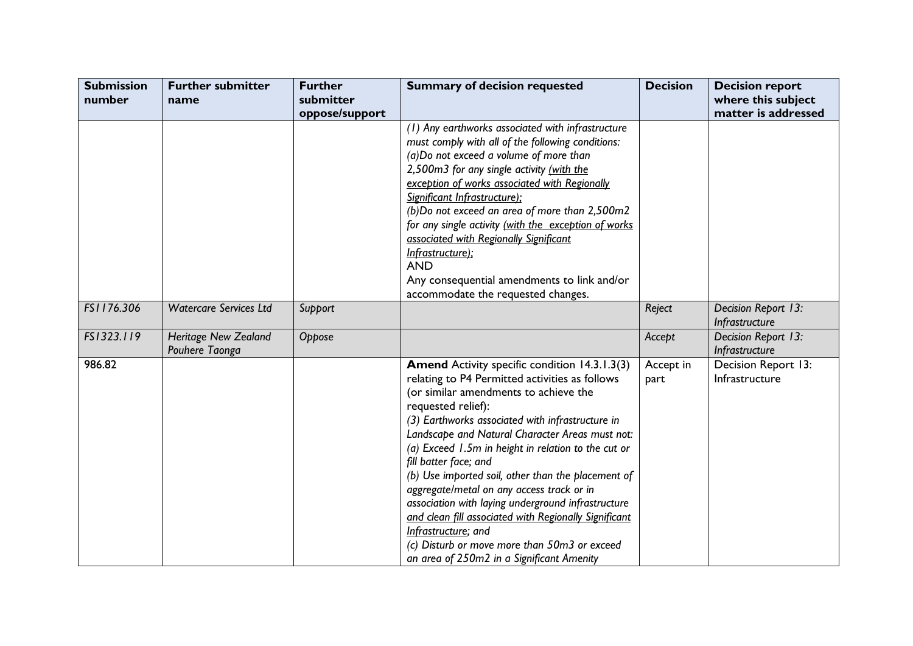| <b>Submission</b><br>number | <b>Further submitter</b><br>name              | <b>Further</b><br>submitter | <b>Summary of decision requested</b>                                                                                                                                                                                                                                                                                                                                                                                                                                                                                                                                                                                                                                                        | <b>Decision</b>   | <b>Decision report</b><br>where this subject |
|-----------------------------|-----------------------------------------------|-----------------------------|---------------------------------------------------------------------------------------------------------------------------------------------------------------------------------------------------------------------------------------------------------------------------------------------------------------------------------------------------------------------------------------------------------------------------------------------------------------------------------------------------------------------------------------------------------------------------------------------------------------------------------------------------------------------------------------------|-------------------|----------------------------------------------|
|                             |                                               | oppose/support              |                                                                                                                                                                                                                                                                                                                                                                                                                                                                                                                                                                                                                                                                                             |                   | matter is addressed                          |
|                             |                                               |                             | (1) Any earthworks associated with infrastructure<br>must comply with all of the following conditions:<br>(a)Do not exceed a volume of more than<br>2,500m3 for any single activity (with the<br>exception of works associated with Regionally<br>Significant Infrastructure);<br>(b)Do not exceed an area of more than 2,500m2<br>for any single activity (with the exception of works<br>associated with Regionally Significant<br>Infrastructure);<br><b>AND</b><br>Any consequential amendments to link and/or                                                                                                                                                                          |                   |                                              |
| FS1176.306                  | <b>Watercare Services Ltd</b>                 |                             | accommodate the requested changes.                                                                                                                                                                                                                                                                                                                                                                                                                                                                                                                                                                                                                                                          |                   | Decision Report 13:                          |
|                             |                                               | Support                     |                                                                                                                                                                                                                                                                                                                                                                                                                                                                                                                                                                                                                                                                                             | Reject            | Infrastructure                               |
| FS1323.119                  | <b>Heritage New Zealand</b><br>Pouhere Taonga | Oppose                      |                                                                                                                                                                                                                                                                                                                                                                                                                                                                                                                                                                                                                                                                                             | Accept            | Decision Report 13:<br>Infrastructure        |
| 986.82                      |                                               |                             | Amend Activity specific condition 14.3.1.3(3)<br>relating to P4 Permitted activities as follows<br>(or similar amendments to achieve the<br>requested relief):<br>(3) Earthworks associated with infrastructure in<br>Landscape and Natural Character Areas must not:<br>(a) Exceed 1.5m in height in relation to the cut or<br>fill batter face; and<br>(b) Use imported soil, other than the placement of<br>aggregate/metal on any access track or in<br>association with laying underground infrastructure<br>and clean fill associated with Regionally Significant<br>Infrastructure; and<br>(c) Disturb or move more than 50m3 or exceed<br>an area of 250m2 in a Significant Amenity | Accept in<br>part | Decision Report 13:<br>Infrastructure        |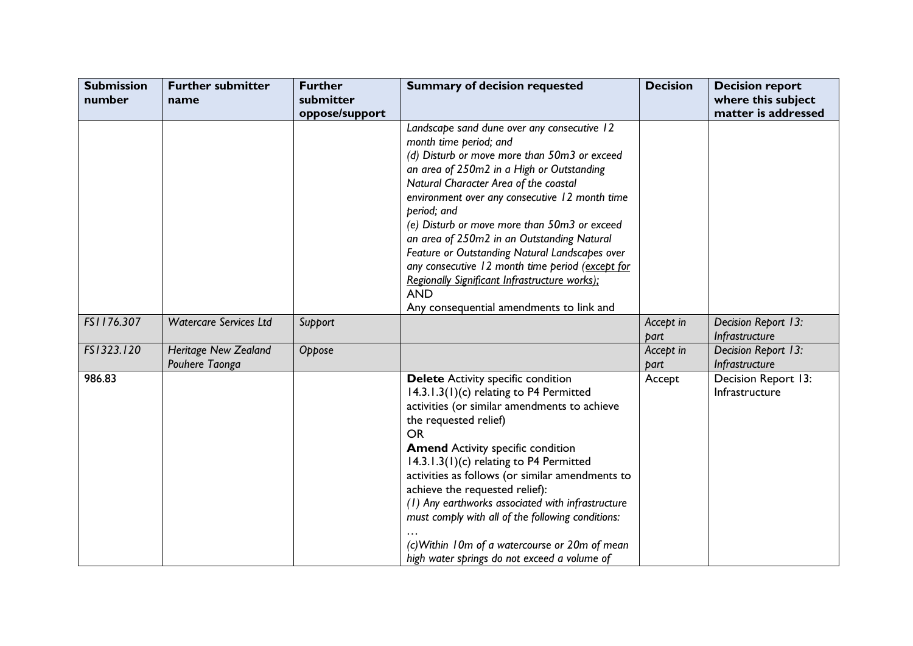| <b>Submission</b><br>number | <b>Further submitter</b><br>name              | <b>Further</b><br>submitter | <b>Summary of decision requested</b>                                                                                                                                                                                                                                                                                                                                                                                                                                                                                                                                                        | <b>Decision</b>   | <b>Decision report</b><br>where this subject |
|-----------------------------|-----------------------------------------------|-----------------------------|---------------------------------------------------------------------------------------------------------------------------------------------------------------------------------------------------------------------------------------------------------------------------------------------------------------------------------------------------------------------------------------------------------------------------------------------------------------------------------------------------------------------------------------------------------------------------------------------|-------------------|----------------------------------------------|
|                             |                                               | oppose/support              |                                                                                                                                                                                                                                                                                                                                                                                                                                                                                                                                                                                             |                   | matter is addressed                          |
|                             |                                               |                             | Landscape sand dune over any consecutive 12<br>month time period; and<br>(d) Disturb or move more than 50m3 or exceed<br>an area of 250m2 in a High or Outstanding<br>Natural Character Area of the coastal<br>environment over any consecutive 12 month time<br>period; and<br>(e) Disturb or move more than 50m3 or exceed<br>an area of 250m2 in an Outstanding Natural<br>Feature or Outstanding Natural Landscapes over<br>any consecutive 12 month time period (except for<br>Regionally Significant Infrastructure works);<br><b>AND</b><br>Any consequential amendments to link and |                   |                                              |
| FS1176.307                  | <b>Watercare Services Ltd</b>                 | Support                     |                                                                                                                                                                                                                                                                                                                                                                                                                                                                                                                                                                                             | Accept in<br>part | Decision Report 13:<br>Infrastructure        |
| FS1323.120                  | <b>Heritage New Zealand</b><br>Pouhere Taonga | Oppose                      |                                                                                                                                                                                                                                                                                                                                                                                                                                                                                                                                                                                             | Accept in<br>part | Decision Report 13:<br>Infrastructure        |
| 986.83                      |                                               |                             | <b>Delete</b> Activity specific condition<br>14.3.1.3(1)(c) relating to P4 Permitted<br>activities (or similar amendments to achieve<br>the requested relief)<br><b>OR</b><br><b>Amend Activity specific condition</b><br>14.3.1.3(1)(c) relating to P4 Permitted<br>activities as follows (or similar amendments to<br>achieve the requested relief):<br>(1) Any earthworks associated with infrastructure<br>must comply with all of the following conditions:<br>(c) Within 10m of a watercourse or 20m of mean<br>high water springs do not exceed a volume of                          | Accept            | Decision Report 13:<br>Infrastructure        |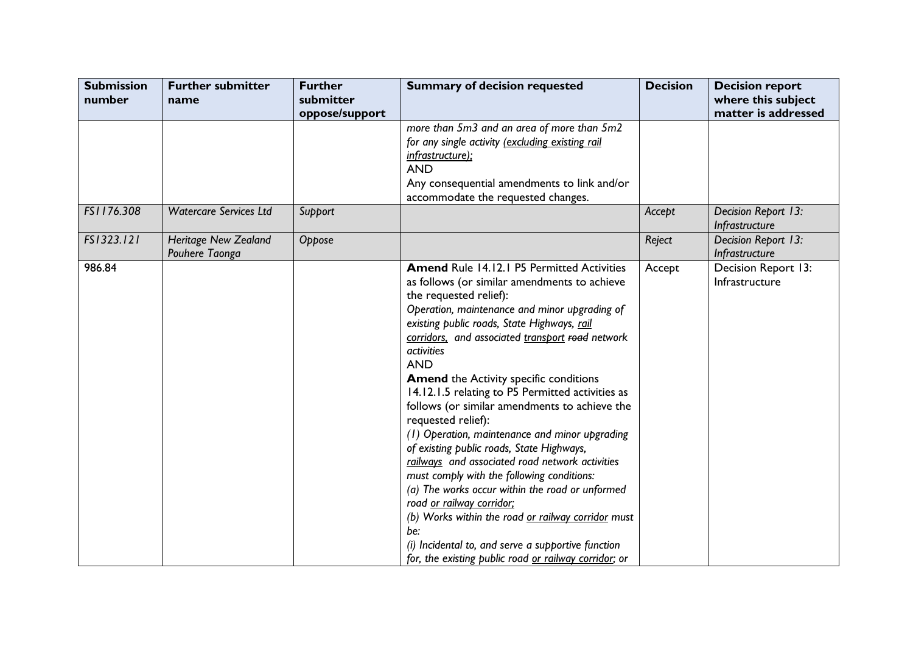| <b>Submission</b><br>number | <b>Further submitter</b><br>name       | <b>Further</b><br>submitter<br>oppose/support | <b>Summary of decision requested</b>                                                                                                                                                                                                                                                                                                                                                                                                                                                                                                                                                                                                                                                                                                                                                                                                                                                                                                                       | <b>Decision</b> | <b>Decision report</b><br>where this subject<br>matter is addressed |
|-----------------------------|----------------------------------------|-----------------------------------------------|------------------------------------------------------------------------------------------------------------------------------------------------------------------------------------------------------------------------------------------------------------------------------------------------------------------------------------------------------------------------------------------------------------------------------------------------------------------------------------------------------------------------------------------------------------------------------------------------------------------------------------------------------------------------------------------------------------------------------------------------------------------------------------------------------------------------------------------------------------------------------------------------------------------------------------------------------------|-----------------|---------------------------------------------------------------------|
|                             |                                        |                                               | more than 5m3 and an area of more than 5m2<br>for any single activity (excluding existing rail<br>infrastructure);<br><b>AND</b><br>Any consequential amendments to link and/or<br>accommodate the requested changes.                                                                                                                                                                                                                                                                                                                                                                                                                                                                                                                                                                                                                                                                                                                                      |                 |                                                                     |
| FS1176.308                  | <b>Watercare Services Ltd</b>          | Support                                       |                                                                                                                                                                                                                                                                                                                                                                                                                                                                                                                                                                                                                                                                                                                                                                                                                                                                                                                                                            | Accept          | Decision Report 13:<br>Infrastructure                               |
| FS1323.121                  | Heritage New Zealand<br>Pouhere Taonga | Oppose                                        |                                                                                                                                                                                                                                                                                                                                                                                                                                                                                                                                                                                                                                                                                                                                                                                                                                                                                                                                                            | Reject          | Decision Report 13:<br>Infrastructure                               |
| 986.84                      |                                        |                                               | <b>Amend Rule 14.12.1 P5 Permitted Activities</b><br>as follows (or similar amendments to achieve<br>the requested relief):<br>Operation, maintenance and minor upgrading of<br>existing public roads, State Highways, rail<br>corridors, and associated transport road network<br><i>activities</i><br><b>AND</b><br><b>Amend the Activity specific conditions</b><br>14.12.1.5 relating to P5 Permitted activities as<br>follows (or similar amendments to achieve the<br>requested relief):<br>(1) Operation, maintenance and minor upgrading<br>of existing public roads, State Highways,<br>railways and associated road network activities<br>must comply with the following conditions:<br>(a) The works occur within the road or unformed<br>road or railway corridor;<br>(b) Works within the road or railway corridor must<br>be:<br>(i) Incidental to, and serve a supportive function<br>for, the existing public road or railway corridor; or | Accept          | Decision Report 13:<br>Infrastructure                               |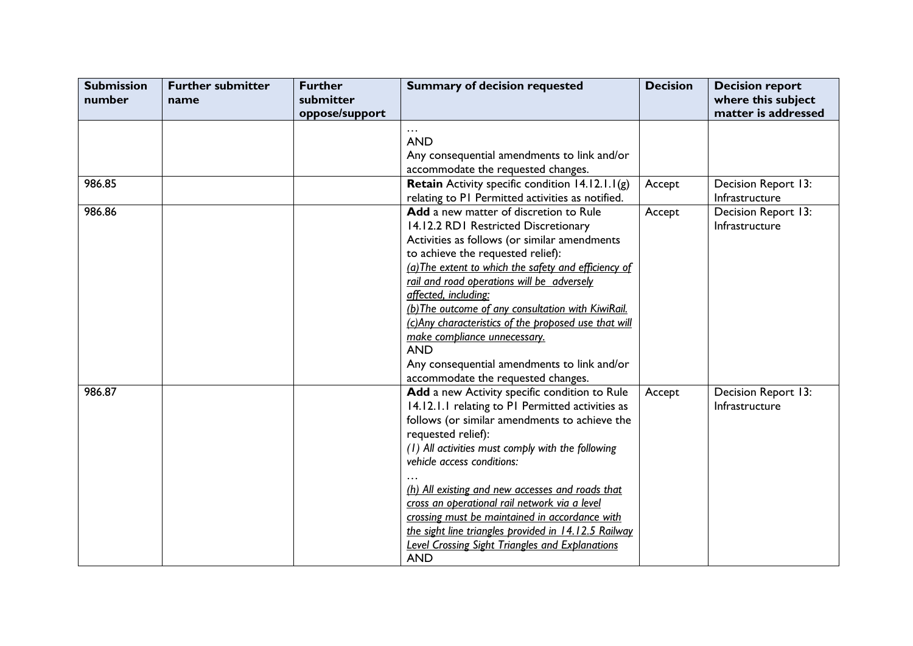| <b>Submission</b><br>number | <b>Further submitter</b><br>name | <b>Further</b><br>submitter | <b>Summary of decision requested</b>                                                                                                                                                                                                                                                                                                                                                                                                                                                                                                               | <b>Decision</b> | <b>Decision report</b><br>where this subject |
|-----------------------------|----------------------------------|-----------------------------|----------------------------------------------------------------------------------------------------------------------------------------------------------------------------------------------------------------------------------------------------------------------------------------------------------------------------------------------------------------------------------------------------------------------------------------------------------------------------------------------------------------------------------------------------|-----------------|----------------------------------------------|
|                             |                                  | oppose/support              | <b>AND</b><br>Any consequential amendments to link and/or<br>accommodate the requested changes.                                                                                                                                                                                                                                                                                                                                                                                                                                                    |                 | matter is addressed                          |
| 986.85                      |                                  |                             | <b>Retain</b> Activity specific condition $14.12.1.1(g)$<br>relating to PI Permitted activities as notified.                                                                                                                                                                                                                                                                                                                                                                                                                                       | Accept          | Decision Report 13:<br>Infrastructure        |
| 986.86                      |                                  |                             | Add a new matter of discretion to Rule<br>14.12.2 RD1 Restricted Discretionary<br>Activities as follows (or similar amendments<br>to achieve the requested relief):<br>(a) The extent to which the safety and efficiency of<br>rail and road operations will be adversely<br>affected, including:<br>(b) The outcome of any consultation with KiwiRail.<br>(c)Any characteristics of the proposed use that will<br>make compliance unnecessary.<br><b>AND</b><br>Any consequential amendments to link and/or<br>accommodate the requested changes. | Accept          | Decision Report 13:<br>Infrastructure        |
| 986.87                      |                                  |                             | Add a new Activity specific condition to Rule<br>14.12.1.1 relating to PI Permitted activities as<br>follows (or similar amendments to achieve the<br>requested relief):<br>(1) All activities must comply with the following<br>vehicle access conditions:<br>(h) All existing and new accesses and roads that<br>cross an operational rail network via a level<br>crossing must be maintained in accordance with<br>the sight line triangles provided in 14.12.5 Railway<br><b>Level Crossing Sight Triangles and Explanations</b><br><b>AND</b> | Accept          | Decision Report 13:<br>Infrastructure        |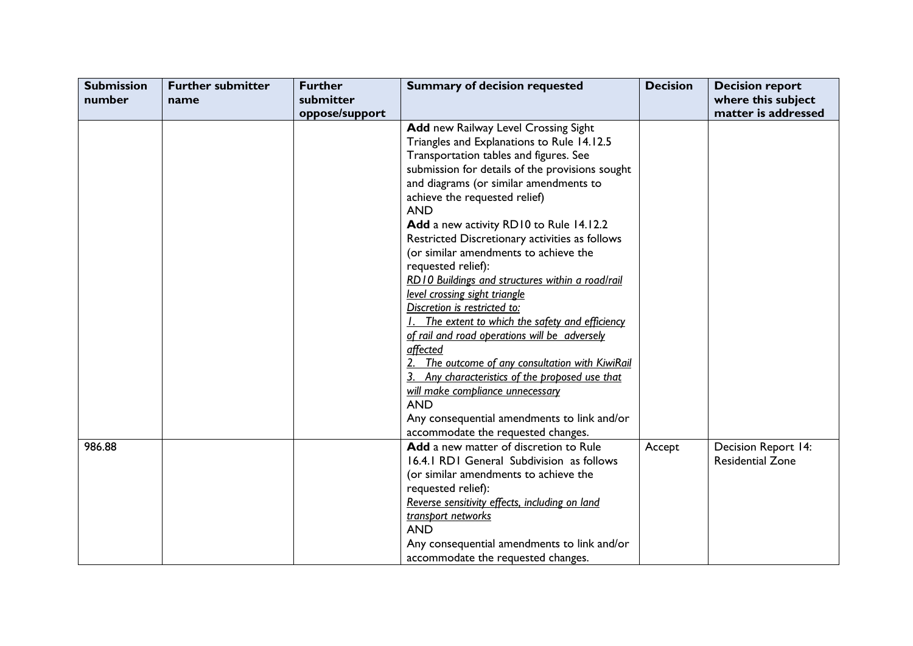| <b>Submission</b> | <b>Further submitter</b> | <b>Further</b> | <b>Summary of decision requested</b>                                                | <b>Decision</b> | <b>Decision report</b>                         |
|-------------------|--------------------------|----------------|-------------------------------------------------------------------------------------|-----------------|------------------------------------------------|
| number            | name                     | submitter      |                                                                                     |                 | where this subject                             |
|                   |                          | oppose/support |                                                                                     |                 | matter is addressed                            |
|                   |                          |                | Add new Railway Level Crossing Sight                                                |                 |                                                |
|                   |                          |                | Triangles and Explanations to Rule 14.12.5                                          |                 |                                                |
|                   |                          |                | Transportation tables and figures. See                                              |                 |                                                |
|                   |                          |                | submission for details of the provisions sought                                     |                 |                                                |
|                   |                          |                | and diagrams (or similar amendments to                                              |                 |                                                |
|                   |                          |                | achieve the requested relief)                                                       |                 |                                                |
|                   |                          |                | <b>AND</b>                                                                          |                 |                                                |
|                   |                          |                | Add a new activity RD10 to Rule 14.12.2                                             |                 |                                                |
|                   |                          |                | Restricted Discretionary activities as follows                                      |                 |                                                |
|                   |                          |                | (or similar amendments to achieve the                                               |                 |                                                |
|                   |                          |                | requested relief):                                                                  |                 |                                                |
|                   |                          |                | RD10 Buildings and structures within a road/rail                                    |                 |                                                |
|                   |                          |                | level crossing sight triangle                                                       |                 |                                                |
|                   |                          |                | Discretion is restricted to:                                                        |                 |                                                |
|                   |                          |                | The extent to which the safety and efficiency                                       |                 |                                                |
|                   |                          |                | of rail and road operations will be adversely                                       |                 |                                                |
|                   |                          |                | affected                                                                            |                 |                                                |
|                   |                          |                | The outcome of any consultation with KiwiRail                                       |                 |                                                |
|                   |                          |                | Any characteristics of the proposed use that                                        |                 |                                                |
|                   |                          |                | will make compliance unnecessary                                                    |                 |                                                |
|                   |                          |                | <b>AND</b>                                                                          |                 |                                                |
|                   |                          |                | Any consequential amendments to link and/or                                         |                 |                                                |
|                   |                          |                | accommodate the requested changes.                                                  |                 |                                                |
| 986.88            |                          |                | Add a new matter of discretion to Rule<br>16.4.1 RD1 General Subdivision as follows | Accept          | Decision Report 14:<br><b>Residential Zone</b> |
|                   |                          |                | (or similar amendments to achieve the                                               |                 |                                                |
|                   |                          |                | requested relief):                                                                  |                 |                                                |
|                   |                          |                | Reverse sensitivity effects, including on land                                      |                 |                                                |
|                   |                          |                | transport networks                                                                  |                 |                                                |
|                   |                          |                | <b>AND</b>                                                                          |                 |                                                |
|                   |                          |                | Any consequential amendments to link and/or                                         |                 |                                                |
|                   |                          |                | accommodate the requested changes.                                                  |                 |                                                |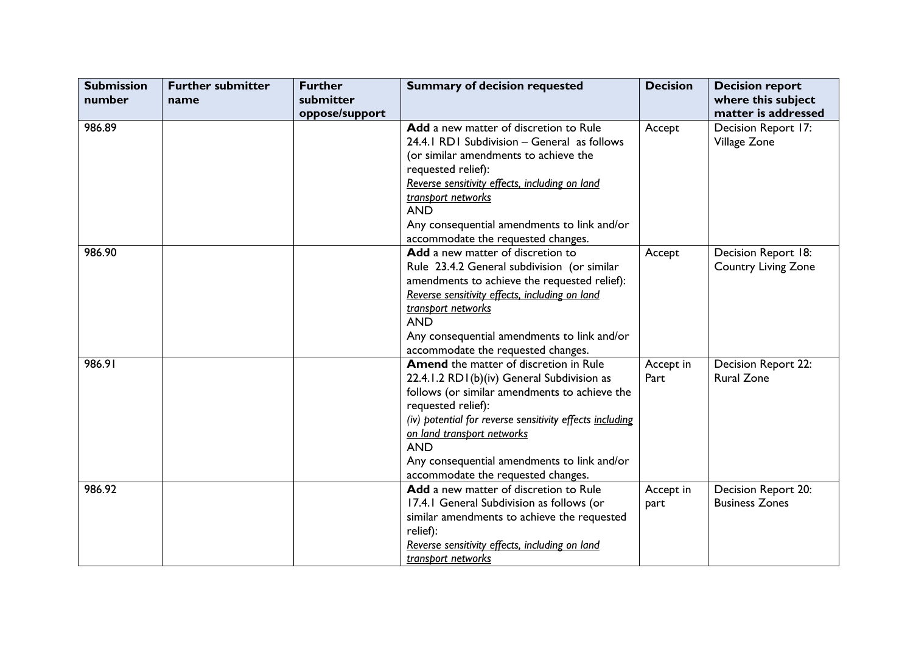| <b>Submission</b> | <b>Further submitter</b> | <b>Further</b> | <b>Summary of decision requested</b>                     | <b>Decision</b> | <b>Decision report</b>     |
|-------------------|--------------------------|----------------|----------------------------------------------------------|-----------------|----------------------------|
| number            | name                     | submitter      |                                                          |                 | where this subject         |
|                   |                          | oppose/support |                                                          |                 | matter is addressed        |
| 986.89            |                          |                | Add a new matter of discretion to Rule                   | Accept          | Decision Report 17:        |
|                   |                          |                | 24.4.1 RD1 Subdivision - General as follows              |                 | Village Zone               |
|                   |                          |                | (or similar amendments to achieve the                    |                 |                            |
|                   |                          |                | requested relief):                                       |                 |                            |
|                   |                          |                | Reverse sensitivity effects, including on land           |                 |                            |
|                   |                          |                | transport networks                                       |                 |                            |
|                   |                          |                | <b>AND</b>                                               |                 |                            |
|                   |                          |                | Any consequential amendments to link and/or              |                 |                            |
|                   |                          |                | accommodate the requested changes.                       |                 |                            |
| 986.90            |                          |                | Add a new matter of discretion to                        | Accept          | Decision Report 18:        |
|                   |                          |                | Rule 23.4.2 General subdivision (or similar              |                 | <b>Country Living Zone</b> |
|                   |                          |                | amendments to achieve the requested relief):             |                 |                            |
|                   |                          |                | Reverse sensitivity effects, including on land           |                 |                            |
|                   |                          |                | transport networks                                       |                 |                            |
|                   |                          |                | <b>AND</b>                                               |                 |                            |
|                   |                          |                | Any consequential amendments to link and/or              |                 |                            |
|                   |                          |                | accommodate the requested changes.                       |                 |                            |
| 986.91            |                          |                | <b>Amend</b> the matter of discretion in Rule            | Accept in       | Decision Report 22:        |
|                   |                          |                | 22.4.1.2 RD1(b)(iv) General Subdivision as               | Part            | <b>Rural Zone</b>          |
|                   |                          |                | follows (or similar amendments to achieve the            |                 |                            |
|                   |                          |                | requested relief):                                       |                 |                            |
|                   |                          |                | (iv) potential for reverse sensitivity effects including |                 |                            |
|                   |                          |                | on land transport networks                               |                 |                            |
|                   |                          |                | <b>AND</b>                                               |                 |                            |
|                   |                          |                | Any consequential amendments to link and/or              |                 |                            |
|                   |                          |                | accommodate the requested changes.                       |                 |                            |
| 986.92            |                          |                | Add a new matter of discretion to Rule                   | Accept in       | Decision Report 20:        |
|                   |                          |                | 17.4.1 General Subdivision as follows (or                | part            | <b>Business Zones</b>      |
|                   |                          |                | similar amendments to achieve the requested              |                 |                            |
|                   |                          |                | relief):                                                 |                 |                            |
|                   |                          |                | Reverse sensitivity effects, including on land           |                 |                            |
|                   |                          |                | transport networks                                       |                 |                            |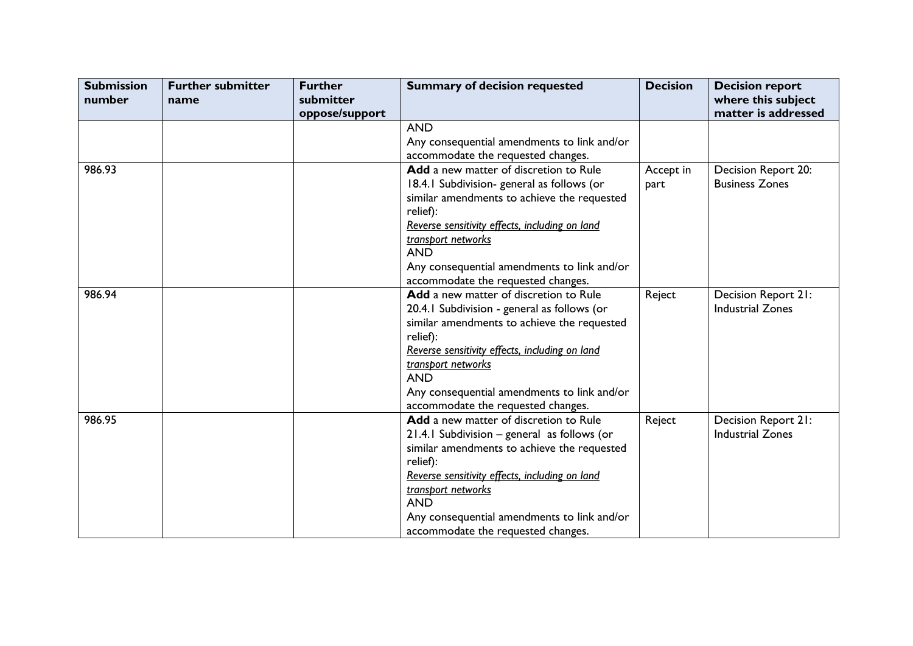| <b>Submission</b><br>number | <b>Further submitter</b><br>name | <b>Further</b><br>submitter | <b>Summary of decision requested</b>           | <b>Decision</b> | <b>Decision report</b><br>where this subject |
|-----------------------------|----------------------------------|-----------------------------|------------------------------------------------|-----------------|----------------------------------------------|
|                             |                                  | oppose/support              |                                                |                 | matter is addressed                          |
|                             |                                  |                             | <b>AND</b>                                     |                 |                                              |
|                             |                                  |                             | Any consequential amendments to link and/or    |                 |                                              |
|                             |                                  |                             | accommodate the requested changes.             |                 |                                              |
| 986.93                      |                                  |                             | Add a new matter of discretion to Rule         | Accept in       | Decision Report 20:                          |
|                             |                                  |                             | 18.4.1 Subdivision-general as follows (or      | part            | <b>Business Zones</b>                        |
|                             |                                  |                             | similar amendments to achieve the requested    |                 |                                              |
|                             |                                  |                             | relief):                                       |                 |                                              |
|                             |                                  |                             | Reverse sensitivity effects, including on land |                 |                                              |
|                             |                                  |                             | transport networks                             |                 |                                              |
|                             |                                  |                             | <b>AND</b>                                     |                 |                                              |
|                             |                                  |                             | Any consequential amendments to link and/or    |                 |                                              |
|                             |                                  |                             | accommodate the requested changes.             |                 |                                              |
| 986.94                      |                                  |                             | Add a new matter of discretion to Rule         | Reject          | Decision Report 21:                          |
|                             |                                  |                             | 20.4.1 Subdivision - general as follows (or    |                 | <b>Industrial Zones</b>                      |
|                             |                                  |                             | similar amendments to achieve the requested    |                 |                                              |
|                             |                                  |                             | relief):                                       |                 |                                              |
|                             |                                  |                             | Reverse sensitivity effects, including on land |                 |                                              |
|                             |                                  |                             | transport networks                             |                 |                                              |
|                             |                                  |                             | <b>AND</b>                                     |                 |                                              |
|                             |                                  |                             | Any consequential amendments to link and/or    |                 |                                              |
|                             |                                  |                             | accommodate the requested changes.             |                 |                                              |
| 986.95                      |                                  |                             | Add a new matter of discretion to Rule         | Reject          | Decision Report 21:                          |
|                             |                                  |                             | 21.4.1 Subdivision - general as follows (or    |                 | <b>Industrial Zones</b>                      |
|                             |                                  |                             | similar amendments to achieve the requested    |                 |                                              |
|                             |                                  |                             | relief):                                       |                 |                                              |
|                             |                                  |                             | Reverse sensitivity effects, including on land |                 |                                              |
|                             |                                  |                             | transport networks                             |                 |                                              |
|                             |                                  |                             | <b>AND</b>                                     |                 |                                              |
|                             |                                  |                             | Any consequential amendments to link and/or    |                 |                                              |
|                             |                                  |                             | accommodate the requested changes.             |                 |                                              |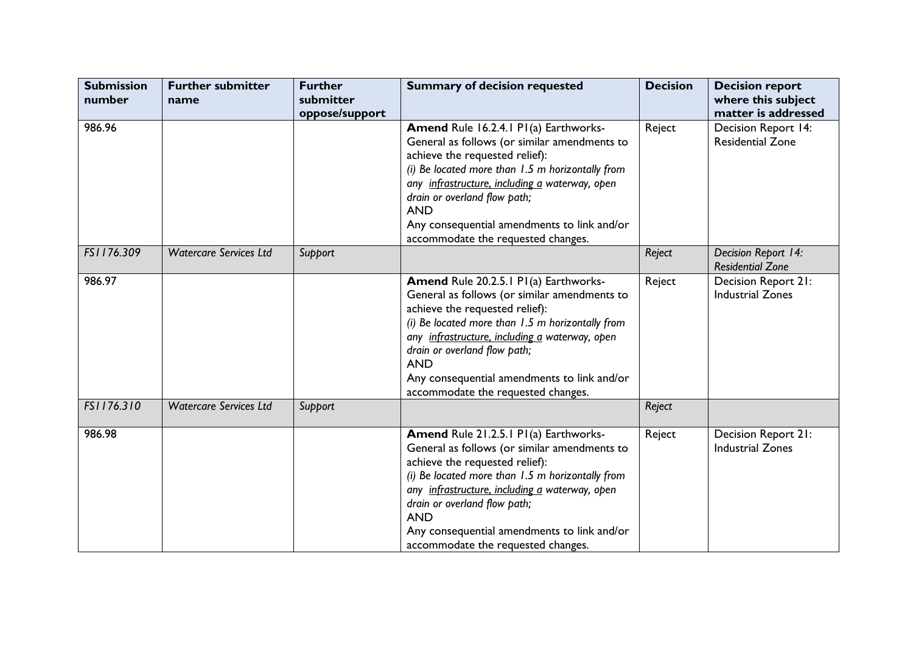| <b>Submission</b><br>number | <b>Further submitter</b><br>name | <b>Further</b><br>submitter<br>oppose/support | <b>Summary of decision requested</b>                                                                                                                                                                                                                                                                                                                             | <b>Decision</b> | <b>Decision report</b><br>where this subject<br>matter is addressed |
|-----------------------------|----------------------------------|-----------------------------------------------|------------------------------------------------------------------------------------------------------------------------------------------------------------------------------------------------------------------------------------------------------------------------------------------------------------------------------------------------------------------|-----------------|---------------------------------------------------------------------|
| 986.96                      |                                  |                                               | Amend Rule 16.2.4.1 P1(a) Earthworks-<br>General as follows (or similar amendments to<br>achieve the requested relief):<br>(i) Be located more than 1.5 m horizontally from<br>any infrastructure, including a waterway, open<br>drain or overland flow path;<br><b>AND</b><br>Any consequential amendments to link and/or<br>accommodate the requested changes. | Reject          | Decision Report 14:<br><b>Residential Zone</b>                      |
| FS1176.309                  | <b>Watercare Services Ltd</b>    | Support                                       |                                                                                                                                                                                                                                                                                                                                                                  | Reject          | Decision Report 14:<br><b>Residential Zone</b>                      |
| 986.97                      |                                  |                                               | Amend Rule 20.2.5.1 P1(a) Earthworks-<br>General as follows (or similar amendments to<br>achieve the requested relief):<br>(i) Be located more than 1.5 m horizontally from<br>any infrastructure, including a waterway, open<br>drain or overland flow path;<br><b>AND</b><br>Any consequential amendments to link and/or<br>accommodate the requested changes. | Reject          | Decision Report 21:<br><b>Industrial Zones</b>                      |
| FS1176.310                  | <b>Watercare Services Ltd</b>    | Support                                       |                                                                                                                                                                                                                                                                                                                                                                  | Reject          |                                                                     |
| 986.98                      |                                  |                                               | Amend Rule 21.2.5.1 P1(a) Earthworks-<br>General as follows (or similar amendments to<br>achieve the requested relief):<br>(i) Be located more than 1.5 m horizontally from<br>any infrastructure, including a waterway, open<br>drain or overland flow path;<br><b>AND</b><br>Any consequential amendments to link and/or<br>accommodate the requested changes. | Reject          | Decision Report 21:<br><b>Industrial Zones</b>                      |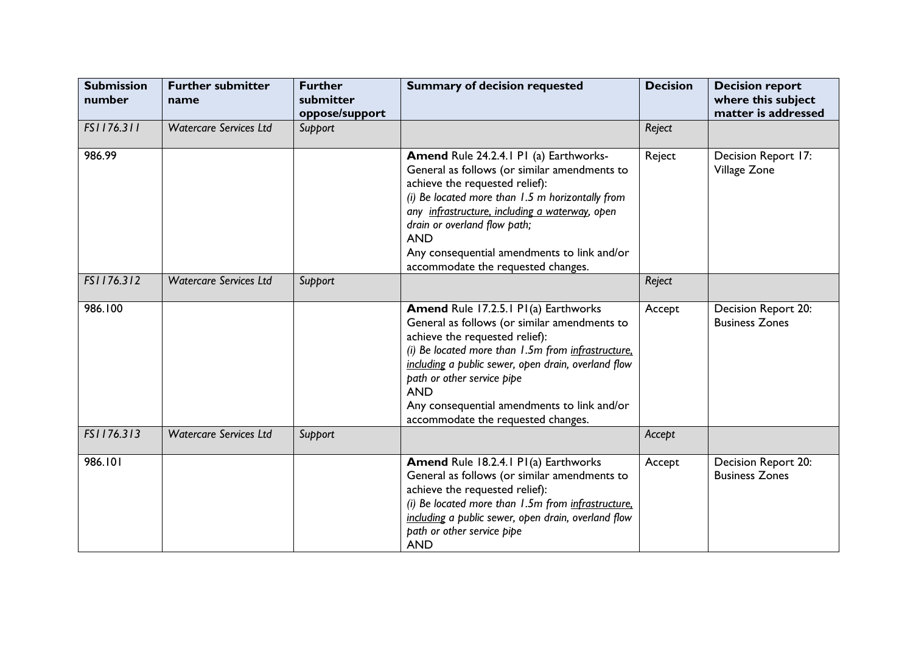| <b>Submission</b><br>number | <b>Further submitter</b><br>name | <b>Further</b><br>submitter<br>oppose/support | <b>Summary of decision requested</b>                                                                                                                                                                                                                                                                                                                                 | <b>Decision</b> | <b>Decision report</b><br>where this subject<br>matter is addressed |
|-----------------------------|----------------------------------|-----------------------------------------------|----------------------------------------------------------------------------------------------------------------------------------------------------------------------------------------------------------------------------------------------------------------------------------------------------------------------------------------------------------------------|-----------------|---------------------------------------------------------------------|
| FS1176.311                  | <b>Watercare Services Ltd</b>    | Support                                       |                                                                                                                                                                                                                                                                                                                                                                      | Reject          |                                                                     |
| 986.99                      |                                  |                                               | Amend Rule 24.2.4.1 P1 (a) Earthworks-<br>General as follows (or similar amendments to<br>achieve the requested relief):<br>(i) Be located more than 1.5 m horizontally from<br>any infrastructure, including a waterway, open<br>drain or overland flow path;<br><b>AND</b><br>Any consequential amendments to link and/or<br>accommodate the requested changes.    | Reject          | Decision Report 17:<br>Village Zone                                 |
| FS1176.312                  | <b>Watercare Services Ltd</b>    | Support                                       |                                                                                                                                                                                                                                                                                                                                                                      | Reject          |                                                                     |
| 986.100                     |                                  |                                               | Amend Rule 17.2.5.1 P1(a) Earthworks<br>General as follows (or similar amendments to<br>achieve the requested relief):<br>(i) Be located more than 1.5m from infrastructure.<br>including a public sewer, open drain, overland flow<br>path or other service pipe<br><b>AND</b><br>Any consequential amendments to link and/or<br>accommodate the requested changes. | Accept          | Decision Report 20:<br><b>Business Zones</b>                        |
| FS1176.313                  | <b>Watercare Services Ltd</b>    | Support                                       |                                                                                                                                                                                                                                                                                                                                                                      | Accept          |                                                                     |
| 986.101                     |                                  |                                               | Amend Rule 18.2.4.1 P1(a) Earthworks<br>General as follows (or similar amendments to<br>achieve the requested relief):<br>(i) Be located more than 1.5m from infrastructure.<br>including a public sewer, open drain, overland flow<br>path or other service pipe<br><b>AND</b>                                                                                      | Accept          | Decision Report 20:<br><b>Business Zones</b>                        |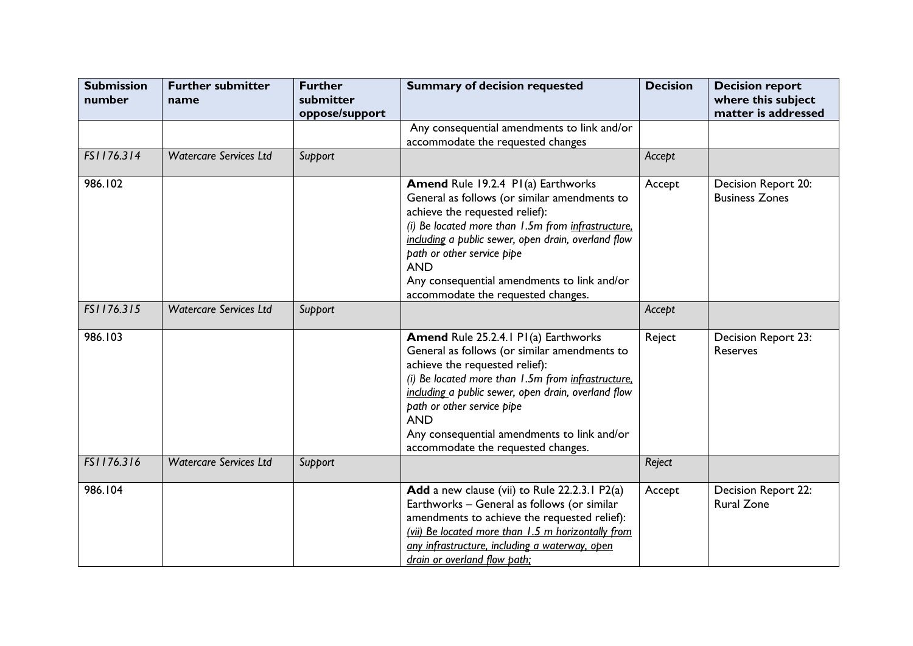| <b>Submission</b><br>number | <b>Further submitter</b><br>name | <b>Further</b><br>submitter<br>oppose/support | <b>Summary of decision requested</b>                                                                                                                                                                                                                                                                                                                                      | <b>Decision</b> | <b>Decision report</b><br>where this subject<br>matter is addressed |
|-----------------------------|----------------------------------|-----------------------------------------------|---------------------------------------------------------------------------------------------------------------------------------------------------------------------------------------------------------------------------------------------------------------------------------------------------------------------------------------------------------------------------|-----------------|---------------------------------------------------------------------|
|                             |                                  |                                               | Any consequential amendments to link and/or<br>accommodate the requested changes                                                                                                                                                                                                                                                                                          |                 |                                                                     |
| FS1176.314                  | <b>Watercare Services Ltd</b>    | Support                                       |                                                                                                                                                                                                                                                                                                                                                                           | Accept          |                                                                     |
| 986.102                     |                                  |                                               | <b>Amend Rule 19.2.4 PI(a) Earthworks</b><br>General as follows (or similar amendments to<br>achieve the requested relief):<br>(i) Be located more than 1.5m from infrastructure,<br>including a public sewer, open drain, overland flow<br>path or other service pipe<br><b>AND</b><br>Any consequential amendments to link and/or<br>accommodate the requested changes. | Accept          | Decision Report 20:<br><b>Business Zones</b>                        |
| FS1176.315                  | <b>Watercare Services Ltd</b>    | Support                                       |                                                                                                                                                                                                                                                                                                                                                                           | Accept          |                                                                     |
| 986.103                     |                                  |                                               | Amend Rule 25.2.4.1 P1(a) Earthworks<br>General as follows (or similar amendments to<br>achieve the requested relief):<br>(i) Be located more than 1.5m from infrastructure.<br>including a public sewer, open drain, overland flow<br>path or other service pipe<br><b>AND</b><br>Any consequential amendments to link and/or<br>accommodate the requested changes.      | Reject          | Decision Report 23:<br>Reserves                                     |
| FS1176.316                  | <b>Watercare Services Ltd</b>    | Support                                       |                                                                                                                                                                                                                                                                                                                                                                           | Reject          |                                                                     |
| 986.104                     |                                  |                                               | Add a new clause (vii) to Rule 22.2.3.1 P2(a)<br>Earthworks - General as follows (or similar<br>amendments to achieve the requested relief):<br>(vii) Be located more than 1.5 m horizontally from<br>any infrastructure, including a waterway, open<br>drain or overland flow path;                                                                                      | Accept          | Decision Report 22:<br><b>Rural Zone</b>                            |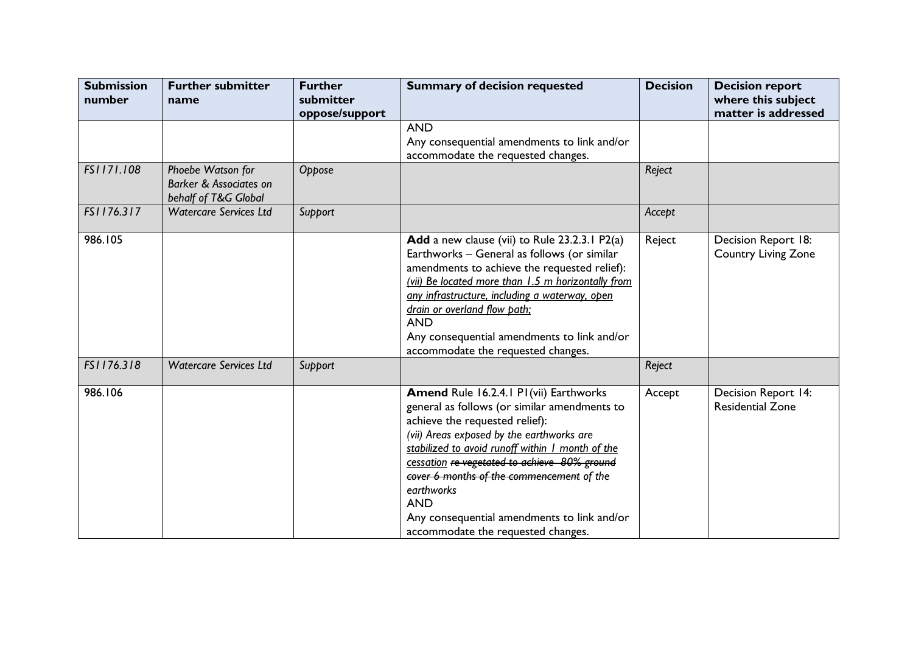| <b>Submission</b><br>number | <b>Further submitter</b><br>name                                               | <b>Further</b><br>submitter<br>oppose/support | <b>Summary of decision requested</b>                                                                                                                                                                                                                                                                                                                                                                                                    | <b>Decision</b> | <b>Decision report</b><br>where this subject<br>matter is addressed |
|-----------------------------|--------------------------------------------------------------------------------|-----------------------------------------------|-----------------------------------------------------------------------------------------------------------------------------------------------------------------------------------------------------------------------------------------------------------------------------------------------------------------------------------------------------------------------------------------------------------------------------------------|-----------------|---------------------------------------------------------------------|
|                             |                                                                                |                                               | <b>AND</b><br>Any consequential amendments to link and/or<br>accommodate the requested changes.                                                                                                                                                                                                                                                                                                                                         |                 |                                                                     |
| FS1171.108                  | Phoebe Watson for<br><b>Barker &amp; Associates on</b><br>behalf of T&G Global | Oppose                                        |                                                                                                                                                                                                                                                                                                                                                                                                                                         | Reject          |                                                                     |
| FS1176.317                  | <b>Watercare Services Ltd</b>                                                  | Support                                       |                                                                                                                                                                                                                                                                                                                                                                                                                                         | Accept          |                                                                     |
| 986.105                     |                                                                                |                                               | Add a new clause (vii) to Rule 23.2.3.1 P2(a)<br>Earthworks - General as follows (or similar<br>amendments to achieve the requested relief):<br>(vii) Be located more than 1.5 m horizontally from<br>any infrastructure, including a waterway, open<br>drain or overland flow path;<br><b>AND</b><br>Any consequential amendments to link and/or<br>accommodate the requested changes.                                                 | Reject          | Decision Report 18:<br><b>Country Living Zone</b>                   |
| FS1176.318                  | <b>Watercare Services Ltd</b>                                                  | Support                                       |                                                                                                                                                                                                                                                                                                                                                                                                                                         | Reject          |                                                                     |
| 986.106                     |                                                                                |                                               | Amend Rule 16.2.4.1 P1(vii) Earthworks<br>general as follows (or similar amendments to<br>achieve the requested relief):<br>(vii) Areas exposed by the earthworks are<br>stabilized to avoid runoff within I month of the<br>cessation re-vegetated to achieve 80% ground<br>cover 6 months of the commencement of the<br>earthworks<br><b>AND</b><br>Any consequential amendments to link and/or<br>accommodate the requested changes. | Accept          | Decision Report 14:<br><b>Residential Zone</b>                      |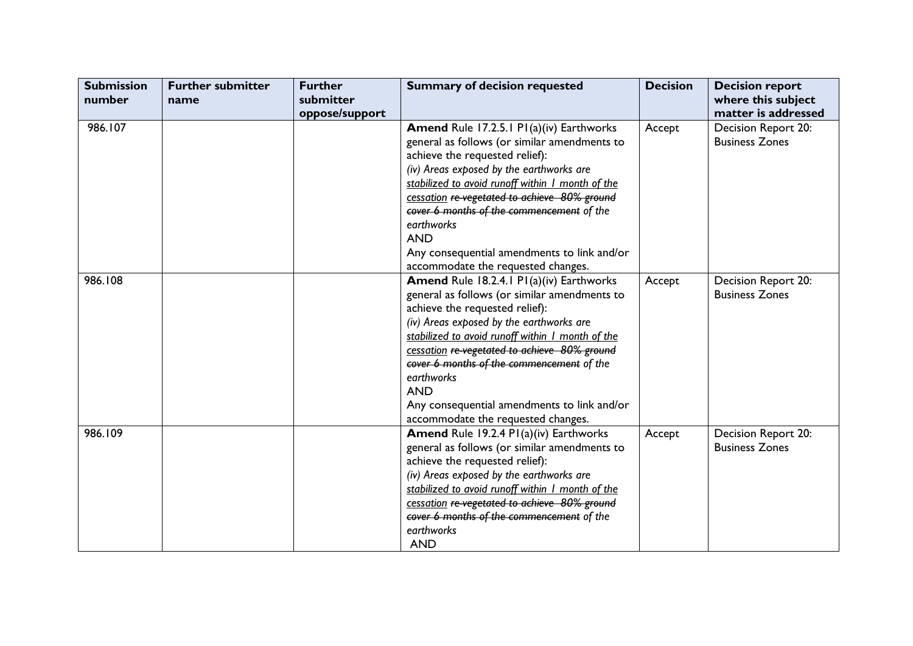| <b>Submission</b> | <b>Further submitter</b> | <b>Further</b> | <b>Summary of decision requested</b>             | <b>Decision</b> | <b>Decision report</b> |
|-------------------|--------------------------|----------------|--------------------------------------------------|-----------------|------------------------|
| number            | name                     | submitter      |                                                  |                 | where this subject     |
|                   |                          | oppose/support |                                                  |                 | matter is addressed    |
| 986.107           |                          |                | <b>Amend Rule 17.2.5.1 P1(a)(iv) Earthworks</b>  | Accept          | Decision Report 20:    |
|                   |                          |                | general as follows (or similar amendments to     |                 | <b>Business Zones</b>  |
|                   |                          |                | achieve the requested relief):                   |                 |                        |
|                   |                          |                | (iv) Areas exposed by the earthworks are         |                 |                        |
|                   |                          |                | stabilized to avoid runoff within I month of the |                 |                        |
|                   |                          |                | cessation re-vegetated to achieve 80% ground     |                 |                        |
|                   |                          |                | cover 6 months of the commencement of the        |                 |                        |
|                   |                          |                | earthworks                                       |                 |                        |
|                   |                          |                | <b>AND</b>                                       |                 |                        |
|                   |                          |                | Any consequential amendments to link and/or      |                 |                        |
|                   |                          |                | accommodate the requested changes.               |                 |                        |
| 986.108           |                          |                | <b>Amend Rule 18.2.4.1 P1(a)(iv) Earthworks</b>  | Accept          | Decision Report 20:    |
|                   |                          |                | general as follows (or similar amendments to     |                 | <b>Business Zones</b>  |
|                   |                          |                | achieve the requested relief):                   |                 |                        |
|                   |                          |                | (iv) Areas exposed by the earthworks are         |                 |                        |
|                   |                          |                | stabilized to avoid runoff within I month of the |                 |                        |
|                   |                          |                | cessation re-vegetated to achieve 80% ground     |                 |                        |
|                   |                          |                | cover 6 months of the commencement of the        |                 |                        |
|                   |                          |                | earthworks                                       |                 |                        |
|                   |                          |                | <b>AND</b>                                       |                 |                        |
|                   |                          |                | Any consequential amendments to link and/or      |                 |                        |
|                   |                          |                | accommodate the requested changes.               |                 |                        |
| 986.109           |                          |                | <b>Amend Rule 19.2.4 P1(a)(iv) Earthworks</b>    | Accept          | Decision Report 20:    |
|                   |                          |                | general as follows (or similar amendments to     |                 | <b>Business Zones</b>  |
|                   |                          |                | achieve the requested relief):                   |                 |                        |
|                   |                          |                | (iv) Areas exposed by the earthworks are         |                 |                        |
|                   |                          |                | stabilized to avoid runoff within I month of the |                 |                        |
|                   |                          |                | cessation re-vegetated to achieve 80% ground     |                 |                        |
|                   |                          |                | cover 6 months of the commencement of the        |                 |                        |
|                   |                          |                | earthworks                                       |                 |                        |
|                   |                          |                | <b>AND</b>                                       |                 |                        |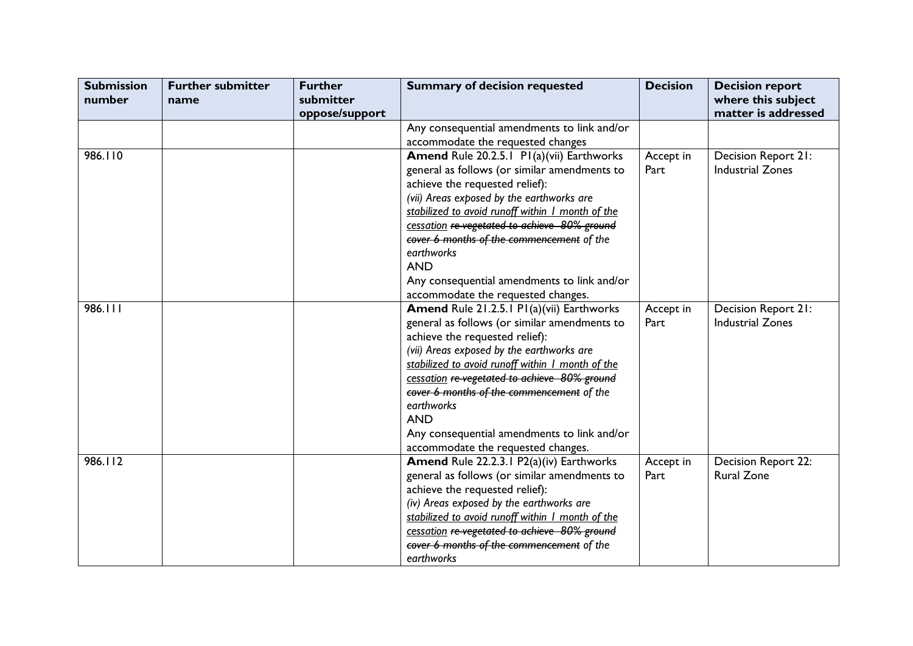| <b>Submission</b><br>number | <b>Further submitter</b><br>name | <b>Further</b><br>submitter<br>oppose/support | <b>Summary of decision requested</b>             | <b>Decision</b> | <b>Decision report</b><br>where this subject<br>matter is addressed |
|-----------------------------|----------------------------------|-----------------------------------------------|--------------------------------------------------|-----------------|---------------------------------------------------------------------|
|                             |                                  |                                               | Any consequential amendments to link and/or      |                 |                                                                     |
|                             |                                  |                                               | accommodate the requested changes                |                 |                                                                     |
| 986.110                     |                                  |                                               | Amend Rule 20.2.5.1 PI(a)(vii) Earthworks        | Accept in       | Decision Report 21:                                                 |
|                             |                                  |                                               | general as follows (or similar amendments to     | Part            | <b>Industrial Zones</b>                                             |
|                             |                                  |                                               | achieve the requested relief):                   |                 |                                                                     |
|                             |                                  |                                               | (vii) Areas exposed by the earthworks are        |                 |                                                                     |
|                             |                                  |                                               | stabilized to avoid runoff within I month of the |                 |                                                                     |
|                             |                                  |                                               | cessation re-vegetated to achieve 80% ground     |                 |                                                                     |
|                             |                                  |                                               | cover 6 months of the commencement of the        |                 |                                                                     |
|                             |                                  |                                               | earthworks                                       |                 |                                                                     |
|                             |                                  |                                               | <b>AND</b>                                       |                 |                                                                     |
|                             |                                  |                                               | Any consequential amendments to link and/or      |                 |                                                                     |
|                             |                                  |                                               | accommodate the requested changes.               |                 |                                                                     |
| 986.111                     |                                  |                                               | Amend Rule 21.2.5.1 P1(a)(vii) Earthworks        | Accept in       | Decision Report 21:                                                 |
|                             |                                  |                                               | general as follows (or similar amendments to     | Part            | <b>Industrial Zones</b>                                             |
|                             |                                  |                                               | achieve the requested relief):                   |                 |                                                                     |
|                             |                                  |                                               | (vii) Areas exposed by the earthworks are        |                 |                                                                     |
|                             |                                  |                                               | stabilized to avoid runoff within I month of the |                 |                                                                     |
|                             |                                  |                                               | cessation re-vegetated to achieve 80% ground     |                 |                                                                     |
|                             |                                  |                                               | cover 6 months of the commencement of the        |                 |                                                                     |
|                             |                                  |                                               | earthworks                                       |                 |                                                                     |
|                             |                                  |                                               | <b>AND</b>                                       |                 |                                                                     |
|                             |                                  |                                               | Any consequential amendments to link and/or      |                 |                                                                     |
|                             |                                  |                                               | accommodate the requested changes.               |                 |                                                                     |
| 986.112                     |                                  |                                               | Amend Rule 22.2.3.1 P2(a)(iv) Earthworks         | Accept in       | Decision Report 22:                                                 |
|                             |                                  |                                               | general as follows (or similar amendments to     | Part            | <b>Rural Zone</b>                                                   |
|                             |                                  |                                               | achieve the requested relief):                   |                 |                                                                     |
|                             |                                  |                                               | (iv) Areas exposed by the earthworks are         |                 |                                                                     |
|                             |                                  |                                               | stabilized to avoid runoff within I month of the |                 |                                                                     |
|                             |                                  |                                               | cessation re-vegetated to achieve 80% ground     |                 |                                                                     |
|                             |                                  |                                               | cover 6 months of the commencement of the        |                 |                                                                     |
|                             |                                  |                                               | earthworks                                       |                 |                                                                     |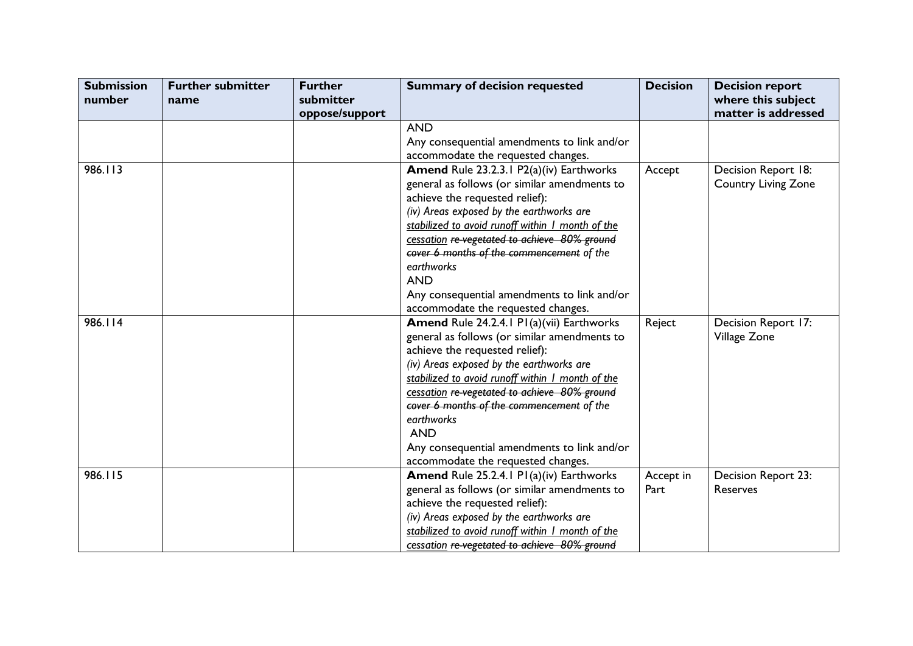| <b>Submission</b> | <b>Further submitter</b> | <b>Further</b> | <b>Summary of decision requested</b>             | <b>Decision</b> | <b>Decision report</b>     |
|-------------------|--------------------------|----------------|--------------------------------------------------|-----------------|----------------------------|
| number            | name                     | submitter      |                                                  |                 | where this subject         |
|                   |                          | oppose/support |                                                  |                 | matter is addressed        |
|                   |                          |                | <b>AND</b>                                       |                 |                            |
|                   |                          |                | Any consequential amendments to link and/or      |                 |                            |
|                   |                          |                | accommodate the requested changes.               |                 |                            |
| 986.113           |                          |                | Amend Rule 23.2.3.1 P2(a)(iv) Earthworks         | Accept          | Decision Report 18:        |
|                   |                          |                | general as follows (or similar amendments to     |                 | <b>Country Living Zone</b> |
|                   |                          |                | achieve the requested relief):                   |                 |                            |
|                   |                          |                | (iv) Areas exposed by the earthworks are         |                 |                            |
|                   |                          |                | stabilized to avoid runoff within I month of the |                 |                            |
|                   |                          |                | cessation re-vegetated to achieve 80% ground     |                 |                            |
|                   |                          |                | cover 6 months of the commencement of the        |                 |                            |
|                   |                          |                | earthworks                                       |                 |                            |
|                   |                          |                | <b>AND</b>                                       |                 |                            |
|                   |                          |                | Any consequential amendments to link and/or      |                 |                            |
|                   |                          |                | accommodate the requested changes.               |                 |                            |
| 986.114           |                          |                | Amend Rule 24.2.4.1 P1(a)(vii) Earthworks        | Reject          | Decision Report 17:        |
|                   |                          |                | general as follows (or similar amendments to     |                 | Village Zone               |
|                   |                          |                | achieve the requested relief):                   |                 |                            |
|                   |                          |                | (iv) Areas exposed by the earthworks are         |                 |                            |
|                   |                          |                | stabilized to avoid runoff within I month of the |                 |                            |
|                   |                          |                | cessation re-vegetated to achieve 80% ground     |                 |                            |
|                   |                          |                | cover 6 months of the commencement of the        |                 |                            |
|                   |                          |                | earthworks                                       |                 |                            |
|                   |                          |                | <b>AND</b>                                       |                 |                            |
|                   |                          |                | Any consequential amendments to link and/or      |                 |                            |
|                   |                          |                | accommodate the requested changes.               |                 |                            |
| 986.115           |                          |                | <b>Amend Rule 25.2.4.1 P1(a)(iv) Earthworks</b>  | Accept in       | Decision Report 23:        |
|                   |                          |                | general as follows (or similar amendments to     | Part            | Reserves                   |
|                   |                          |                | achieve the requested relief):                   |                 |                            |
|                   |                          |                | (iv) Areas exposed by the earthworks are         |                 |                            |
|                   |                          |                | stabilized to avoid runoff within I month of the |                 |                            |
|                   |                          |                | cessation re-vegetated to achieve 80% ground     |                 |                            |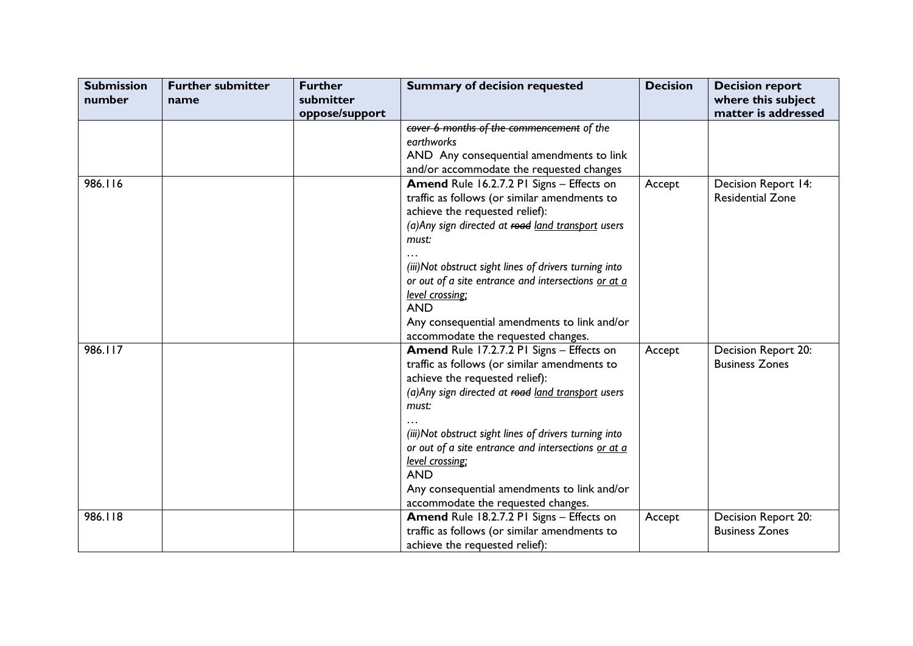| <b>Submission</b> | <b>Further submitter</b> | <b>Further</b> | <b>Summary of decision requested</b>                   | <b>Decision</b> | <b>Decision report</b>  |
|-------------------|--------------------------|----------------|--------------------------------------------------------|-----------------|-------------------------|
| number            | name                     | submitter      |                                                        |                 | where this subject      |
|                   |                          | oppose/support |                                                        |                 | matter is addressed     |
|                   |                          |                | cover 6 months of the commencement of the              |                 |                         |
|                   |                          |                | earthworks                                             |                 |                         |
|                   |                          |                | AND Any consequential amendments to link               |                 |                         |
|                   |                          |                | and/or accommodate the requested changes               |                 |                         |
| 986.116           |                          |                | Amend Rule 16.2.7.2 PI Signs - Effects on              | Accept          | Decision Report 14:     |
|                   |                          |                | traffic as follows (or similar amendments to           |                 | <b>Residential Zone</b> |
|                   |                          |                | achieve the requested relief):                         |                 |                         |
|                   |                          |                | (a) Any sign directed at road land transport users     |                 |                         |
|                   |                          |                | must:                                                  |                 |                         |
|                   |                          |                |                                                        |                 |                         |
|                   |                          |                | (iii) Not obstruct sight lines of drivers turning into |                 |                         |
|                   |                          |                | or out of a site entrance and intersections or at a    |                 |                         |
|                   |                          |                | level crossing;                                        |                 |                         |
|                   |                          |                | <b>AND</b>                                             |                 |                         |
|                   |                          |                | Any consequential amendments to link and/or            |                 |                         |
|                   |                          |                | accommodate the requested changes.                     |                 |                         |
| 986.117           |                          |                | Amend Rule 17.2.7.2 PI Signs - Effects on              | Accept          | Decision Report 20:     |
|                   |                          |                | traffic as follows (or similar amendments to           |                 | <b>Business Zones</b>   |
|                   |                          |                | achieve the requested relief):                         |                 |                         |
|                   |                          |                | (a) Any sign directed at road land transport users     |                 |                         |
|                   |                          |                | must:                                                  |                 |                         |
|                   |                          |                |                                                        |                 |                         |
|                   |                          |                | (iii) Not obstruct sight lines of drivers turning into |                 |                         |
|                   |                          |                | or out of a site entrance and intersections or at a    |                 |                         |
|                   |                          |                | level crossing;                                        |                 |                         |
|                   |                          |                | <b>AND</b>                                             |                 |                         |
|                   |                          |                | Any consequential amendments to link and/or            |                 |                         |
|                   |                          |                | accommodate the requested changes.                     |                 |                         |
| 986.118           |                          |                | Amend Rule 18.2.7.2 PI Signs - Effects on              | Accept          | Decision Report 20:     |
|                   |                          |                | traffic as follows (or similar amendments to           |                 | <b>Business Zones</b>   |
|                   |                          |                | achieve the requested relief):                         |                 |                         |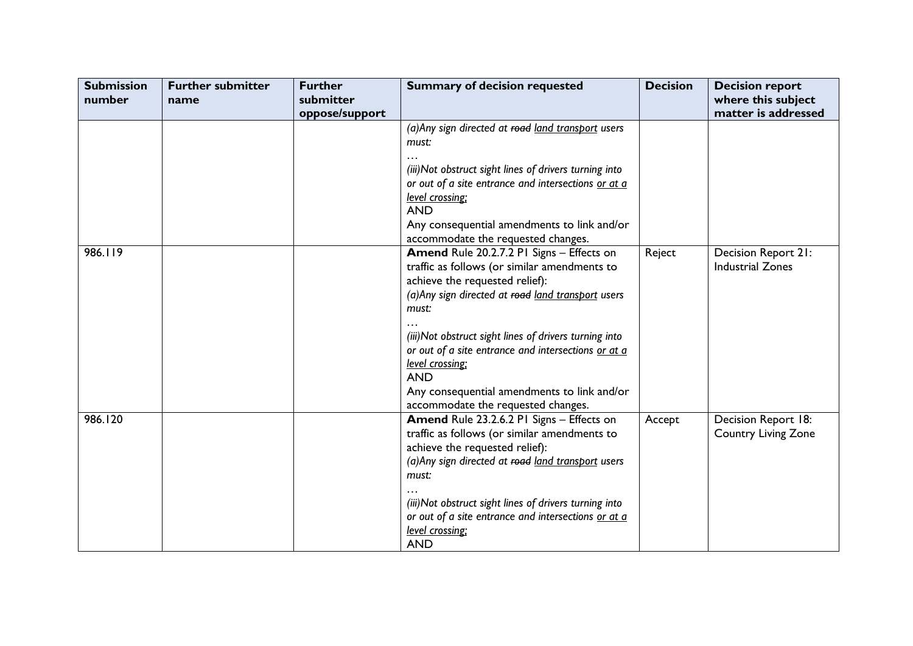| <b>Submission</b> | <b>Further submitter</b> | <b>Further</b>              | <b>Summary of decision requested</b>                                                                                                                                                                                                                                                                                                                                                                                              | <b>Decision</b> | <b>Decision report</b>                            |
|-------------------|--------------------------|-----------------------------|-----------------------------------------------------------------------------------------------------------------------------------------------------------------------------------------------------------------------------------------------------------------------------------------------------------------------------------------------------------------------------------------------------------------------------------|-----------------|---------------------------------------------------|
| number            | name                     | submitter<br>oppose/support |                                                                                                                                                                                                                                                                                                                                                                                                                                   |                 | where this subject<br>matter is addressed         |
|                   |                          |                             | (a) Any sign directed at road land transport users<br>must:<br>(iii) Not obstruct sight lines of drivers turning into<br>or out of a site entrance and intersections or at a<br>level crossing;<br><b>AND</b><br>Any consequential amendments to link and/or<br>accommodate the requested changes.                                                                                                                                |                 |                                                   |
| 986.119           |                          |                             | Amend Rule 20.2.7.2 PI Signs - Effects on<br>traffic as follows (or similar amendments to<br>achieve the requested relief):<br>(a) Any sign directed at road land transport users<br>must:<br>(iii) Not obstruct sight lines of drivers turning into<br>or out of a site entrance and intersections or at a<br>level crossing;<br><b>AND</b><br>Any consequential amendments to link and/or<br>accommodate the requested changes. | Reject          | Decision Report 21:<br><b>Industrial Zones</b>    |
| 986.120           |                          |                             | Amend Rule 23.2.6.2 PI Signs - Effects on<br>traffic as follows (or similar amendments to<br>achieve the requested relief):<br>(a) Any sign directed at road land transport users<br>must:<br>(iii) Not obstruct sight lines of drivers turning into<br>or out of a site entrance and intersections or at a<br>level crossing:<br><b>AND</b>                                                                                      | Accept          | Decision Report 18:<br><b>Country Living Zone</b> |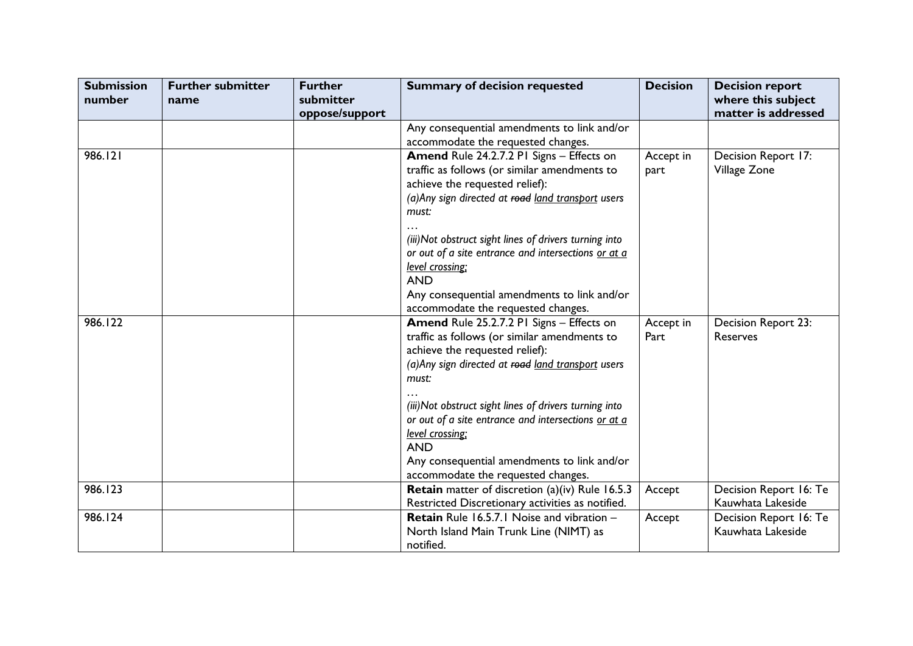| <b>Submission</b><br>number | <b>Further submitter</b><br>name | <b>Further</b><br>submitter<br>oppose/support | <b>Summary of decision requested</b>                                                                                                                                                                                                                                                                                                                                                                                              | <b>Decision</b>   | <b>Decision report</b><br>where this subject<br>matter is addressed |
|-----------------------------|----------------------------------|-----------------------------------------------|-----------------------------------------------------------------------------------------------------------------------------------------------------------------------------------------------------------------------------------------------------------------------------------------------------------------------------------------------------------------------------------------------------------------------------------|-------------------|---------------------------------------------------------------------|
|                             |                                  |                                               | Any consequential amendments to link and/or<br>accommodate the requested changes.                                                                                                                                                                                                                                                                                                                                                 |                   |                                                                     |
| 986.121                     |                                  |                                               | Amend Rule 24.2.7.2 PI Signs - Effects on<br>traffic as follows (or similar amendments to<br>achieve the requested relief):<br>(a) Any sign directed at road land transport users<br>must:<br>(iii) Not obstruct sight lines of drivers turning into<br>or out of a site entrance and intersections or at a<br>level crossing;<br><b>AND</b><br>Any consequential amendments to link and/or<br>accommodate the requested changes. | Accept in<br>part | Decision Report 17:<br>Village Zone                                 |
| 986.122                     |                                  |                                               | Amend Rule 25.2.7.2 PI Signs - Effects on<br>traffic as follows (or similar amendments to<br>achieve the requested relief):<br>(a) Any sign directed at road land transport users<br>must:<br>(iii) Not obstruct sight lines of drivers turning into<br>or out of a site entrance and intersections or at a<br>level crossing;<br><b>AND</b><br>Any consequential amendments to link and/or<br>accommodate the requested changes. | Accept in<br>Part | Decision Report 23:<br><b>Reserves</b>                              |
| 986.123                     |                                  |                                               | <b>Retain</b> matter of discretion (a)(iv) Rule 16.5.3<br>Restricted Discretionary activities as notified.                                                                                                                                                                                                                                                                                                                        | Accept            | Decision Report 16: Te<br>Kauwhata Lakeside                         |
| 986.124                     |                                  |                                               | <b>Retain</b> Rule 16.5.7.1 Noise and vibration -<br>North Island Main Trunk Line (NIMT) as<br>notified.                                                                                                                                                                                                                                                                                                                          | Accept            | Decision Report 16: Te<br>Kauwhata Lakeside                         |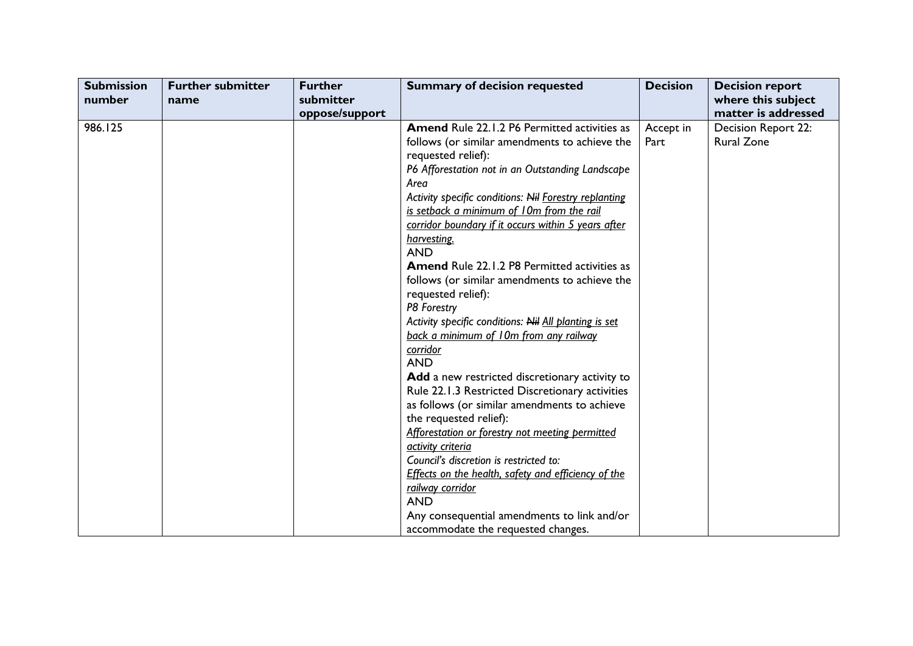| <b>Submission</b><br>number | <b>Further submitter</b><br>name | <b>Further</b><br>submitter<br>oppose/support | <b>Summary of decision requested</b>                                                                                                                                                                                                                                                                                                                                                                                                                                                                                                                                                                                                                                                                                                                                                                                                                                                                                                                                                                                                                                                                | <b>Decision</b>   | <b>Decision report</b><br>where this subject<br>matter is addressed |
|-----------------------------|----------------------------------|-----------------------------------------------|-----------------------------------------------------------------------------------------------------------------------------------------------------------------------------------------------------------------------------------------------------------------------------------------------------------------------------------------------------------------------------------------------------------------------------------------------------------------------------------------------------------------------------------------------------------------------------------------------------------------------------------------------------------------------------------------------------------------------------------------------------------------------------------------------------------------------------------------------------------------------------------------------------------------------------------------------------------------------------------------------------------------------------------------------------------------------------------------------------|-------------------|---------------------------------------------------------------------|
| 986.125                     |                                  |                                               | <b>Amend Rule 22.1.2 P6 Permitted activities as</b><br>follows (or similar amendments to achieve the<br>requested relief):<br>P6 Afforestation not in an Outstanding Landscape<br>Area<br>Activity specific conditions: Nil Forestry replanting<br>is setback a minimum of 10m from the rail<br>corridor boundary if it occurs within 5 years after<br>harvesting.<br><b>AND</b><br><b>Amend Rule 22.1.2 P8 Permitted activities as</b><br>follows (or similar amendments to achieve the<br>requested relief):<br>P8 Forestry<br>Activity specific conditions: Nil All planting is set<br>back a minimum of 10m from any railway<br>corridor<br><b>AND</b><br>Add a new restricted discretionary activity to<br>Rule 22.1.3 Restricted Discretionary activities<br>as follows (or similar amendments to achieve<br>the requested relief):<br>Afforestation or forestry not meeting permitted<br>activity criteria<br>Council's discretion is restricted to:<br>Effects on the health, safety and efficiency of the<br>railway corridor<br><b>AND</b><br>Any consequential amendments to link and/or | Accept in<br>Part | Decision Report 22:<br><b>Rural Zone</b>                            |
|                             |                                  |                                               | accommodate the requested changes.                                                                                                                                                                                                                                                                                                                                                                                                                                                                                                                                                                                                                                                                                                                                                                                                                                                                                                                                                                                                                                                                  |                   |                                                                     |